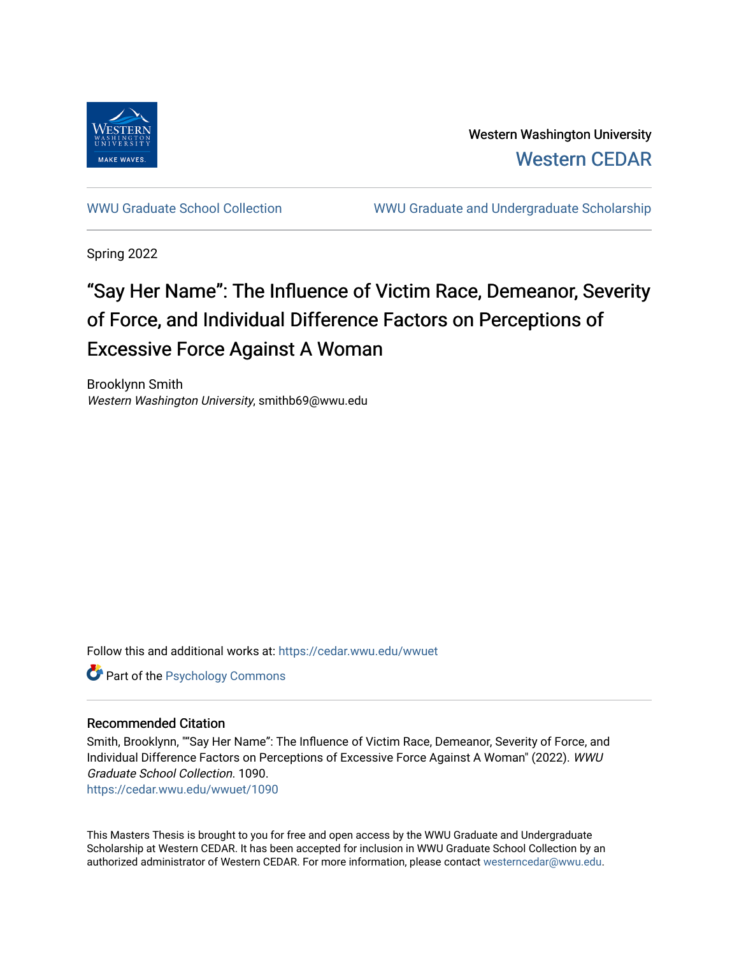

Western Washington University [Western CEDAR](https://cedar.wwu.edu/) 

[WWU Graduate School Collection](https://cedar.wwu.edu/wwuet) WWU Graduate and Undergraduate Scholarship

Spring 2022

# "Say Her Name": The Influence of Victim Race, Demeanor, Severity of Force, and Individual Difference Factors on Perceptions of Excessive Force Against A Woman

Brooklynn Smith Western Washington University, smithb69@wwu.edu

Follow this and additional works at: [https://cedar.wwu.edu/wwuet](https://cedar.wwu.edu/wwuet?utm_source=cedar.wwu.edu%2Fwwuet%2F1090&utm_medium=PDF&utm_campaign=PDFCoverPages)

Part of the [Psychology Commons](https://network.bepress.com/hgg/discipline/404?utm_source=cedar.wwu.edu%2Fwwuet%2F1090&utm_medium=PDF&utm_campaign=PDFCoverPages) 

# Recommended Citation

Smith, Brooklynn, ""Say Her Name": The Influence of Victim Race, Demeanor, Severity of Force, and Individual Difference Factors on Perceptions of Excessive Force Against A Woman" (2022). WWU Graduate School Collection. 1090.

[https://cedar.wwu.edu/wwuet/1090](https://cedar.wwu.edu/wwuet/1090?utm_source=cedar.wwu.edu%2Fwwuet%2F1090&utm_medium=PDF&utm_campaign=PDFCoverPages) 

This Masters Thesis is brought to you for free and open access by the WWU Graduate and Undergraduate Scholarship at Western CEDAR. It has been accepted for inclusion in WWU Graduate School Collection by an authorized administrator of Western CEDAR. For more information, please contact [westerncedar@wwu.edu.](mailto:westerncedar@wwu.edu)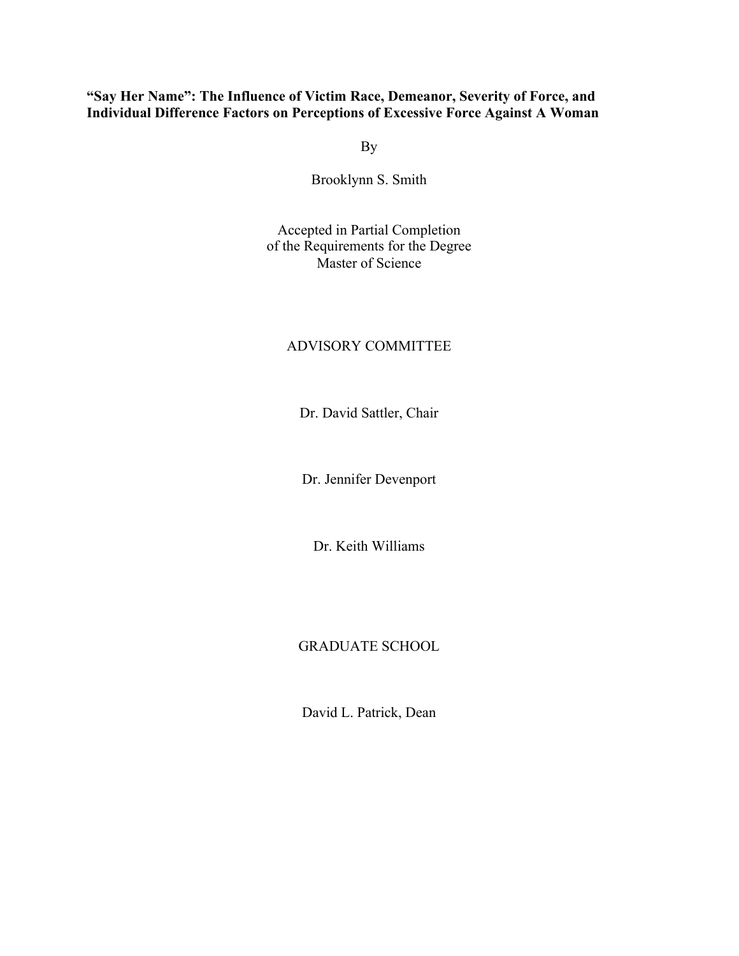# **"Say Her Name": The Influence of Victim Race, Demeanor, Severity of Force, and Individual Difference Factors on Perceptions of Excessive Force Against A Woman**

By

Brooklynn S. Smith

Accepted in Partial Completion of the Requirements for the Degree Master of Science

# ADVISORY COMMITTEE

Dr. David Sattler, Chair

Dr. Jennifer Devenport

Dr. Keith Williams

# GRADUATE SCHOOL

David L. Patrick, Dean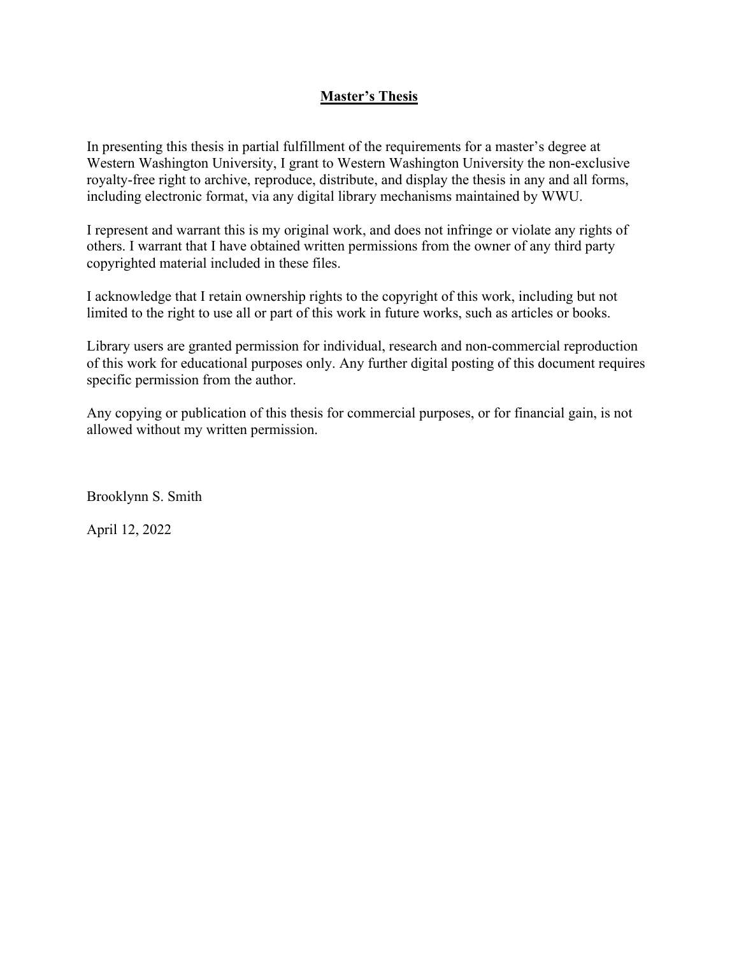# **Master's Thesis**

In presenting this thesis in partial fulfillment of the requirements for a master's degree at Western Washington University, I grant to Western Washington University the non-exclusive royalty-free right to archive, reproduce, distribute, and display the thesis in any and all forms, including electronic format, via any digital library mechanisms maintained by WWU.

I represent and warrant this is my original work, and does not infringe or violate any rights of others. I warrant that I have obtained written permissions from the owner of any third party copyrighted material included in these files.

I acknowledge that I retain ownership rights to the copyright of this work, including but not limited to the right to use all or part of this work in future works, such as articles or books.

Library users are granted permission for individual, research and non-commercial reproduction of this work for educational purposes only. Any further digital posting of this document requires specific permission from the author.

Any copying or publication of this thesis for commercial purposes, or for financial gain, is not allowed without my written permission.

Brooklynn S. Smith

April 12, 2022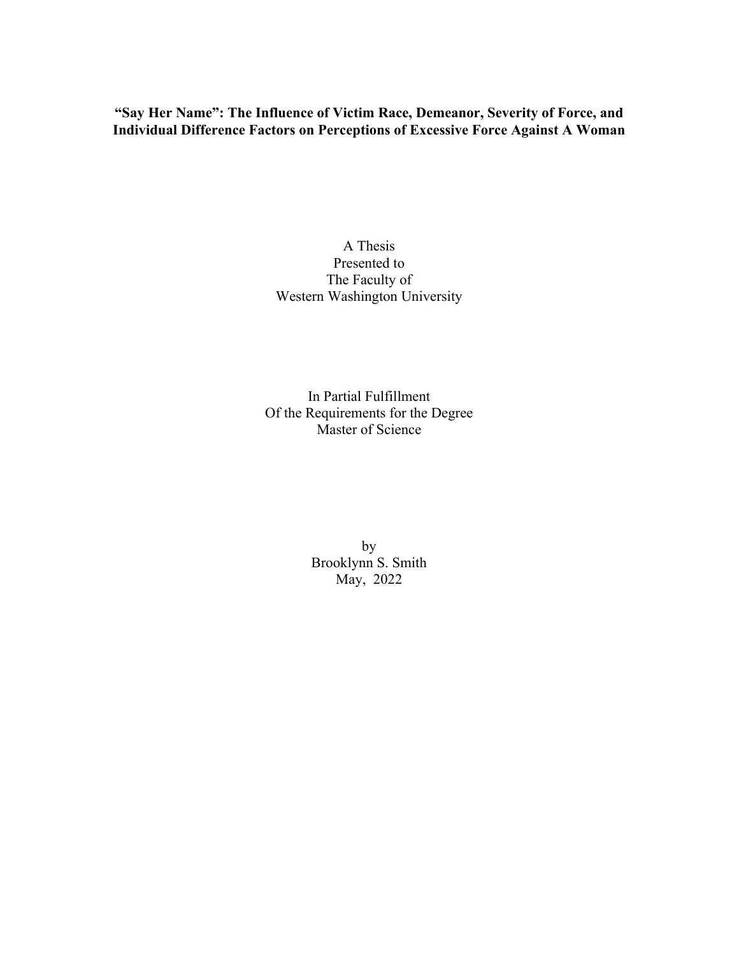**"Say Her Name": The Influence of Victim Race, Demeanor, Severity of Force, and Individual Difference Factors on Perceptions of Excessive Force Against A Woman**

# A Thesis Presented to The Faculty of Western Washington University

In Partial Fulfillment Of the Requirements for the Degree Master of Science

> by Brooklynn S. Smith May, 2022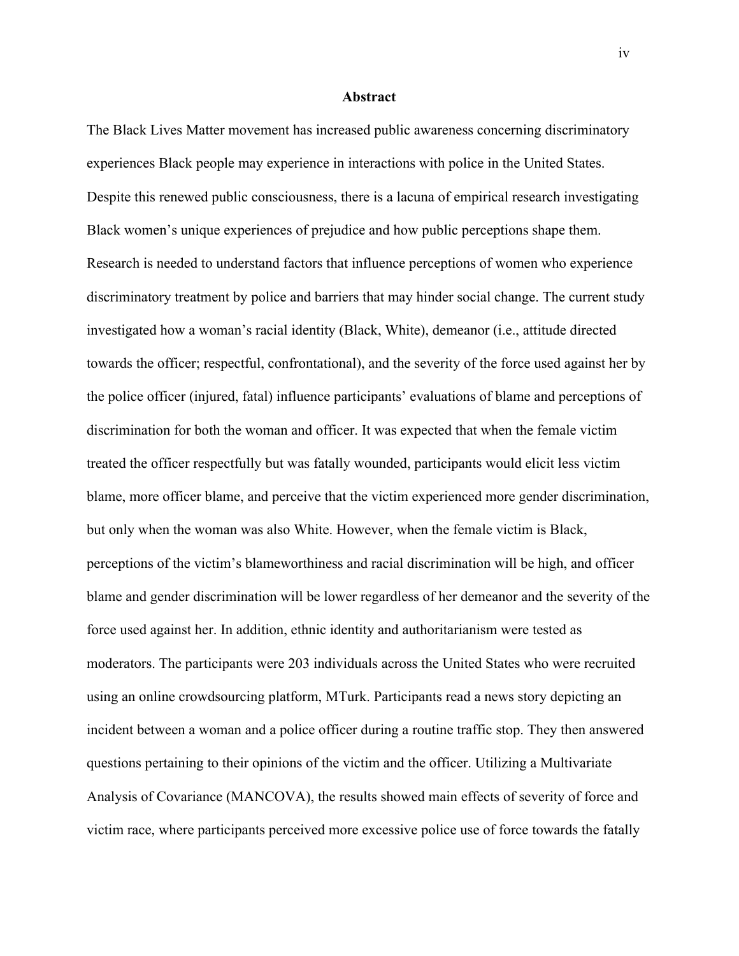## **Abstract**

The Black Lives Matter movement has increased public awareness concerning discriminatory experiences Black people may experience in interactions with police in the United States. Despite this renewed public consciousness, there is a lacuna of empirical research investigating Black women's unique experiences of prejudice and how public perceptions shape them. Research is needed to understand factors that influence perceptions of women who experience discriminatory treatment by police and barriers that may hinder social change. The current study investigated how a woman's racial identity (Black, White), demeanor (i.e., attitude directed towards the officer; respectful, confrontational), and the severity of the force used against her by the police officer (injured, fatal) influence participants' evaluations of blame and perceptions of discrimination for both the woman and officer. It was expected that when the female victim treated the officer respectfully but was fatally wounded, participants would elicit less victim blame, more officer blame, and perceive that the victim experienced more gender discrimination, but only when the woman was also White. However, when the female victim is Black, perceptions of the victim's blameworthiness and racial discrimination will be high, and officer blame and gender discrimination will be lower regardless of her demeanor and the severity of the force used against her. In addition, ethnic identity and authoritarianism were tested as moderators. The participants were 203 individuals across the United States who were recruited using an online crowdsourcing platform, MTurk. Participants read a news story depicting an incident between a woman and a police officer during a routine traffic stop. They then answered questions pertaining to their opinions of the victim and the officer. Utilizing a Multivariate Analysis of Covariance (MANCOVA), the results showed main effects of severity of force and victim race, where participants perceived more excessive police use of force towards the fatally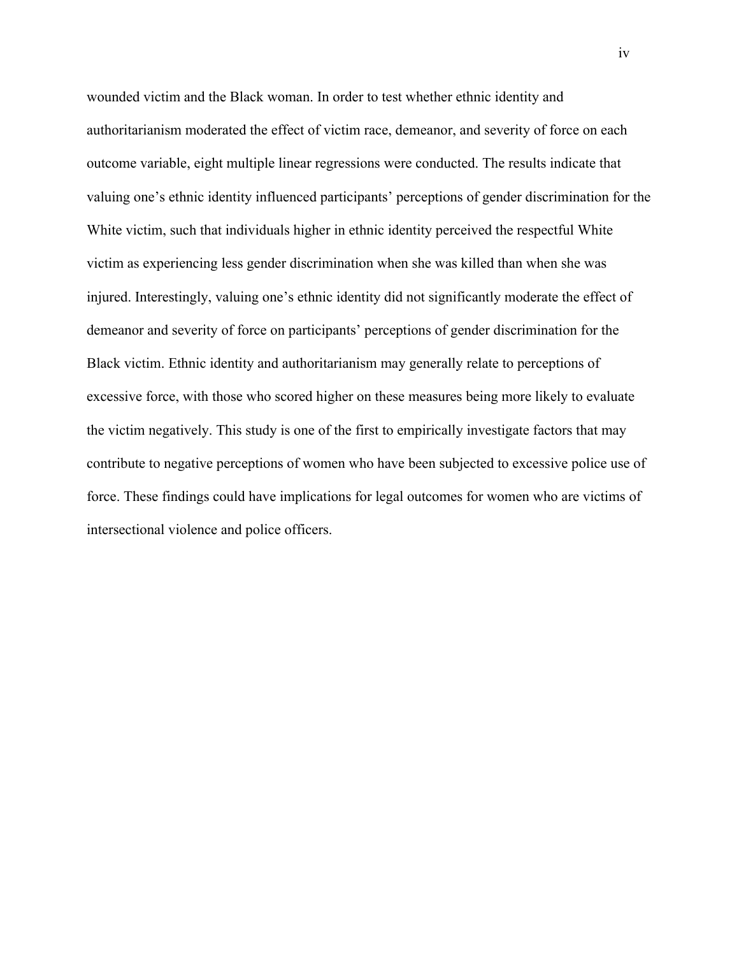wounded victim and the Black woman. In order to test whether ethnic identity and authoritarianism moderated the effect of victim race, demeanor, and severity of force on each outcome variable, eight multiple linear regressions were conducted. The results indicate that valuing one's ethnic identity influenced participants' perceptions of gender discrimination for the White victim, such that individuals higher in ethnic identity perceived the respectful White victim as experiencing less gender discrimination when she was killed than when she was injured. Interestingly, valuing one's ethnic identity did not significantly moderate the effect of demeanor and severity of force on participants' perceptions of gender discrimination for the Black victim. Ethnic identity and authoritarianism may generally relate to perceptions of excessive force, with those who scored higher on these measures being more likely to evaluate the victim negatively. This study is one of the first to empirically investigate factors that may contribute to negative perceptions of women who have been subjected to excessive police use of force. These findings could have implications for legal outcomes for women who are victims of intersectional violence and police officers.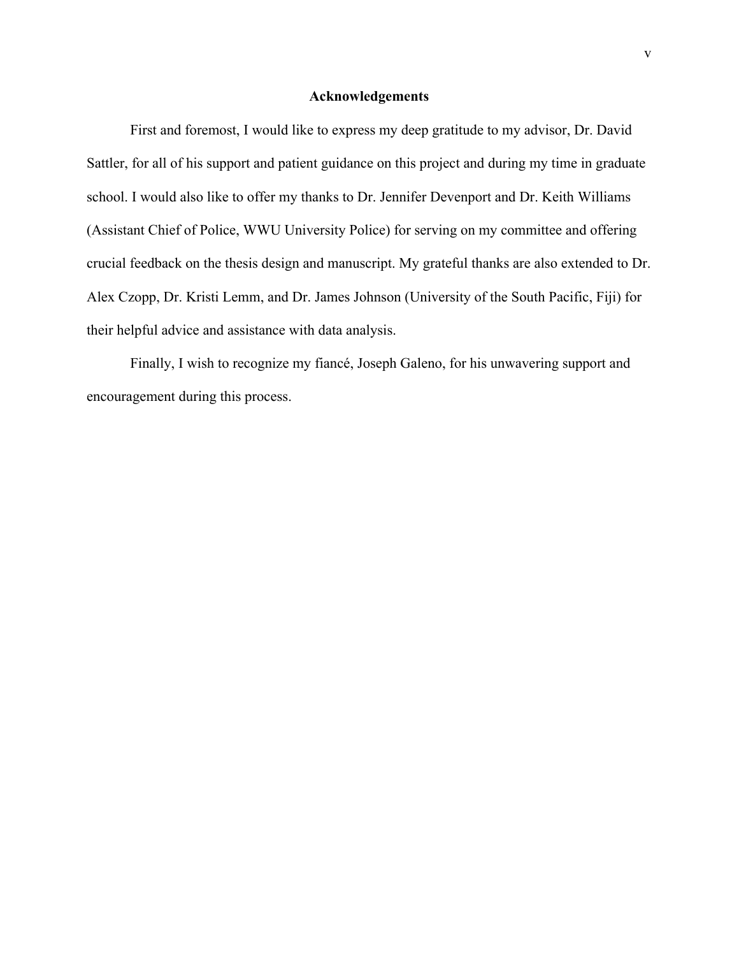# **Acknowledgements**

First and foremost, I would like to express my deep gratitude to my advisor, Dr. David Sattler, for all of his support and patient guidance on this project and during my time in graduate school. I would also like to offer my thanks to Dr. Jennifer Devenport and Dr. Keith Williams (Assistant Chief of Police, WWU University Police) for serving on my committee and offering crucial feedback on the thesis design and manuscript. My grateful thanks are also extended to Dr. Alex Czopp, Dr. Kristi Lemm, and Dr. James Johnson (University of the South Pacific, Fiji) for their helpful advice and assistance with data analysis.

Finally, I wish to recognize my fiancé, Joseph Galeno, for his unwavering support and encouragement during this process.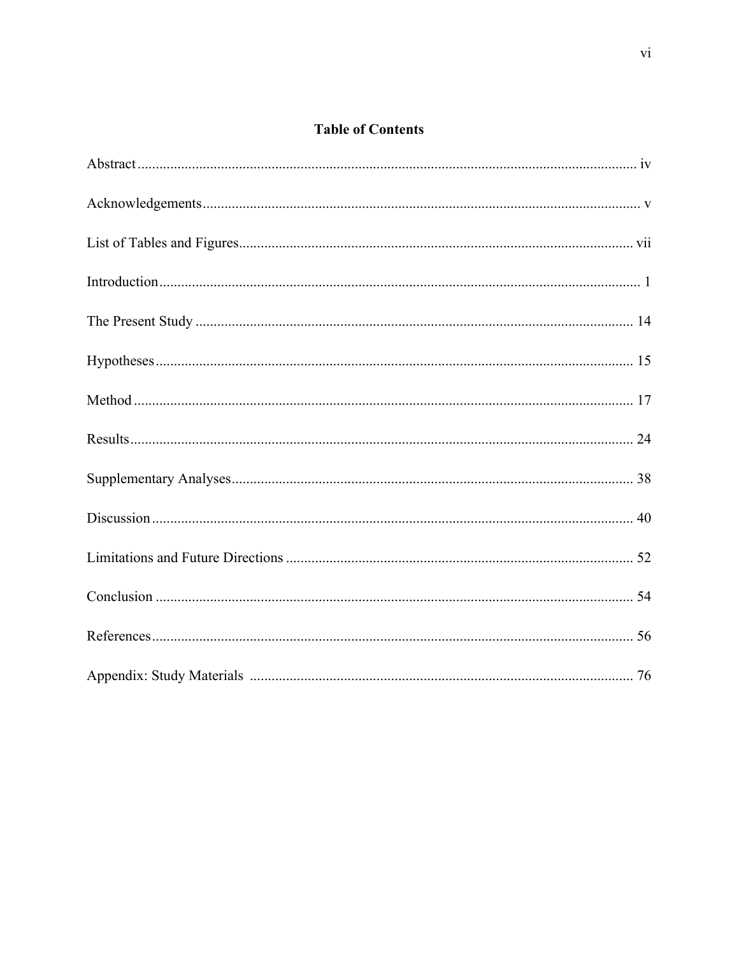# **Table of Contents**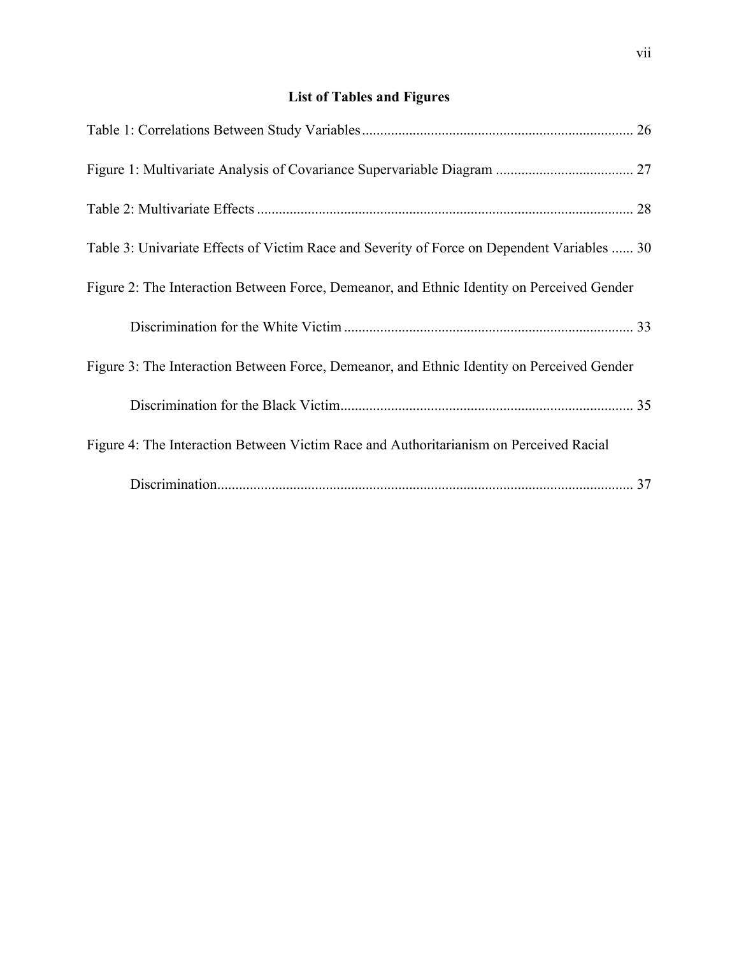# **List of Tables and Figures**

| Table 3: Univariate Effects of Victim Race and Severity of Force on Dependent Variables  30 |
|---------------------------------------------------------------------------------------------|
| Figure 2: The Interaction Between Force, Demeanor, and Ethnic Identity on Perceived Gender  |
|                                                                                             |
| Figure 3: The Interaction Between Force, Demeanor, and Ethnic Identity on Perceived Gender  |
|                                                                                             |
| Figure 4: The Interaction Between Victim Race and Authoritarianism on Perceived Racial      |
|                                                                                             |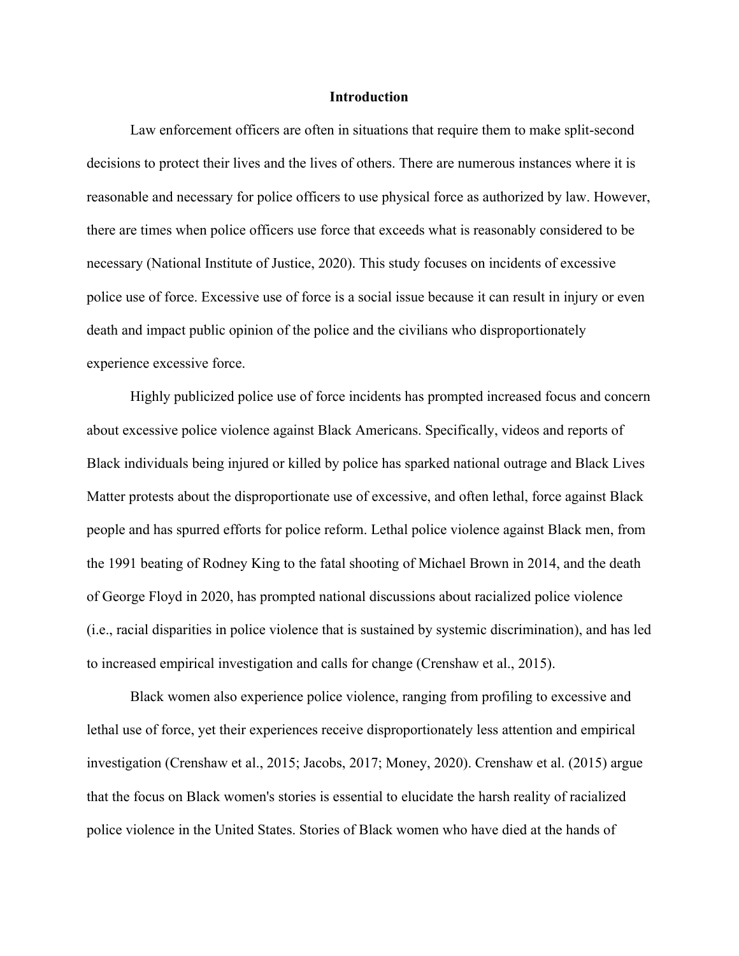## **Introduction**

Law enforcement officers are often in situations that require them to make split-second decisions to protect their lives and the lives of others. There are numerous instances where it is reasonable and necessary for police officers to use physical force as authorized by law. However, there are times when police officers use force that exceeds what is reasonably considered to be necessary (National Institute of Justice, 2020). This study focuses on incidents of excessive police use of force. Excessive use of force is a social issue because it can result in injury or even death and impact public opinion of the police and the civilians who disproportionately experience excessive force.

Highly publicized police use of force incidents has prompted increased focus and concern about excessive police violence against Black Americans. Specifically, videos and reports of Black individuals being injured or killed by police has sparked national outrage and Black Lives Matter protests about the disproportionate use of excessive, and often lethal, force against Black people and has spurred efforts for police reform. Lethal police violence against Black men, from the 1991 beating of Rodney King to the fatal shooting of Michael Brown in 2014, and the death of George Floyd in 2020, has prompted national discussions about racialized police violence (i.e., racial disparities in police violence that is sustained by systemic discrimination), and has led to increased empirical investigation and calls for change (Crenshaw et al., 2015).

Black women also experience police violence, ranging from profiling to excessive and lethal use of force, yet their experiences receive disproportionately less attention and empirical investigation (Crenshaw et al., 2015; Jacobs, 2017; Money, 2020). Crenshaw et al. (2015) argue that the focus on Black women's stories is essential to elucidate the harsh reality of racialized police violence in the United States. Stories of Black women who have died at the hands of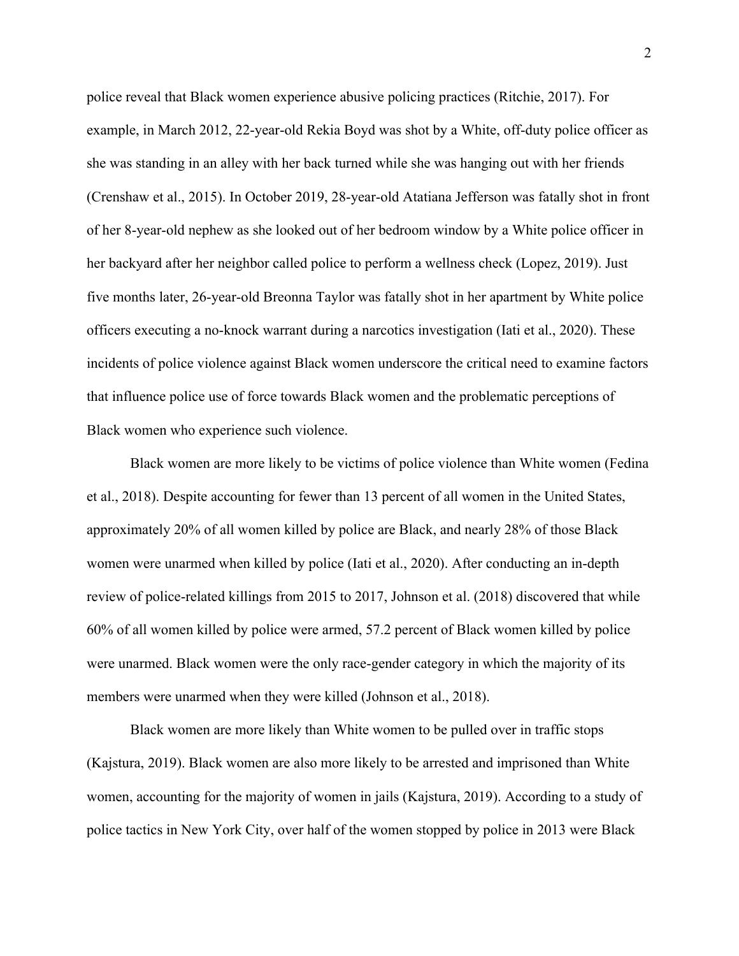police reveal that Black women experience abusive policing practices (Ritchie, 2017). For example, in March 2012, 22-year-old Rekia Boyd was shot by a White, off-duty police officer as she was standing in an alley with her back turned while she was hanging out with her friends (Crenshaw et al., 2015). In October 2019, 28-year-old Atatiana Jefferson was fatally shot in front of her 8-year-old nephew as she looked out of her bedroom window by a White police officer in her backyard after her neighbor called police to perform a wellness check (Lopez, 2019). Just five months later, 26-year-old Breonna Taylor was fatally shot in her apartment by White police officers executing a no-knock warrant during a narcotics investigation (Iati et al., 2020). These incidents of police violence against Black women underscore the critical need to examine factors that influence police use of force towards Black women and the problematic perceptions of Black women who experience such violence.

Black women are more likely to be victims of police violence than White women (Fedina et al., 2018). Despite accounting for fewer than 13 percent of all women in the United States, approximately 20% of all women killed by police are Black, and nearly 28% of those Black women were unarmed when killed by police (Iati et al., 2020). After conducting an in-depth review of police-related killings from 2015 to 2017, Johnson et al. (2018) discovered that while 60% of all women killed by police were armed, 57.2 percent of Black women killed by police were unarmed. Black women were the only race-gender category in which the majority of its members were unarmed when they were killed (Johnson et al., 2018).

Black women are more likely than White women to be pulled over in traffic stops (Kajstura, 2019). Black women are also more likely to be arrested and imprisoned than White women, accounting for the majority of women in jails (Kajstura, 2019). According to a study of police tactics in New York City, over half of the women stopped by police in 2013 were Black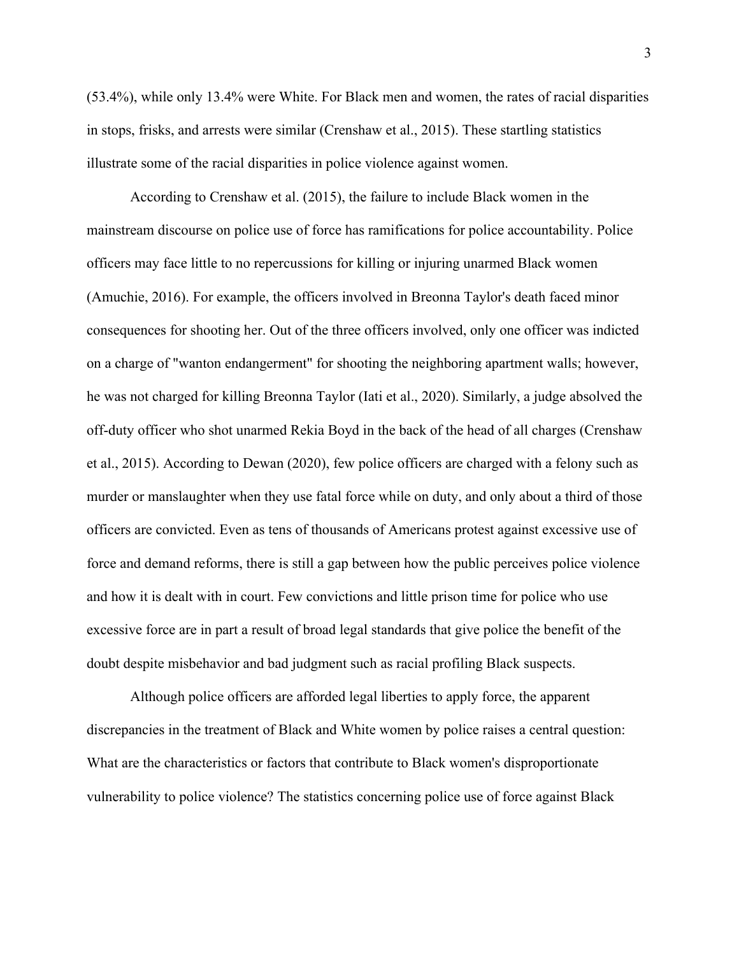(53.4%), while only 13.4% were White. For Black men and women, the rates of racial disparities in stops, frisks, and arrests were similar (Crenshaw et al., 2015). These startling statistics illustrate some of the racial disparities in police violence against women.

According to Crenshaw et al. (2015), the failure to include Black women in the mainstream discourse on police use of force has ramifications for police accountability. Police officers may face little to no repercussions for killing or injuring unarmed Black women (Amuchie, 2016). For example, the officers involved in Breonna Taylor's death faced minor consequences for shooting her. Out of the three officers involved, only one officer was indicted on a charge of "wanton endangerment" for shooting the neighboring apartment walls; however, he was not charged for killing Breonna Taylor (Iati et al., 2020). Similarly, a judge absolved the off-duty officer who shot unarmed Rekia Boyd in the back of the head of all charges (Crenshaw et al., 2015). According to Dewan (2020), few police officers are charged with a felony such as murder or manslaughter when they use fatal force while on duty, and only about a third of those officers are convicted. Even as tens of thousands of Americans protest against excessive use of force and demand reforms, there is still a gap between how the public perceives police violence and how it is dealt with in court. Few convictions and little prison time for police who use excessive force are in part a result of broad legal standards that give police the benefit of the doubt despite misbehavior and bad judgment such as racial profiling Black suspects.

Although police officers are afforded legal liberties to apply force, the apparent discrepancies in the treatment of Black and White women by police raises a central question: What are the characteristics or factors that contribute to Black women's disproportionate vulnerability to police violence? The statistics concerning police use of force against Black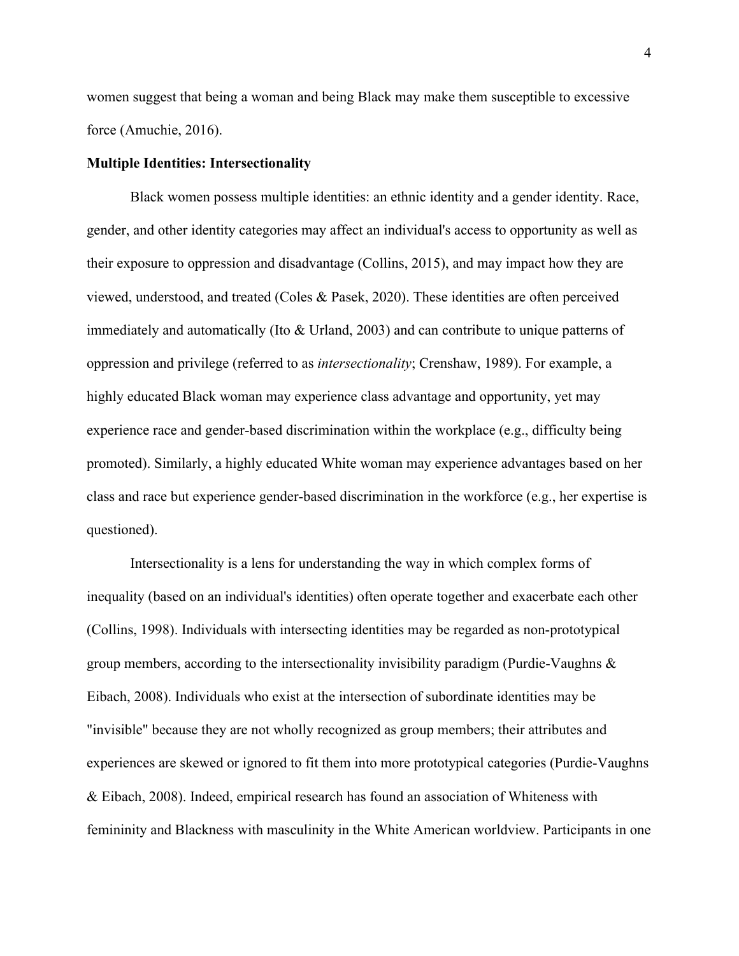women suggest that being a woman and being Black may make them susceptible to excessive force (Amuchie, 2016).

# **Multiple Identities: Intersectionality**

Black women possess multiple identities: an ethnic identity and a gender identity. Race, gender, and other identity categories may affect an individual's access to opportunity as well as their exposure to oppression and disadvantage (Collins, 2015), and may impact how they are viewed, understood, and treated (Coles & Pasek, 2020). These identities are often perceived immediately and automatically (Ito & Urland, 2003) and can contribute to unique patterns of oppression and privilege (referred to as *intersectionality*; Crenshaw, 1989). For example, a highly educated Black woman may experience class advantage and opportunity, yet may experience race and gender-based discrimination within the workplace (e.g., difficulty being promoted). Similarly, a highly educated White woman may experience advantages based on her class and race but experience gender-based discrimination in the workforce (e.g., her expertise is questioned).

Intersectionality is a lens for understanding the way in which complex forms of inequality (based on an individual's identities) often operate together and exacerbate each other (Collins, 1998). Individuals with intersecting identities may be regarded as non-prototypical group members, according to the intersectionality invisibility paradigm (Purdie-Vaughns & Eibach, 2008). Individuals who exist at the intersection of subordinate identities may be "invisible" because they are not wholly recognized as group members; their attributes and experiences are skewed or ignored to fit them into more prototypical categories (Purdie-Vaughns & Eibach, 2008). Indeed, empirical research has found an association of Whiteness with femininity and Blackness with masculinity in the White American worldview. Participants in one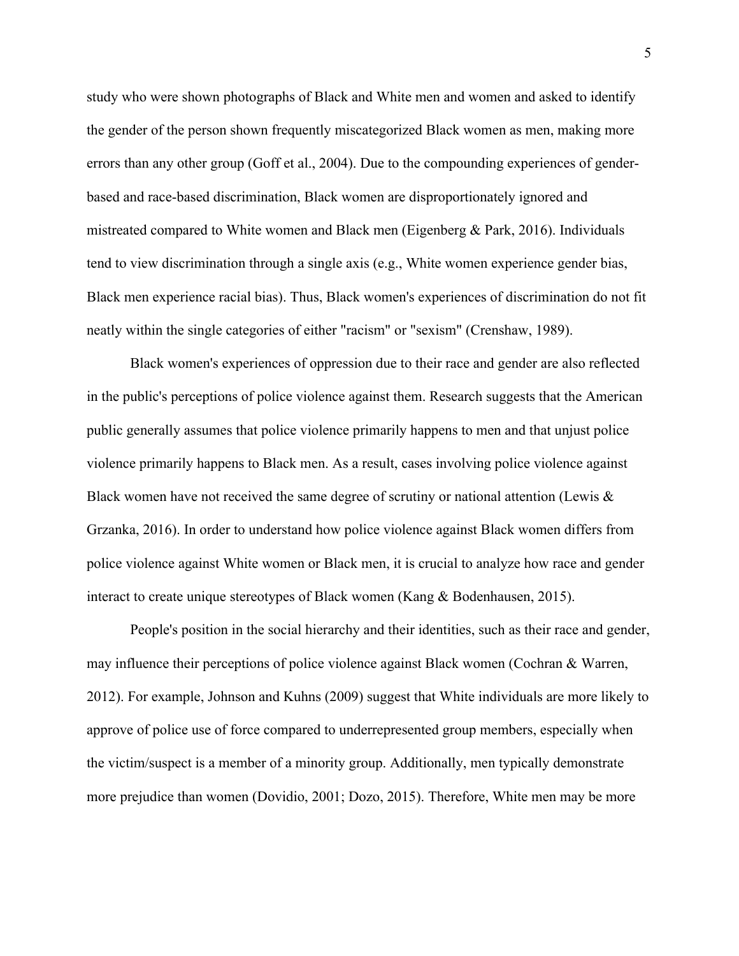study who were shown photographs of Black and White men and women and asked to identify the gender of the person shown frequently miscategorized Black women as men, making more errors than any other group (Goff et al., 2004). Due to the compounding experiences of genderbased and race-based discrimination, Black women are disproportionately ignored and mistreated compared to White women and Black men (Eigenberg & Park, 2016). Individuals tend to view discrimination through a single axis (e.g., White women experience gender bias, Black men experience racial bias). Thus, Black women's experiences of discrimination do not fit neatly within the single categories of either "racism" or "sexism" (Crenshaw, 1989).

Black women's experiences of oppression due to their race and gender are also reflected in the public's perceptions of police violence against them. Research suggests that the American public generally assumes that police violence primarily happens to men and that unjust police violence primarily happens to Black men. As a result, cases involving police violence against Black women have not received the same degree of scrutiny or national attention (Lewis  $\&$ Grzanka, 2016). In order to understand how police violence against Black women differs from police violence against White women or Black men, it is crucial to analyze how race and gender interact to create unique stereotypes of Black women (Kang & Bodenhausen, 2015).

People's position in the social hierarchy and their identities, such as their race and gender, may influence their perceptions of police violence against Black women (Cochran & Warren, 2012). For example, Johnson and Kuhns (2009) suggest that White individuals are more likely to approve of police use of force compared to underrepresented group members, especially when the victim/suspect is a member of a minority group. Additionally, men typically demonstrate more prejudice than women (Dovidio, 2001; Dozo, 2015). Therefore, White men may be more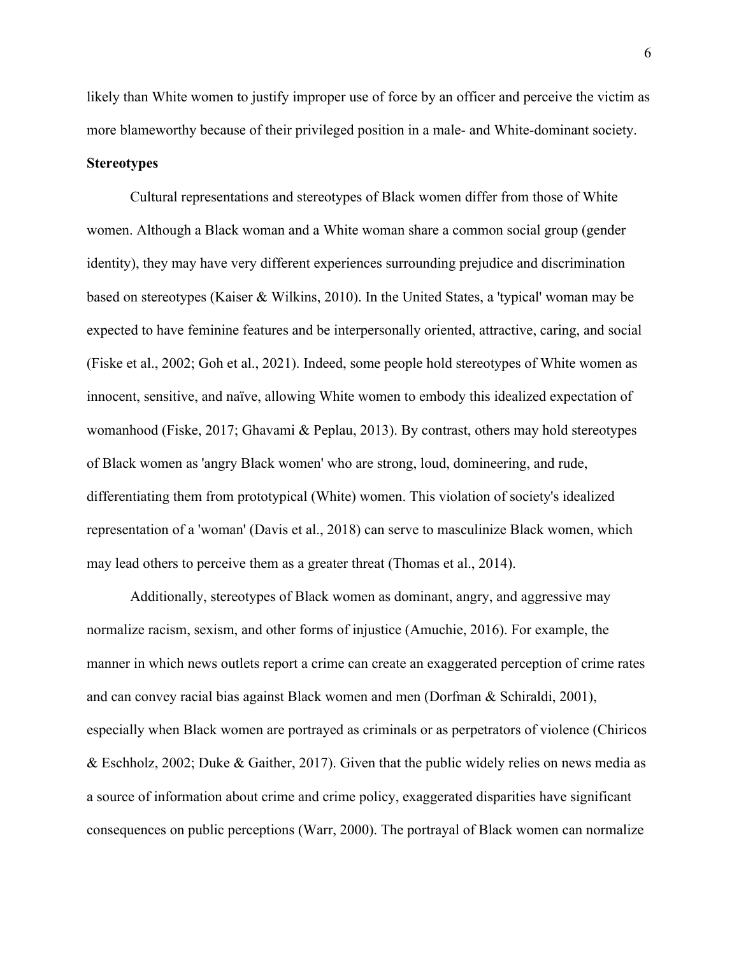likely than White women to justify improper use of force by an officer and perceive the victim as more blameworthy because of their privileged position in a male- and White-dominant society.

## **Stereotypes**

Cultural representations and stereotypes of Black women differ from those of White women. Although a Black woman and a White woman share a common social group (gender identity), they may have very different experiences surrounding prejudice and discrimination based on stereotypes (Kaiser & Wilkins, 2010). In the United States, a 'typical' woman may be expected to have feminine features and be interpersonally oriented, attractive, caring, and social (Fiske et al., 2002; Goh et al., 2021). Indeed, some people hold stereotypes of White women as innocent, sensitive, and naïve, allowing White women to embody this idealized expectation of womanhood (Fiske, 2017; Ghavami & Peplau, 2013). By contrast, others may hold stereotypes of Black women as 'angry Black women' who are strong, loud, domineering, and rude, differentiating them from prototypical (White) women. This violation of society's idealized representation of a 'woman' (Davis et al., 2018) can serve to masculinize Black women, which may lead others to perceive them as a greater threat (Thomas et al., 2014).

Additionally, stereotypes of Black women as dominant, angry, and aggressive may normalize racism, sexism, and other forms of injustice (Amuchie, 2016). For example, the manner in which news outlets report a crime can create an exaggerated perception of crime rates and can convey racial bias against Black women and men (Dorfman & Schiraldi, 2001), especially when Black women are portrayed as criminals or as perpetrators of violence (Chiricos & Eschholz, 2002; Duke & Gaither, 2017). Given that the public widely relies on news media as a source of information about crime and crime policy, exaggerated disparities have significant consequences on public perceptions (Warr, 2000). The portrayal of Black women can normalize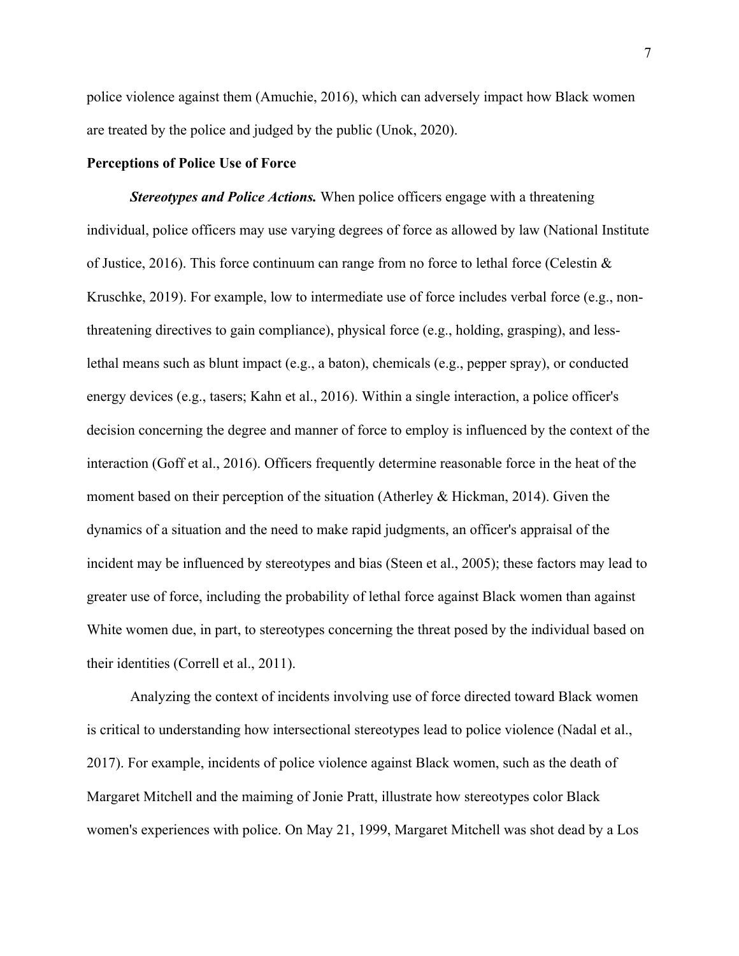police violence against them (Amuchie, 2016), which can adversely impact how Black women are treated by the police and judged by the public (Unok, 2020).

# **Perceptions of Police Use of Force**

*Stereotypes and Police Actions.* When police officers engage with a threatening individual, police officers may use varying degrees of force as allowed by law (National Institute of Justice, 2016). This force continuum can range from no force to lethal force (Celestin & Kruschke, 2019). For example, low to intermediate use of force includes verbal force (e.g., nonthreatening directives to gain compliance), physical force (e.g., holding, grasping), and lesslethal means such as blunt impact (e.g., a baton), chemicals (e.g., pepper spray), or conducted energy devices (e.g., tasers; Kahn et al., 2016). Within a single interaction, a police officer's decision concerning the degree and manner of force to employ is influenced by the context of the interaction (Goff et al., 2016). Officers frequently determine reasonable force in the heat of the moment based on their perception of the situation (Atherley & Hickman, 2014). Given the dynamics of a situation and the need to make rapid judgments, an officer's appraisal of the incident may be influenced by stereotypes and bias (Steen et al., 2005); these factors may lead to greater use of force, including the probability of lethal force against Black women than against White women due, in part, to stereotypes concerning the threat posed by the individual based on their identities (Correll et al., 2011).

Analyzing the context of incidents involving use of force directed toward Black women is critical to understanding how intersectional stereotypes lead to police violence (Nadal et al., 2017). For example, incidents of police violence against Black women, such as the death of Margaret Mitchell and the maiming of Jonie Pratt, illustrate how stereotypes color Black women's experiences with police. On May 21, 1999, Margaret Mitchell was shot dead by a Los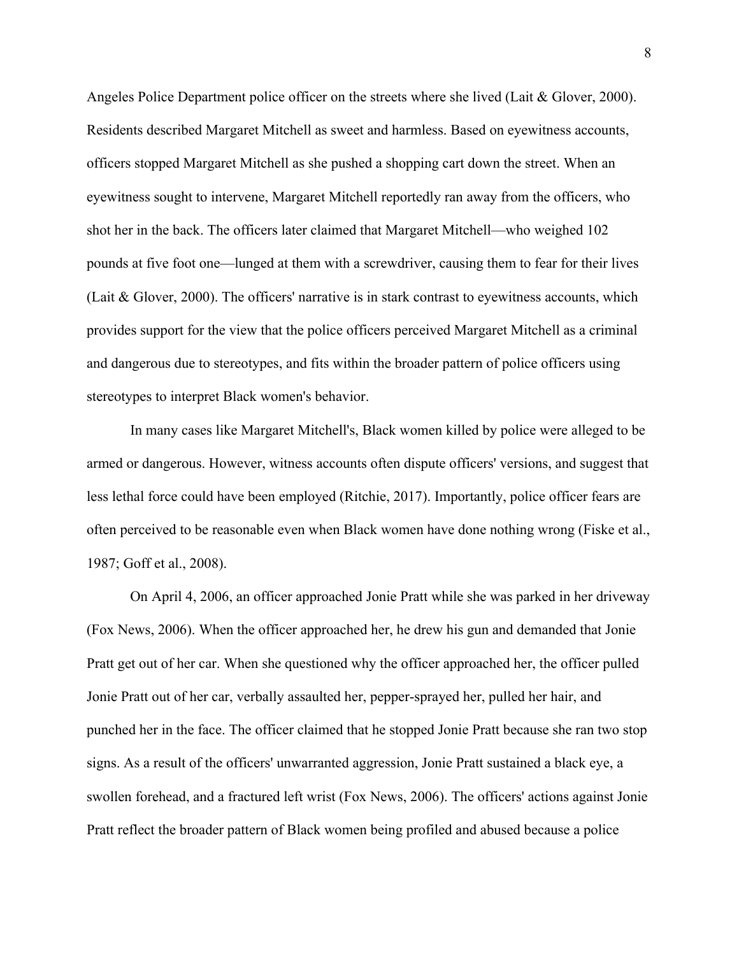Angeles Police Department police officer on the streets where she lived (Lait & Glover, 2000). Residents described Margaret Mitchell as sweet and harmless. Based on eyewitness accounts, officers stopped Margaret Mitchell as she pushed a shopping cart down the street. When an eyewitness sought to intervene, Margaret Mitchell reportedly ran away from the officers, who shot her in the back. The officers later claimed that Margaret Mitchell—who weighed 102 pounds at five foot one—lunged at them with a screwdriver, causing them to fear for their lives (Lait & Glover, 2000). The officers' narrative is in stark contrast to eyewitness accounts, which provides support for the view that the police officers perceived Margaret Mitchell as a criminal and dangerous due to stereotypes, and fits within the broader pattern of police officers using stereotypes to interpret Black women's behavior.

In many cases like Margaret Mitchell's, Black women killed by police were alleged to be armed or dangerous. However, witness accounts often dispute officers' versions, and suggest that less lethal force could have been employed (Ritchie, 2017). Importantly, police officer fears are often perceived to be reasonable even when Black women have done nothing wrong (Fiske et al., 1987; Goff et al., 2008).

On April 4, 2006, an officer approached Jonie Pratt while she was parked in her driveway (Fox News, 2006). When the officer approached her, he drew his gun and demanded that Jonie Pratt get out of her car. When she questioned why the officer approached her, the officer pulled Jonie Pratt out of her car, verbally assaulted her, pepper-sprayed her, pulled her hair, and punched her in the face. The officer claimed that he stopped Jonie Pratt because she ran two stop signs. As a result of the officers' unwarranted aggression, Jonie Pratt sustained a black eye, a swollen forehead, and a fractured left wrist (Fox News, 2006). The officers' actions against Jonie Pratt reflect the broader pattern of Black women being profiled and abused because a police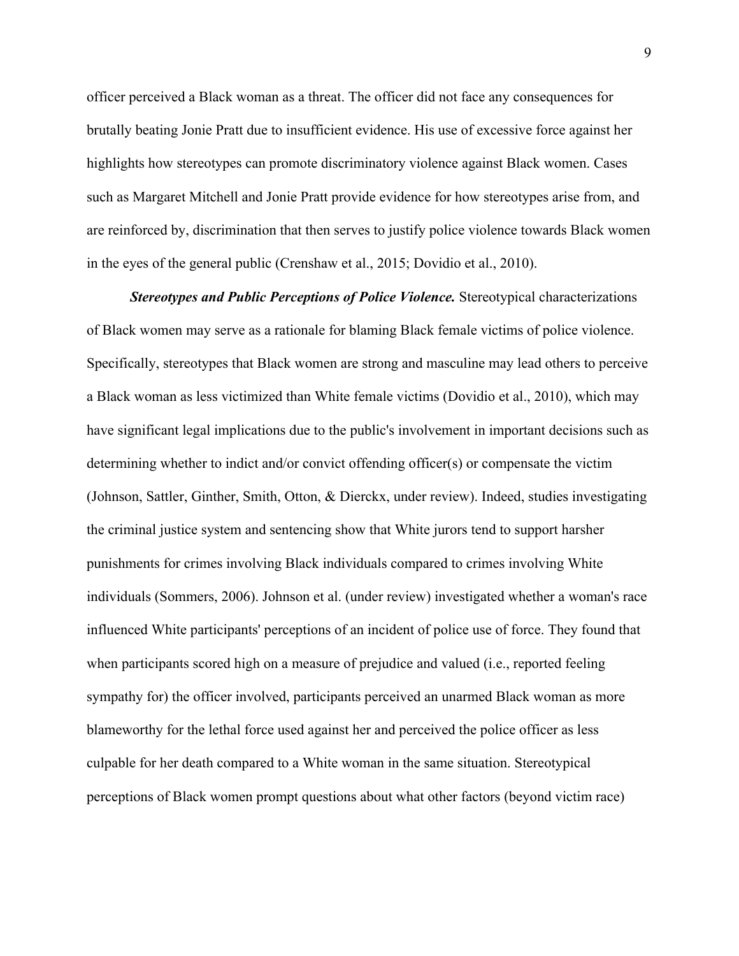officer perceived a Black woman as a threat. The officer did not face any consequences for brutally beating Jonie Pratt due to insufficient evidence. His use of excessive force against her highlights how stereotypes can promote discriminatory violence against Black women. Cases such as Margaret Mitchell and Jonie Pratt provide evidence for how stereotypes arise from, and are reinforced by, discrimination that then serves to justify police violence towards Black women in the eyes of the general public (Crenshaw et al., 2015; Dovidio et al., 2010).

*Stereotypes and Public Perceptions of Police Violence.* Stereotypical characterizations of Black women may serve as a rationale for blaming Black female victims of police violence. Specifically, stereotypes that Black women are strong and masculine may lead others to perceive a Black woman as less victimized than White female victims (Dovidio et al., 2010), which may have significant legal implications due to the public's involvement in important decisions such as determining whether to indict and/or convict offending officer(s) or compensate the victim (Johnson, Sattler, Ginther, Smith, Otton, & Dierckx, under review). Indeed, studies investigating the criminal justice system and sentencing show that White jurors tend to support harsher punishments for crimes involving Black individuals compared to crimes involving White individuals (Sommers, 2006). Johnson et al. (under review) investigated whether a woman's race influenced White participants' perceptions of an incident of police use of force. They found that when participants scored high on a measure of prejudice and valued (i.e., reported feeling sympathy for) the officer involved, participants perceived an unarmed Black woman as more blameworthy for the lethal force used against her and perceived the police officer as less culpable for her death compared to a White woman in the same situation. Stereotypical perceptions of Black women prompt questions about what other factors (beyond victim race)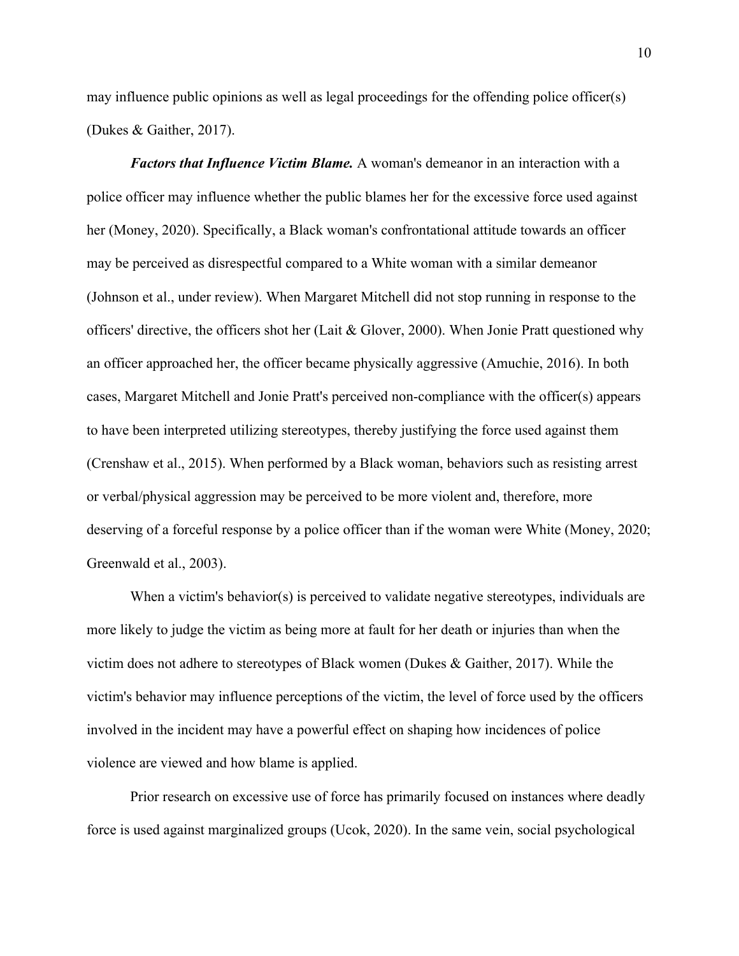may influence public opinions as well as legal proceedings for the offending police officer(s) (Dukes & Gaither, 2017).

*Factors that Influence Victim Blame.* A woman's demeanor in an interaction with a police officer may influence whether the public blames her for the excessive force used against her (Money, 2020). Specifically, a Black woman's confrontational attitude towards an officer may be perceived as disrespectful compared to a White woman with a similar demeanor (Johnson et al., under review). When Margaret Mitchell did not stop running in response to the officers' directive, the officers shot her (Lait & Glover, 2000). When Jonie Pratt questioned why an officer approached her, the officer became physically aggressive (Amuchie, 2016). In both cases, Margaret Mitchell and Jonie Pratt's perceived non-compliance with the officer(s) appears to have been interpreted utilizing stereotypes, thereby justifying the force used against them (Crenshaw et al., 2015). When performed by a Black woman, behaviors such as resisting arrest or verbal/physical aggression may be perceived to be more violent and, therefore, more deserving of a forceful response by a police officer than if the woman were White (Money, 2020; Greenwald et al., 2003).

When a victim's behavior(s) is perceived to validate negative stereotypes, individuals are more likely to judge the victim as being more at fault for her death or injuries than when the victim does not adhere to stereotypes of Black women (Dukes & Gaither, 2017). While the victim's behavior may influence perceptions of the victim, the level of force used by the officers involved in the incident may have a powerful effect on shaping how incidences of police violence are viewed and how blame is applied.

Prior research on excessive use of force has primarily focused on instances where deadly force is used against marginalized groups (Ucok, 2020). In the same vein, social psychological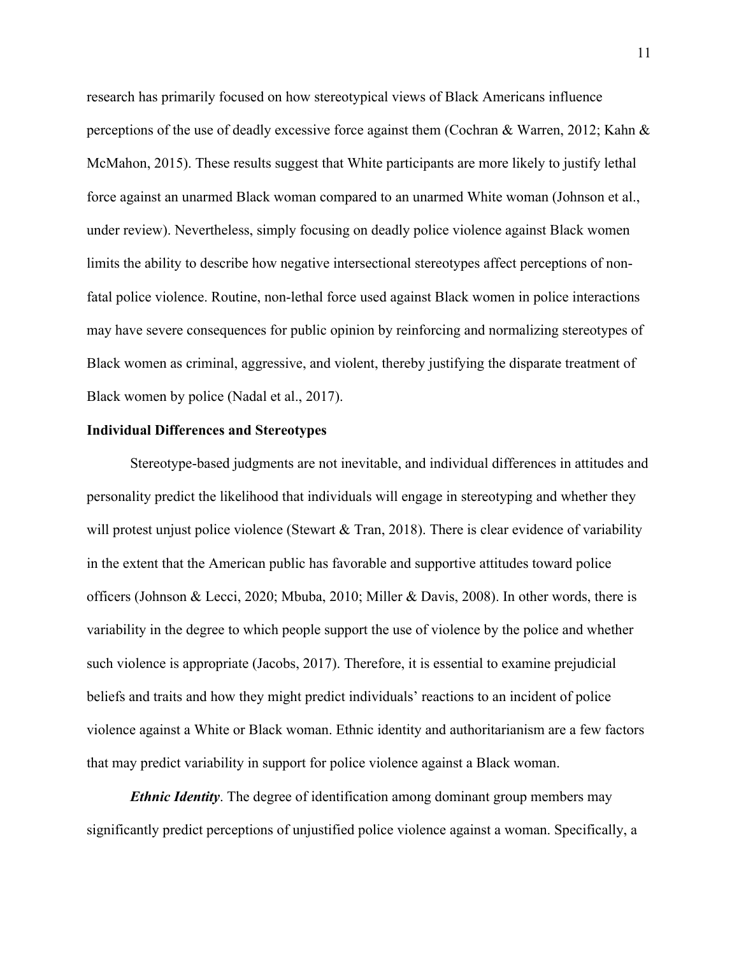research has primarily focused on how stereotypical views of Black Americans influence perceptions of the use of deadly excessive force against them (Cochran & Warren, 2012; Kahn & McMahon, 2015). These results suggest that White participants are more likely to justify lethal force against an unarmed Black woman compared to an unarmed White woman (Johnson et al., under review). Nevertheless, simply focusing on deadly police violence against Black women limits the ability to describe how negative intersectional stereotypes affect perceptions of nonfatal police violence. Routine, non-lethal force used against Black women in police interactions may have severe consequences for public opinion by reinforcing and normalizing stereotypes of Black women as criminal, aggressive, and violent, thereby justifying the disparate treatment of Black women by police (Nadal et al., 2017).

#### **Individual Differences and Stereotypes**

Stereotype-based judgments are not inevitable, and individual differences in attitudes and personality predict the likelihood that individuals will engage in stereotyping and whether they will protest unjust police violence (Stewart & Tran, 2018). There is clear evidence of variability in the extent that the American public has favorable and supportive attitudes toward police officers (Johnson & Lecci, 2020; Mbuba, 2010; Miller & Davis, 2008). In other words, there is variability in the degree to which people support the use of violence by the police and whether such violence is appropriate (Jacobs, 2017). Therefore, it is essential to examine prejudicial beliefs and traits and how they might predict individuals' reactions to an incident of police violence against a White or Black woman. Ethnic identity and authoritarianism are a few factors that may predict variability in support for police violence against a Black woman.

*Ethnic Identity*. The degree of identification among dominant group members may significantly predict perceptions of unjustified police violence against a woman. Specifically, a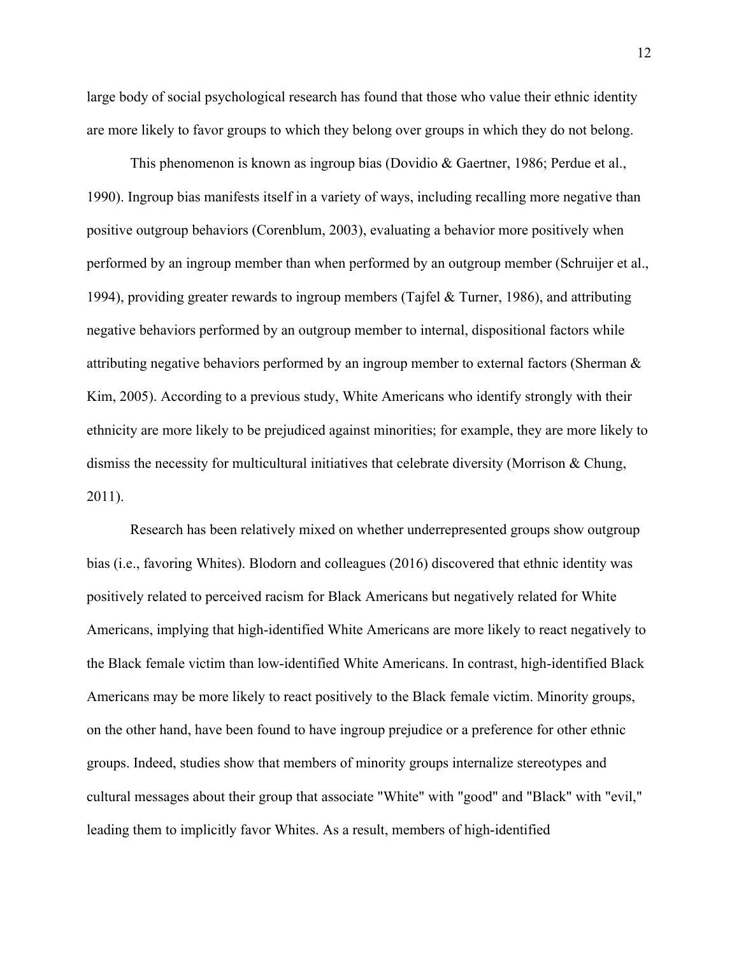large body of social psychological research has found that those who value their ethnic identity are more likely to favor groups to which they belong over groups in which they do not belong.

This phenomenon is known as ingroup bias (Dovidio & Gaertner, 1986; Perdue et al., 1990). Ingroup bias manifests itself in a variety of ways, including recalling more negative than positive outgroup behaviors (Corenblum, 2003), evaluating a behavior more positively when performed by an ingroup member than when performed by an outgroup member (Schruijer et al., 1994), providing greater rewards to ingroup members (Tajfel & Turner, 1986), and attributing negative behaviors performed by an outgroup member to internal, dispositional factors while attributing negative behaviors performed by an ingroup member to external factors (Sherman & Kim, 2005). According to a previous study, White Americans who identify strongly with their ethnicity are more likely to be prejudiced against minorities; for example, they are more likely to dismiss the necessity for multicultural initiatives that celebrate diversity (Morrison & Chung, 2011).

Research has been relatively mixed on whether underrepresented groups show outgroup bias (i.e., favoring Whites). Blodorn and colleagues (2016) discovered that ethnic identity was positively related to perceived racism for Black Americans but negatively related for White Americans, implying that high-identified White Americans are more likely to react negatively to the Black female victim than low-identified White Americans. In contrast, high-identified Black Americans may be more likely to react positively to the Black female victim. Minority groups, on the other hand, have been found to have ingroup prejudice or a preference for other ethnic groups. Indeed, studies show that members of minority groups internalize stereotypes and cultural messages about their group that associate "White" with "good" and "Black" with "evil," leading them to implicitly favor Whites. As a result, members of high-identified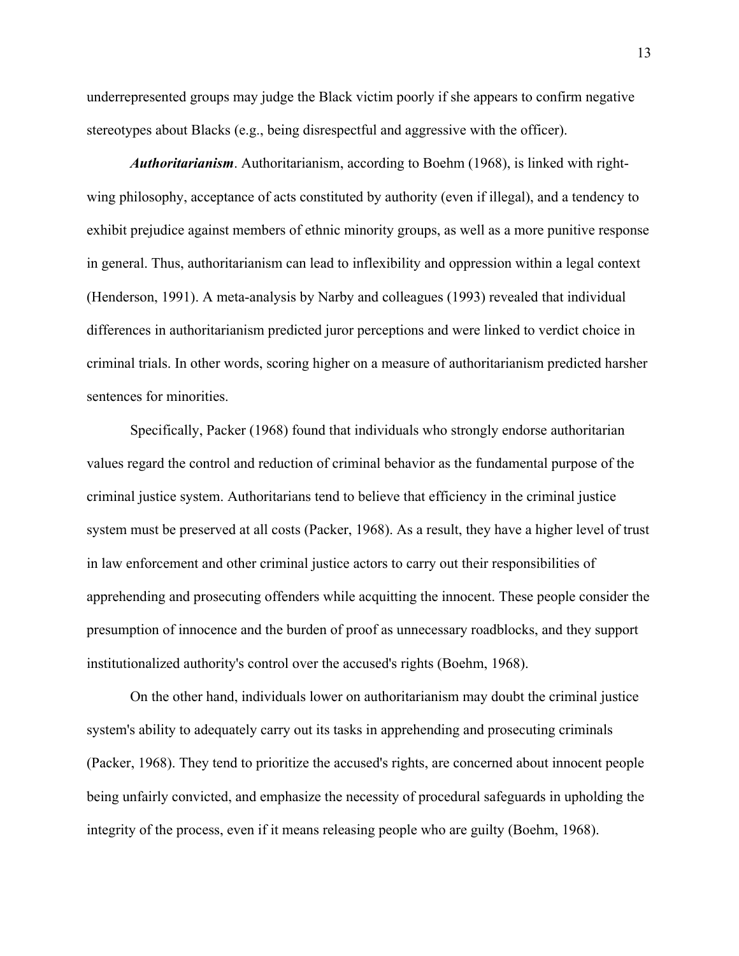underrepresented groups may judge the Black victim poorly if she appears to confirm negative stereotypes about Blacks (e.g., being disrespectful and aggressive with the officer).

*Authoritarianism*. Authoritarianism, according to Boehm (1968), is linked with rightwing philosophy, acceptance of acts constituted by authority (even if illegal), and a tendency to exhibit prejudice against members of ethnic minority groups, as well as a more punitive response in general. Thus, authoritarianism can lead to inflexibility and oppression within a legal context (Henderson, 1991). A meta-analysis by Narby and colleagues (1993) revealed that individual differences in authoritarianism predicted juror perceptions and were linked to verdict choice in criminal trials. In other words, scoring higher on a measure of authoritarianism predicted harsher sentences for minorities.

Specifically, Packer (1968) found that individuals who strongly endorse authoritarian values regard the control and reduction of criminal behavior as the fundamental purpose of the criminal justice system. Authoritarians tend to believe that efficiency in the criminal justice system must be preserved at all costs (Packer, 1968). As a result, they have a higher level of trust in law enforcement and other criminal justice actors to carry out their responsibilities of apprehending and prosecuting offenders while acquitting the innocent. These people consider the presumption of innocence and the burden of proof as unnecessary roadblocks, and they support institutionalized authority's control over the accused's rights (Boehm, 1968).

On the other hand, individuals lower on authoritarianism may doubt the criminal justice system's ability to adequately carry out its tasks in apprehending and prosecuting criminals (Packer, 1968). They tend to prioritize the accused's rights, are concerned about innocent people being unfairly convicted, and emphasize the necessity of procedural safeguards in upholding the integrity of the process, even if it means releasing people who are guilty (Boehm, 1968).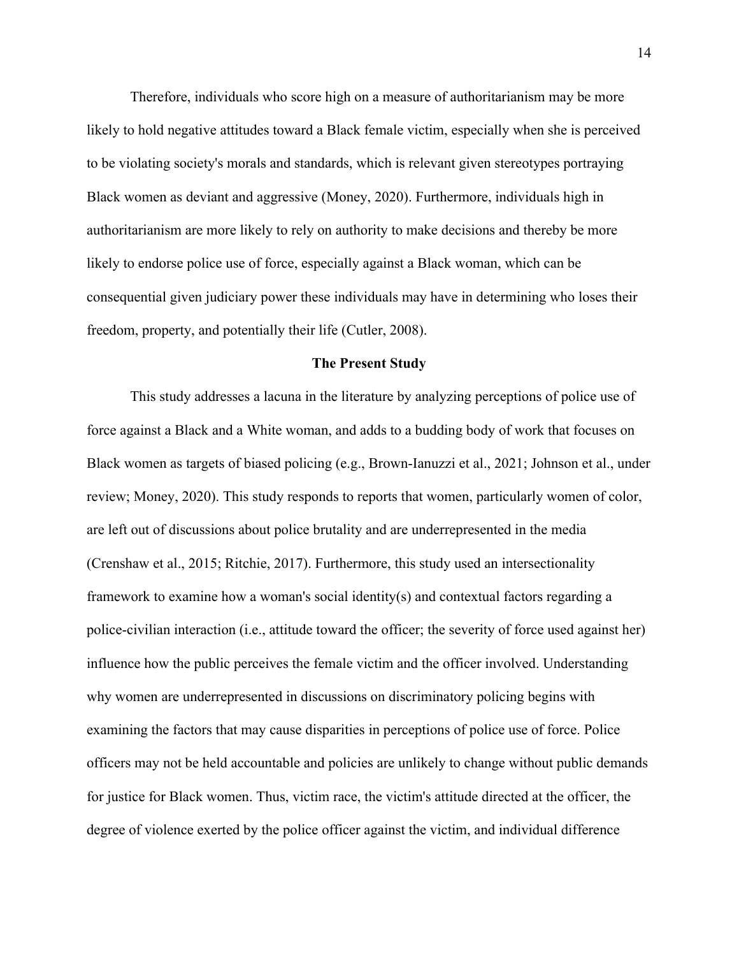Therefore, individuals who score high on a measure of authoritarianism may be more likely to hold negative attitudes toward a Black female victim, especially when she is perceived to be violating society's morals and standards, which is relevant given stereotypes portraying Black women as deviant and aggressive (Money, 2020). Furthermore, individuals high in authoritarianism are more likely to rely on authority to make decisions and thereby be more likely to endorse police use of force, especially against a Black woman, which can be consequential given judiciary power these individuals may have in determining who loses their freedom, property, and potentially their life (Cutler, 2008).

## **The Present Study**

This study addresses a lacuna in the literature by analyzing perceptions of police use of force against a Black and a White woman, and adds to a budding body of work that focuses on Black women as targets of biased policing (e.g., Brown-Ianuzzi et al., 2021; Johnson et al., under review; Money, 2020). This study responds to reports that women, particularly women of color, are left out of discussions about police brutality and are underrepresented in the media (Crenshaw et al., 2015; Ritchie, 2017). Furthermore, this study used an intersectionality framework to examine how a woman's social identity(s) and contextual factors regarding a police-civilian interaction (i.e., attitude toward the officer; the severity of force used against her) influence how the public perceives the female victim and the officer involved. Understanding why women are underrepresented in discussions on discriminatory policing begins with examining the factors that may cause disparities in perceptions of police use of force. Police officers may not be held accountable and policies are unlikely to change without public demands for justice for Black women. Thus, victim race, the victim's attitude directed at the officer, the degree of violence exerted by the police officer against the victim, and individual difference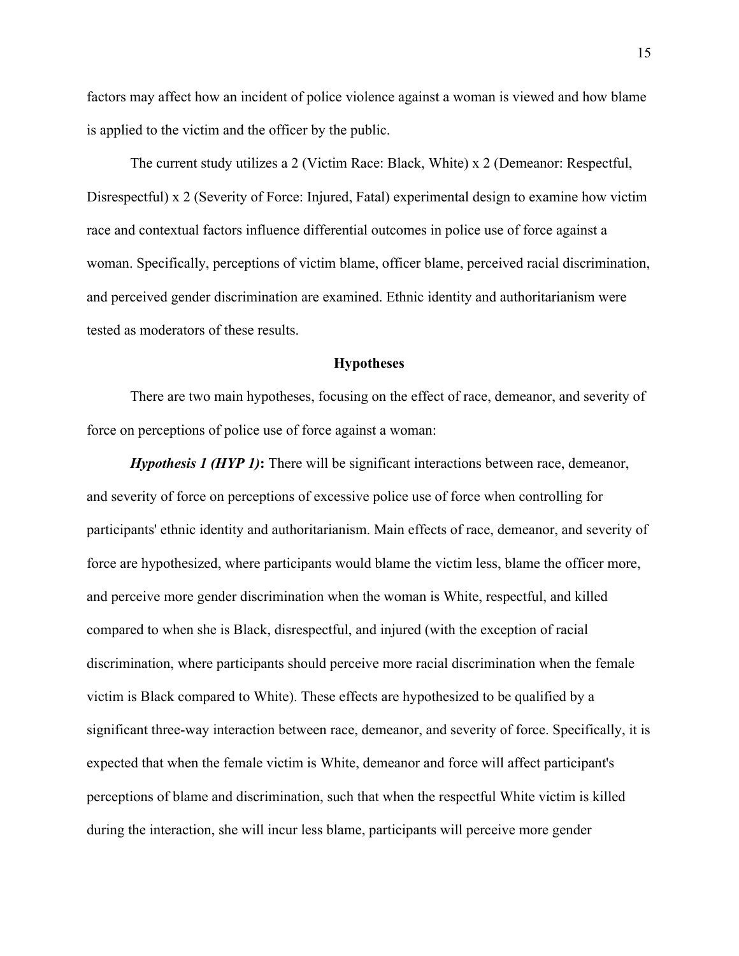factors may affect how an incident of police violence against a woman is viewed and how blame is applied to the victim and the officer by the public.

The current study utilizes a 2 (Victim Race: Black, White) x 2 (Demeanor: Respectful, Disrespectful) x 2 (Severity of Force: Injured, Fatal) experimental design to examine how victim race and contextual factors influence differential outcomes in police use of force against a woman. Specifically, perceptions of victim blame, officer blame, perceived racial discrimination, and perceived gender discrimination are examined. Ethnic identity and authoritarianism were tested as moderators of these results.

## **Hypotheses**

There are two main hypotheses, focusing on the effect of race, demeanor, and severity of force on perceptions of police use of force against a woman:

*Hypothesis 1 (HYP 1)*: There will be significant interactions between race, demeanor, and severity of force on perceptions of excessive police use of force when controlling for participants' ethnic identity and authoritarianism. Main effects of race, demeanor, and severity of force are hypothesized, where participants would blame the victim less, blame the officer more, and perceive more gender discrimination when the woman is White, respectful, and killed compared to when she is Black, disrespectful, and injured (with the exception of racial discrimination, where participants should perceive more racial discrimination when the female victim is Black compared to White). These effects are hypothesized to be qualified by a significant three-way interaction between race, demeanor, and severity of force. Specifically, it is expected that when the female victim is White, demeanor and force will affect participant's perceptions of blame and discrimination, such that when the respectful White victim is killed during the interaction, she will incur less blame, participants will perceive more gender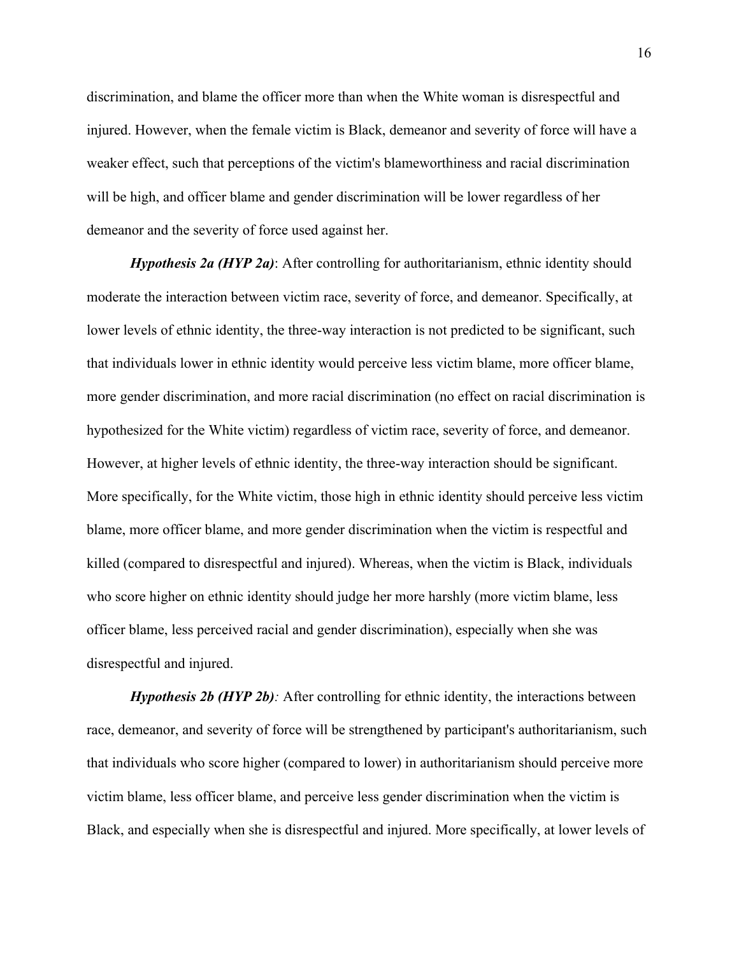discrimination, and blame the officer more than when the White woman is disrespectful and injured. However, when the female victim is Black, demeanor and severity of force will have a weaker effect, such that perceptions of the victim's blameworthiness and racial discrimination will be high, and officer blame and gender discrimination will be lower regardless of her demeanor and the severity of force used against her.

*Hypothesis 2a (HYP 2a)*: After controlling for authoritarianism, ethnic identity should moderate the interaction between victim race, severity of force, and demeanor. Specifically, at lower levels of ethnic identity, the three-way interaction is not predicted to be significant, such that individuals lower in ethnic identity would perceive less victim blame, more officer blame, more gender discrimination, and more racial discrimination (no effect on racial discrimination is hypothesized for the White victim) regardless of victim race, severity of force, and demeanor. However, at higher levels of ethnic identity, the three-way interaction should be significant. More specifically, for the White victim, those high in ethnic identity should perceive less victim blame, more officer blame, and more gender discrimination when the victim is respectful and killed (compared to disrespectful and injured). Whereas, when the victim is Black, individuals who score higher on ethnic identity should judge her more harshly (more victim blame, less officer blame, less perceived racial and gender discrimination), especially when she was disrespectful and injured.

*Hypothesis 2b (HYP 2b)*: After controlling for ethnic identity, the interactions between race, demeanor, and severity of force will be strengthened by participant's authoritarianism, such that individuals who score higher (compared to lower) in authoritarianism should perceive more victim blame, less officer blame, and perceive less gender discrimination when the victim is Black, and especially when she is disrespectful and injured. More specifically, at lower levels of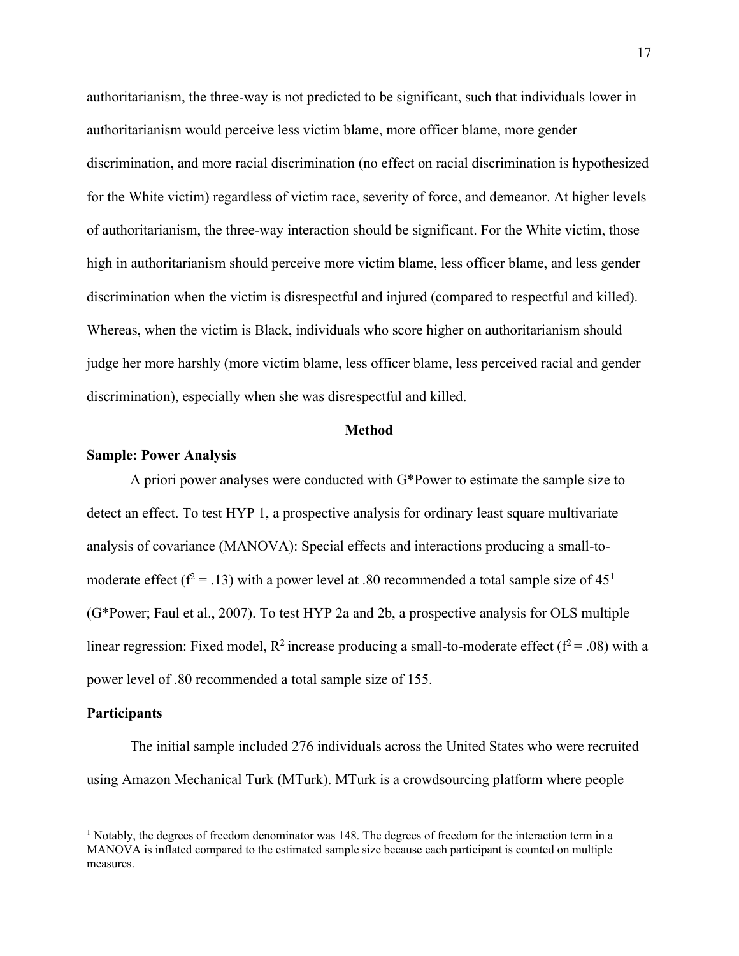authoritarianism, the three-way is not predicted to be significant, such that individuals lower in authoritarianism would perceive less victim blame, more officer blame, more gender discrimination, and more racial discrimination (no effect on racial discrimination is hypothesized for the White victim) regardless of victim race, severity of force, and demeanor. At higher levels of authoritarianism, the three-way interaction should be significant. For the White victim, those high in authoritarianism should perceive more victim blame, less officer blame, and less gender discrimination when the victim is disrespectful and injured (compared to respectful and killed). Whereas, when the victim is Black, individuals who score higher on authoritarianism should judge her more harshly (more victim blame, less officer blame, less perceived racial and gender discrimination), especially when she was disrespectful and killed.

#### **Method**

## **Sample: Power Analysis**

A priori power analyses were conducted with G\*Power to estimate the sample size to detect an effect. To test HYP 1, a prospective analysis for ordinary least square multivariate analysis of covariance (MANOVA): Special effects and interactions producing a small-tomoderate effect ( $f^2 = .13$ ) with a power level at .80 recommended a total sample size of 45<sup>1</sup> (G\*Power; Faul et al., 2007). To test HYP 2a and 2b, a prospective analysis for OLS multiple linear regression: Fixed model,  $R^2$  increase producing a small-to-moderate effect ( $f^2 = .08$ ) with a power level of .80 recommended a total sample size of 155.

# **Participants**

The initial sample included 276 individuals across the United States who were recruited using Amazon Mechanical Turk (MTurk). MTurk is a crowdsourcing platform where people

<sup>&</sup>lt;sup>1</sup> Notably, the degrees of freedom denominator was 148. The degrees of freedom for the interaction term in a MANOVA is inflated compared to the estimated sample size because each participant is counted on multiple measures.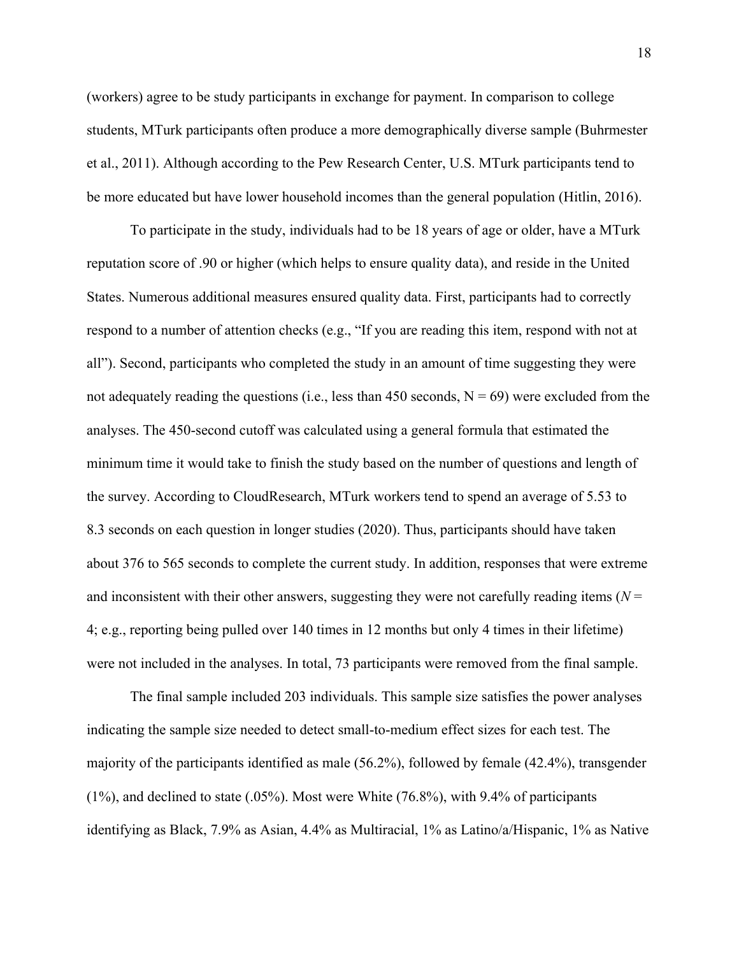(workers) agree to be study participants in exchange for payment. In comparison to college students, MTurk participants often produce a more demographically diverse sample (Buhrmester et al., 2011). Although according to the Pew Research Center, U.S. MTurk participants tend to be more educated but have lower household incomes than the general population (Hitlin, 2016).

To participate in the study, individuals had to be 18 years of age or older, have a MTurk reputation score of .90 or higher (which helps to ensure quality data), and reside in the United States. Numerous additional measures ensured quality data. First, participants had to correctly respond to a number of attention checks (e.g., "If you are reading this item, respond with not at all"). Second, participants who completed the study in an amount of time suggesting they were not adequately reading the questions (i.e., less than 450 seconds,  $N = 69$ ) were excluded from the analyses. The 450-second cutoff was calculated using a general formula that estimated the minimum time it would take to finish the study based on the number of questions and length of the survey. According to CloudResearch, MTurk workers tend to spend an average of 5.53 to 8.3 seconds on each question in longer studies (2020). Thus, participants should have taken about 376 to 565 seconds to complete the current study. In addition, responses that were extreme and inconsistent with their other answers, suggesting they were not carefully reading items  $(N =$ 4; e.g., reporting being pulled over 140 times in 12 months but only 4 times in their lifetime) were not included in the analyses. In total, 73 participants were removed from the final sample.

The final sample included 203 individuals. This sample size satisfies the power analyses indicating the sample size needed to detect small-to-medium effect sizes for each test. The majority of the participants identified as male (56.2%), followed by female (42.4%), transgender (1%), and declined to state (.05%). Most were White (76.8%), with 9.4% of participants identifying as Black, 7.9% as Asian, 4.4% as Multiracial, 1% as Latino/a/Hispanic, 1% as Native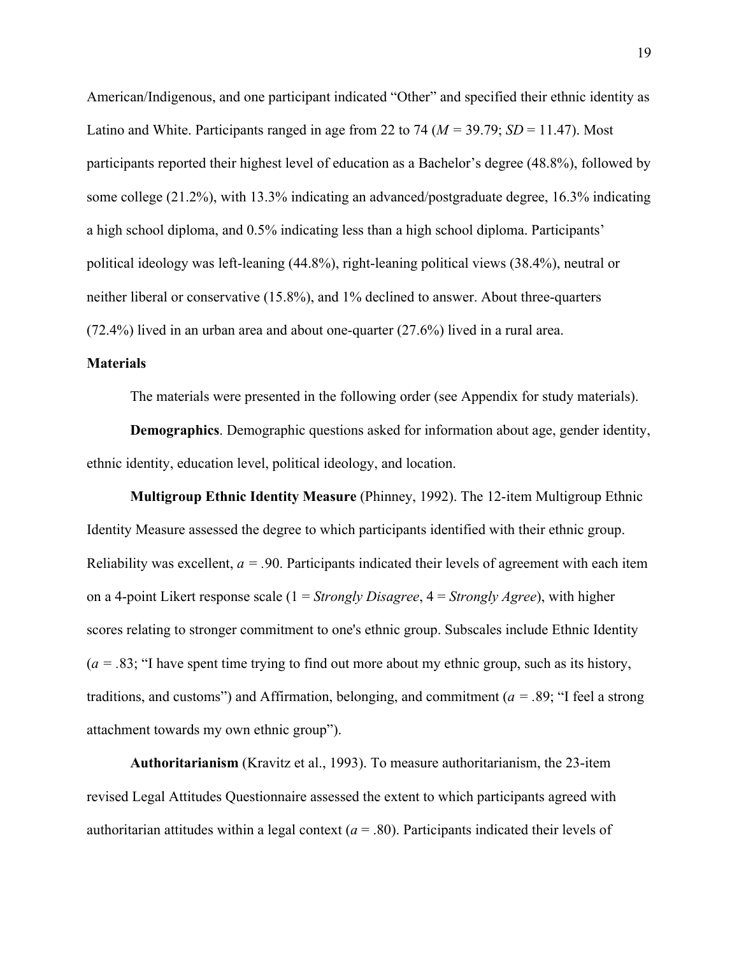American/Indigenous, and one participant indicated "Other" and specified their ethnic identity as Latino and White. Participants ranged in age from 22 to 74 ( $M = 39.79$ ;  $SD = 11.47$ ). Most participants reported their highest level of education as a Bachelor's degree (48.8%), followed by some college (21.2%), with 13.3% indicating an advanced/postgraduate degree, 16.3% indicating a high school diploma, and 0.5% indicating less than a high school diploma. Participants' political ideology was left-leaning (44.8%), right-leaning political views (38.4%), neutral or neither liberal or conservative (15.8%), and 1% declined to answer. About three-quarters (72.4%) lived in an urban area and about one-quarter (27.6%) lived in a rural area.

# **Materials**

The materials were presented in the following order (see Appendix for study materials).

**Demographics**. Demographic questions asked for information about age, gender identity, ethnic identity, education level, political ideology, and location.

**Multigroup Ethnic Identity Measure** (Phinney, 1992). The 12-item Multigroup Ethnic Identity Measure assessed the degree to which participants identified with their ethnic group. Reliability was excellent,  $a = 0.90$ . Participants indicated their levels of agreement with each item on a 4-point Likert response scale (1 = *Strongly Disagree*, 4 = *Strongly Agree*), with higher scores relating to stronger commitment to one's ethnic group. Subscales include Ethnic Identity  $(a = .83;$  "I have spent time trying to find out more about my ethnic group, such as its history, traditions, and customs") and Affirmation, belonging, and commitment (*a = .*89; "I feel a strong attachment towards my own ethnic group").

**Authoritarianism** (Kravitz et al., 1993). To measure authoritarianism, the 23-item revised Legal Attitudes Questionnaire assessed the extent to which participants agreed with authoritarian attitudes within a legal context ( $a = .80$ ). Participants indicated their levels of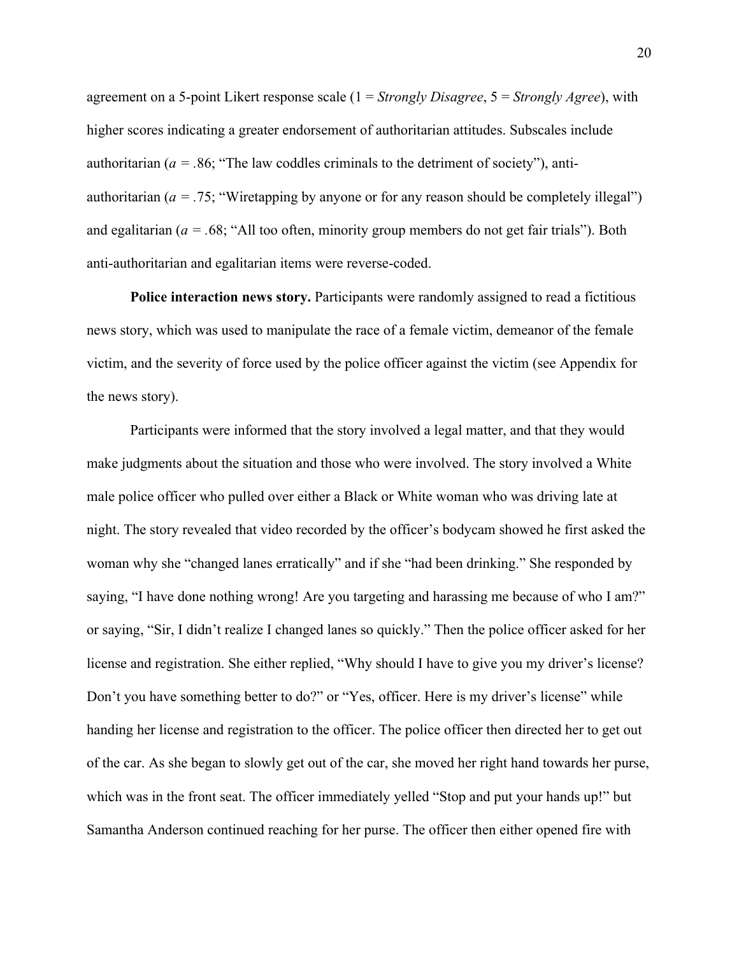agreement on a 5-point Likert response scale (1 = *Strongly Disagree*, 5 = *Strongly Agree*), with higher scores indicating a greater endorsement of authoritarian attitudes. Subscales include authoritarian ( $a = 0.86$ ; "The law coddles criminals to the detriment of society"), antiauthoritarian ( $a = .75$ ; "Wiretapping by anyone or for any reason should be completely illegal") and egalitarian (*a = .*68; "All too often, minority group members do not get fair trials"). Both anti-authoritarian and egalitarian items were reverse-coded.

**Police interaction news story.** Participants were randomly assigned to read a fictitious news story, which was used to manipulate the race of a female victim, demeanor of the female victim, and the severity of force used by the police officer against the victim (see Appendix for the news story).

Participants were informed that the story involved a legal matter, and that they would make judgments about the situation and those who were involved. The story involved a White male police officer who pulled over either a Black or White woman who was driving late at night. The story revealed that video recorded by the officer's bodycam showed he first asked the woman why she "changed lanes erratically" and if she "had been drinking." She responded by saying, "I have done nothing wrong! Are you targeting and harassing me because of who I am?" or saying, "Sir, I didn't realize I changed lanes so quickly." Then the police officer asked for her license and registration. She either replied, "Why should I have to give you my driver's license? Don't you have something better to do?" or "Yes, officer. Here is my driver's license" while handing her license and registration to the officer. The police officer then directed her to get out of the car. As she began to slowly get out of the car, she moved her right hand towards her purse, which was in the front seat. The officer immediately yelled "Stop and put your hands up!" but Samantha Anderson continued reaching for her purse. The officer then either opened fire with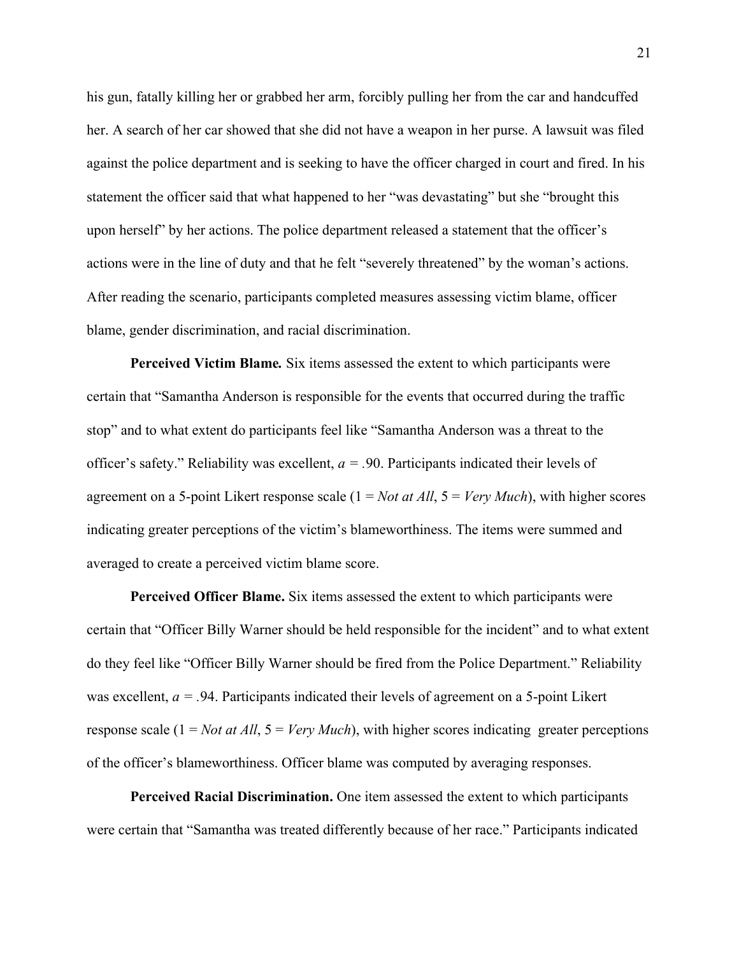his gun, fatally killing her or grabbed her arm, forcibly pulling her from the car and handcuffed her. A search of her car showed that she did not have a weapon in her purse. A lawsuit was filed against the police department and is seeking to have the officer charged in court and fired. In his statement the officer said that what happened to her "was devastating" but she "brought this upon herself" by her actions. The police department released a statement that the officer's actions were in the line of duty and that he felt "severely threatened" by the woman's actions. After reading the scenario, participants completed measures assessing victim blame, officer blame, gender discrimination, and racial discrimination.

**Perceived Victim Blame***.* Six items assessed the extent to which participants were certain that "Samantha Anderson is responsible for the events that occurred during the traffic stop" and to what extent do participants feel like "Samantha Anderson was a threat to the officer's safety." Reliability was excellent, *a = .*90. Participants indicated their levels of agreement on a 5-point Likert response scale (1 = *Not at All*, 5 = *Very Much*), with higher scores indicating greater perceptions of the victim's blameworthiness. The items were summed and averaged to create a perceived victim blame score.

**Perceived Officer Blame.** Six items assessed the extent to which participants were certain that "Officer Billy Warner should be held responsible for the incident" and to what extent do they feel like "Officer Billy Warner should be fired from the Police Department." Reliability was excellent,  $a = .94$ . Participants indicated their levels of agreement on a 5-point Likert response scale (1 = *Not at All*, 5 = *Very Much*), with higher scores indicating greater perceptions of the officer's blameworthiness. Officer blame was computed by averaging responses.

**Perceived Racial Discrimination.** One item assessed the extent to which participants were certain that "Samantha was treated differently because of her race." Participants indicated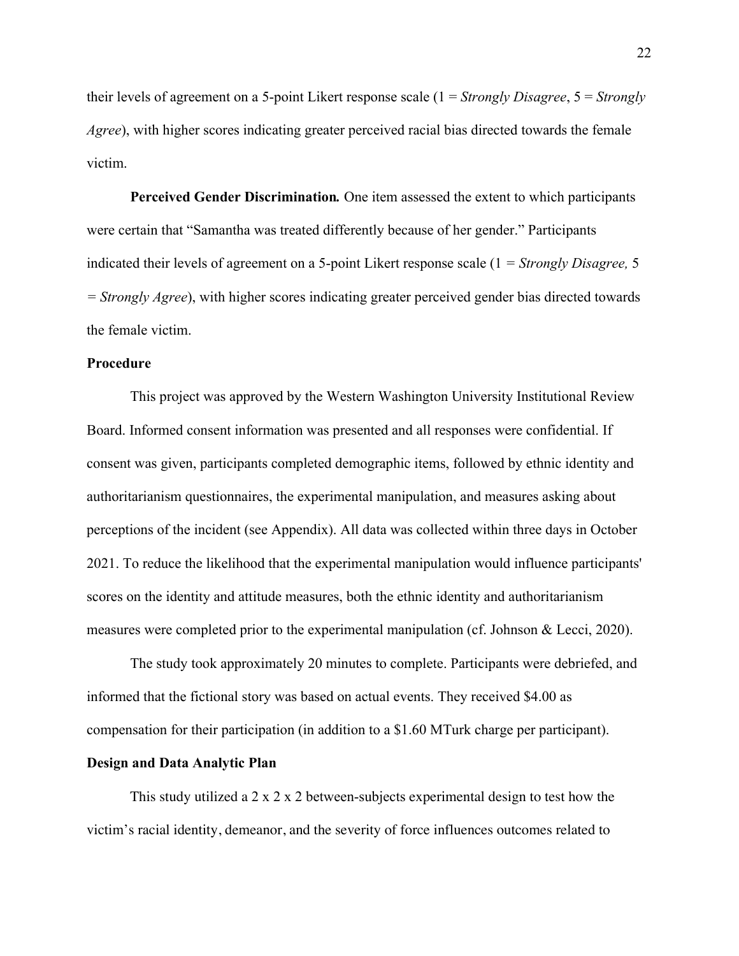their levels of agreement on a 5-point Likert response scale (1 = *Strongly Disagree*, 5 = *Strongly Agree*), with higher scores indicating greater perceived racial bias directed towards the female victim.

**Perceived Gender Discrimination***.* One item assessed the extent to which participants were certain that "Samantha was treated differently because of her gender." Participants indicated their levels of agreement on a 5-point Likert response scale (1 *= Strongly Disagree,* 5 *= Strongly Agree*), with higher scores indicating greater perceived gender bias directed towards the female victim.

# **Procedure**

This project was approved by the Western Washington University Institutional Review Board. Informed consent information was presented and all responses were confidential. If consent was given, participants completed demographic items, followed by ethnic identity and authoritarianism questionnaires, the experimental manipulation, and measures asking about perceptions of the incident (see Appendix). All data was collected within three days in October 2021. To reduce the likelihood that the experimental manipulation would influence participants' scores on the identity and attitude measures, both the ethnic identity and authoritarianism measures were completed prior to the experimental manipulation (cf. Johnson & Lecci, 2020).

The study took approximately 20 minutes to complete. Participants were debriefed, and informed that the fictional story was based on actual events. They received \$4.00 as compensation for their participation (in addition to a \$1.60 MTurk charge per participant).

# **Design and Data Analytic Plan**

This study utilized a 2 x 2 x 2 between-subjects experimental design to test how the victim's racial identity, demeanor, and the severity of force influences outcomes related to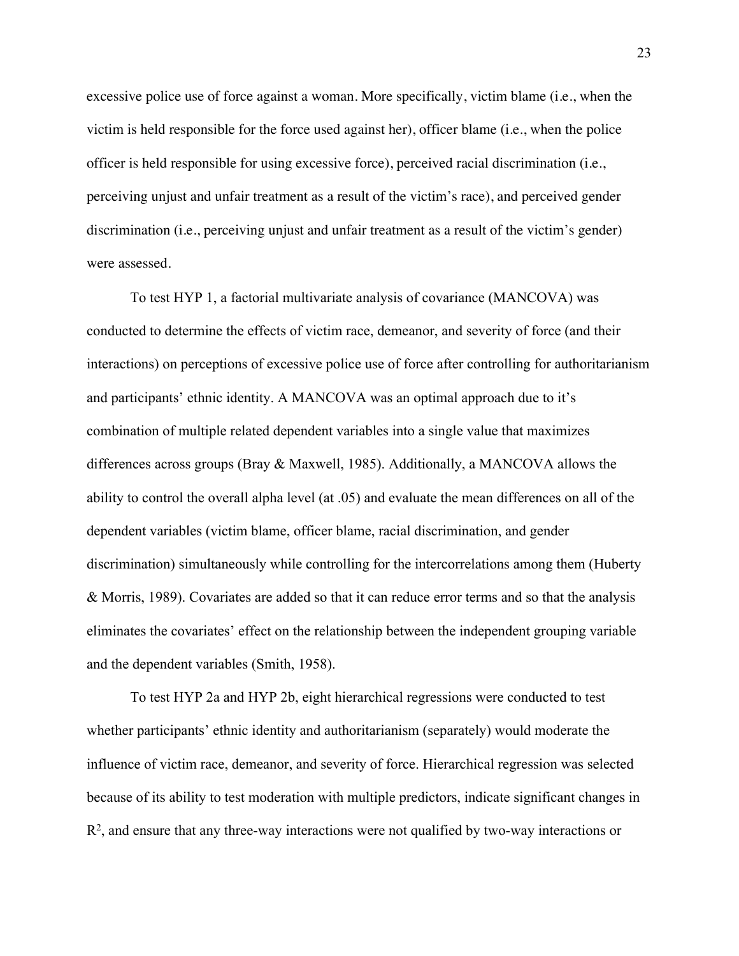excessive police use of force against a woman. More specifically, victim blame (i.e., when the victim is held responsible for the force used against her), officer blame (i.e., when the police officer is held responsible for using excessive force), perceived racial discrimination (i.e., perceiving unjust and unfair treatment as a result of the victim's race), and perceived gender discrimination (i.e., perceiving unjust and unfair treatment as a result of the victim's gender) were assessed.

To test HYP 1, a factorial multivariate analysis of covariance (MANCOVA) was conducted to determine the effects of victim race, demeanor, and severity of force (and their interactions) on perceptions of excessive police use of force after controlling for authoritarianism and participants' ethnic identity. A MANCOVA was an optimal approach due to it's combination of multiple related dependent variables into a single value that maximizes differences across groups (Bray & Maxwell, 1985). Additionally, a MANCOVA allows the ability to control the overall alpha level (at .05) and evaluate the mean differences on all of the dependent variables (victim blame, officer blame, racial discrimination, and gender discrimination) simultaneously while controlling for the intercorrelations among them (Huberty & Morris, 1989). Covariates are added so that it can reduce error terms and so that the analysis eliminates the covariates' effect on the relationship between the independent grouping variable and the dependent variables (Smith, 1958).

To test HYP 2a and HYP 2b, eight hierarchical regressions were conducted to test whether participants' ethnic identity and authoritarianism (separately) would moderate the influence of victim race, demeanor, and severity of force. Hierarchical regression was selected because of its ability to test moderation with multiple predictors, indicate significant changes in  $R<sup>2</sup>$ , and ensure that any three-way interactions were not qualified by two-way interactions or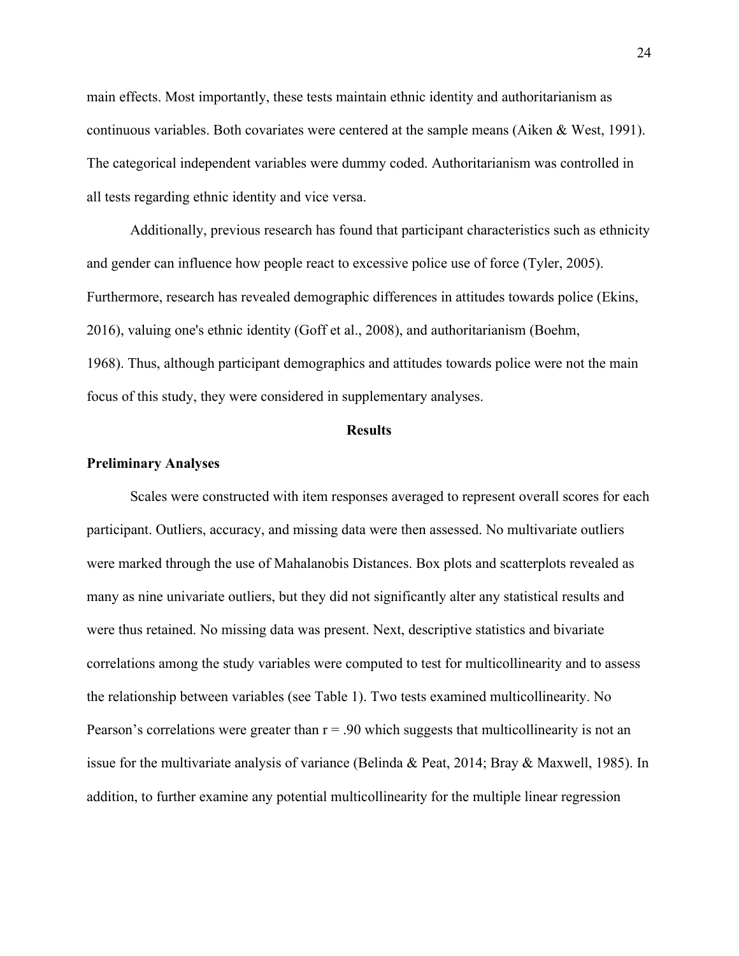main effects. Most importantly, these tests maintain ethnic identity and authoritarianism as continuous variables. Both covariates were centered at the sample means (Aiken & West, 1991). The categorical independent variables were dummy coded. Authoritarianism was controlled in all tests regarding ethnic identity and vice versa.

Additionally, previous research has found that participant characteristics such as ethnicity and gender can influence how people react to excessive police use of force (Tyler, 2005). Furthermore, research has revealed demographic differences in attitudes towards police (Ekins, 2016), valuing one's ethnic identity (Goff et al., 2008), and authoritarianism (Boehm, 1968). Thus, although participant demographics and attitudes towards police were not the main focus of this study, they were considered in supplementary analyses.

#### **Results**

#### **Preliminary Analyses**

Scales were constructed with item responses averaged to represent overall scores for each participant. Outliers, accuracy, and missing data were then assessed. No multivariate outliers were marked through the use of Mahalanobis Distances. Box plots and scatterplots revealed as many as nine univariate outliers, but they did not significantly alter any statistical results and were thus retained. No missing data was present. Next, descriptive statistics and bivariate correlations among the study variables were computed to test for multicollinearity and to assess the relationship between variables (see Table 1). Two tests examined multicollinearity. No Pearson's correlations were greater than  $r = .90$  which suggests that multicollinearity is not an issue for the multivariate analysis of variance (Belinda & Peat, 2014; Bray & Maxwell, 1985). In addition, to further examine any potential multicollinearity for the multiple linear regression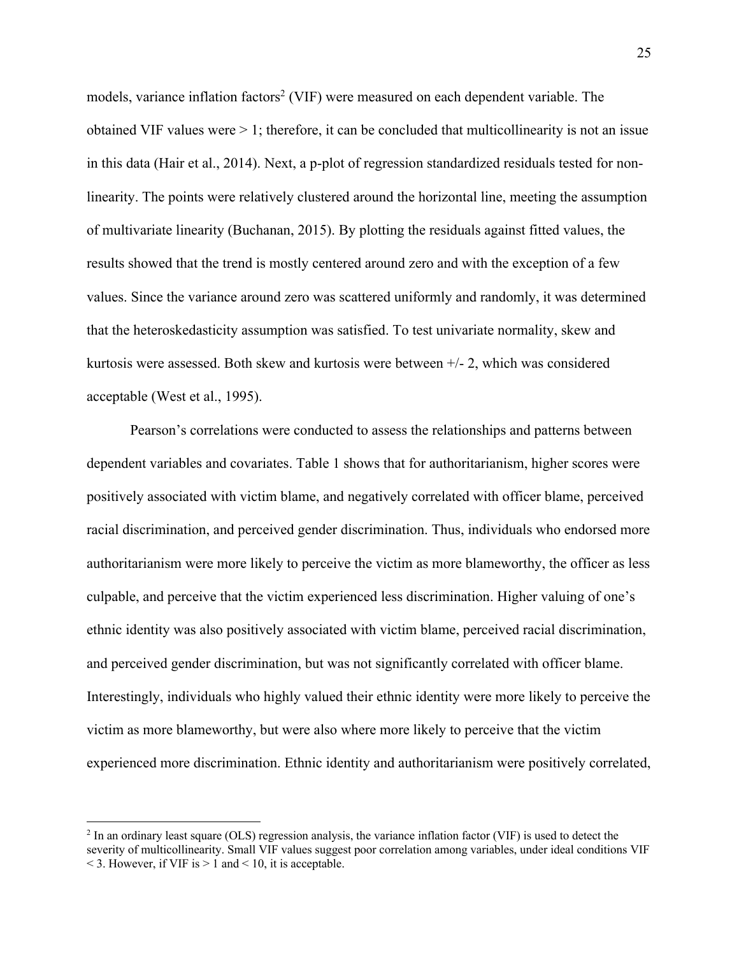models, variance inflation factors<sup>2</sup> (VIF) were measured on each dependent variable. The obtained VIF values were  $> 1$ ; therefore, it can be concluded that multicollinearity is not an issue in this data (Hair et al., 2014). Next, a p-plot of regression standardized residuals tested for nonlinearity. The points were relatively clustered around the horizontal line, meeting the assumption of multivariate linearity (Buchanan, 2015). By plotting the residuals against fitted values, the results showed that the trend is mostly centered around zero and with the exception of a few values. Since the variance around zero was scattered uniformly and randomly, it was determined that the heteroskedasticity assumption was satisfied. To test univariate normality, skew and kurtosis were assessed. Both skew and kurtosis were between +/- 2, which was considered acceptable (West et al., 1995).

Pearson's correlations were conducted to assess the relationships and patterns between dependent variables and covariates. Table 1 shows that for authoritarianism, higher scores were positively associated with victim blame, and negatively correlated with officer blame, perceived racial discrimination, and perceived gender discrimination. Thus, individuals who endorsed more authoritarianism were more likely to perceive the victim as more blameworthy, the officer as less culpable, and perceive that the victim experienced less discrimination. Higher valuing of one's ethnic identity was also positively associated with victim blame, perceived racial discrimination, and perceived gender discrimination, but was not significantly correlated with officer blame. Interestingly, individuals who highly valued their ethnic identity were more likely to perceive the victim as more blameworthy, but were also where more likely to perceive that the victim experienced more discrimination. Ethnic identity and authoritarianism were positively correlated,

<sup>&</sup>lt;sup>2</sup> In an ordinary least square (OLS) regression analysis, the variance inflation factor (VIF) is used to detect the severity of multicollinearity. Small VIF values suggest poor correlation among variables, under ideal conditions VIF  $\leq$  3. However, if VIF is  $> 1$  and  $\leq$  10, it is acceptable.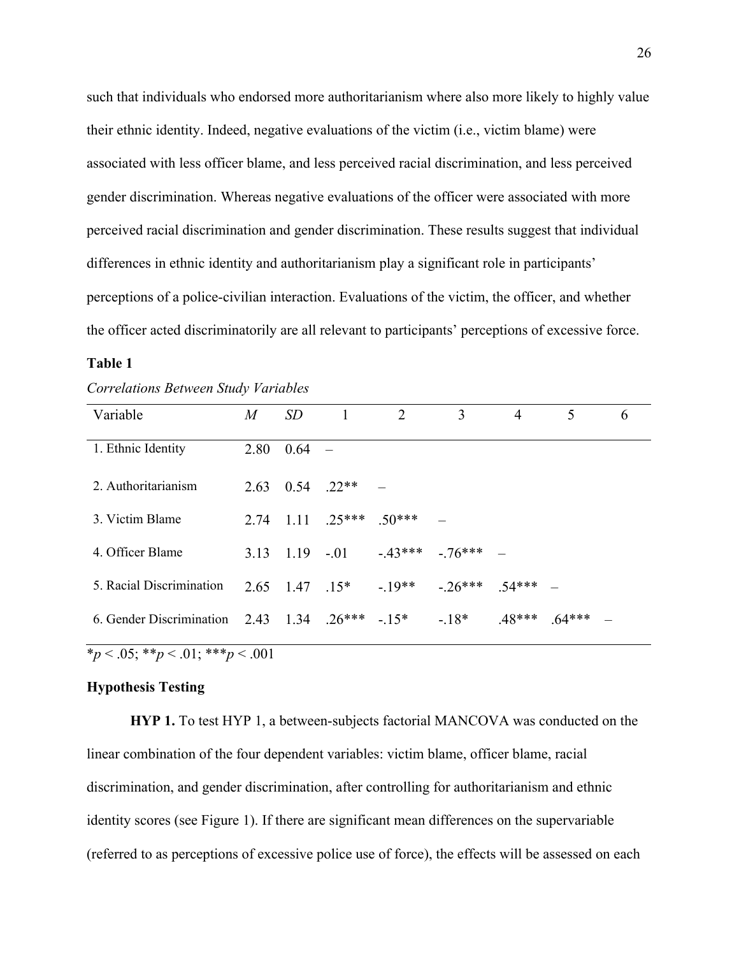such that individuals who endorsed more authoritarianism where also more likely to highly value their ethnic identity. Indeed, negative evaluations of the victim (i.e., victim blame) were associated with less officer blame, and less perceived racial discrimination, and less perceived gender discrimination. Whereas negative evaluations of the officer were associated with more perceived racial discrimination and gender discrimination. These results suggest that individual differences in ethnic identity and authoritarianism play a significant role in participants' perceptions of a police-civilian interaction. Evaluations of the victim, the officer, and whether the officer acted discriminatorily are all relevant to participants' perceptions of excessive force.

# **Table 1**

| Variable                                            | $\overline{M}$ | SD       | -1                 | 2                 | 3                     | 4        | 5        | 6 |
|-----------------------------------------------------|----------------|----------|--------------------|-------------------|-----------------------|----------|----------|---|
| 1. Ethnic Identity                                  | 2.80           | $0.64 -$ |                    |                   |                       |          |          |   |
| 2. Authoritarianism                                 | 2.63           |          | $0.54$ .22**       |                   |                       |          |          |   |
| 3. Victim Blame                                     | 2.74           | -1.11    |                    | $.25***$ $.50***$ |                       |          |          |   |
| 4. Officer Blame                                    | 3.13           |          | $1.19 - 0.01$      |                   | $-43***$ $-76***$ $-$ |          |          |   |
| 5. Racial Discrimination                            |                |          | $2.65$ 1.47 $.15*$ | $-19**$           | $-.26***$ .54*** –    |          |          |   |
| 6. Gender Discrimination 2.43 $1.34$ .26*** $-.15*$ |                |          |                    |                   | $-.18*$               | $.48***$ | $.64***$ |   |

 $\overline{\ast p}$  < .05;  $\overline{\ast p}$  < .01;  $\overline{\ast \ast p}$  < .001

# **Hypothesis Testing**

**HYP 1.** To test HYP 1, a between-subjects factorial MANCOVA was conducted on the linear combination of the four dependent variables: victim blame, officer blame, racial discrimination, and gender discrimination, after controlling for authoritarianism and ethnic identity scores (see Figure 1). If there are significant mean differences on the supervariable (referred to as perceptions of excessive police use of force), the effects will be assessed on each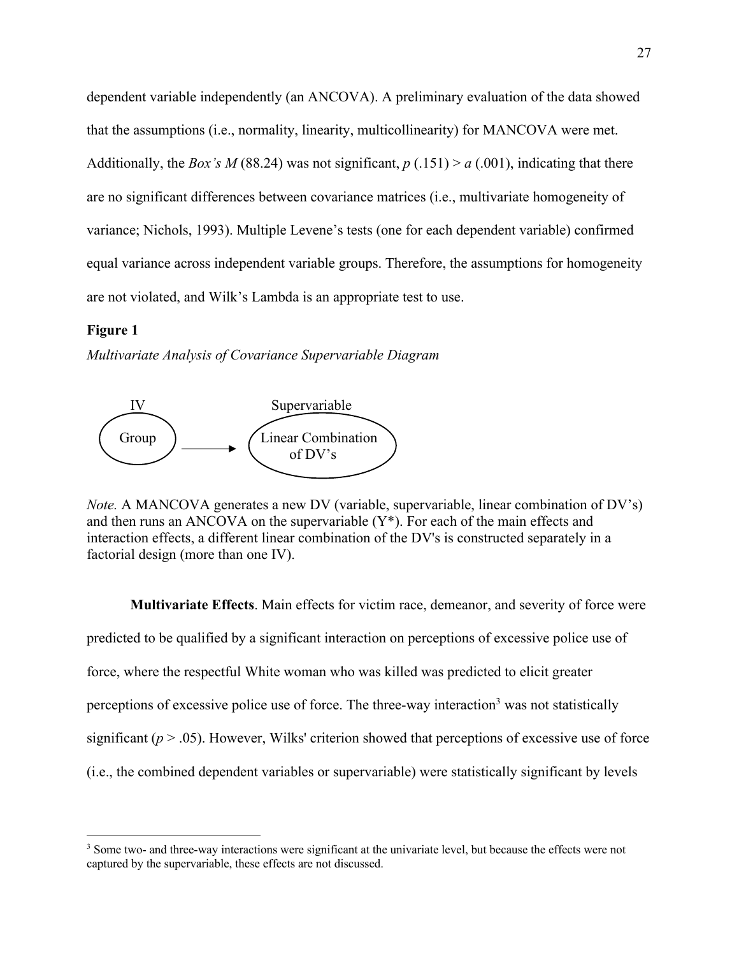dependent variable independently (an ANCOVA). A preliminary evaluation of the data showed that the assumptions (i.e., normality, linearity, multicollinearity) for MANCOVA were met. Additionally, the *Box's M* (88.24) was not significant,  $p(0.151) > a(0.001)$ , indicating that there are no significant differences between covariance matrices (i.e., multivariate homogeneity of variance; Nichols, 1993). Multiple Levene's tests (one for each dependent variable) confirmed equal variance across independent variable groups. Therefore, the assumptions for homogeneity are not violated, and Wilk's Lambda is an appropriate test to use.

## **Figure 1**

*Multivariate Analysis of Covariance Supervariable Diagram*



*Note.* A MANCOVA generates a new DV (variable, supervariable, linear combination of DV's) and then runs an ANCOVA on the supervariable (Y\*). For each of the main effects and interaction effects, a different linear combination of the DV's is constructed separately in a factorial design (more than one IV).

**Multivariate Effects**. Main effects for victim race, demeanor, and severity of force were predicted to be qualified by a significant interaction on perceptions of excessive police use of force, where the respectful White woman who was killed was predicted to elicit greater perceptions of excessive police use of force. The three-way interaction<sup>3</sup> was not statistically significant  $(p > .05)$ . However, Wilks' criterion showed that perceptions of excessive use of force (i.e., the combined dependent variables or supervariable) were statistically significant by levels

<sup>&</sup>lt;sup>3</sup> Some two- and three-way interactions were significant at the univariate level, but because the effects were not captured by the supervariable, these effects are not discussed.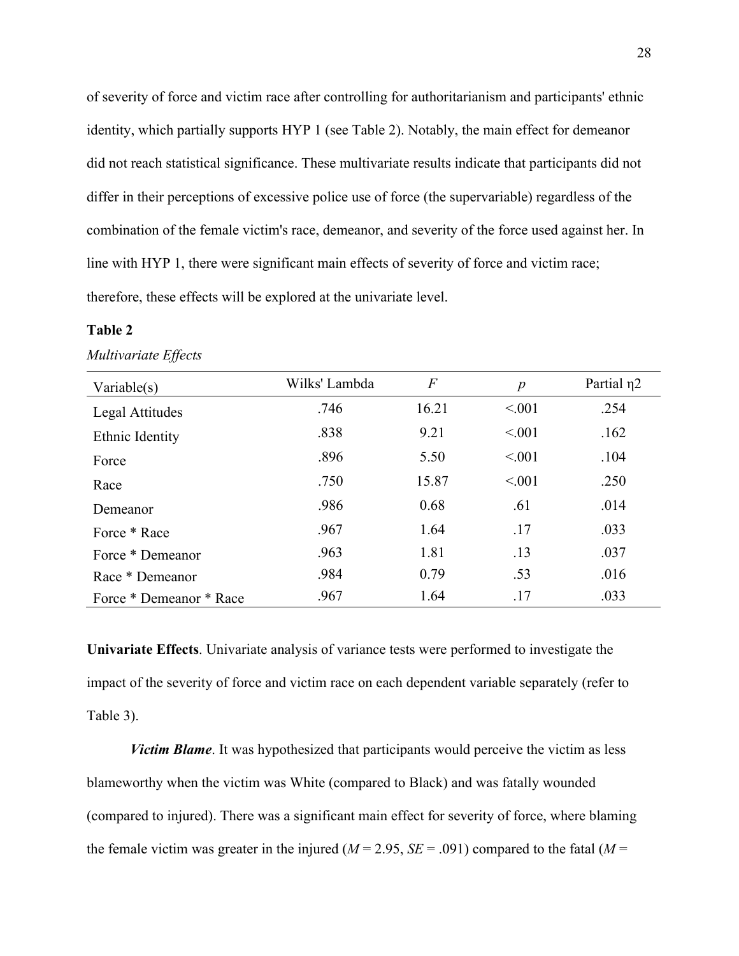of severity of force and victim race after controlling for authoritarianism and participants' ethnic identity, which partially supports HYP 1 (see Table 2). Notably, the main effect for demeanor did not reach statistical significance. These multivariate results indicate that participants did not differ in their perceptions of excessive police use of force (the supervariable) regardless of the combination of the female victim's race, demeanor, and severity of the force used against her. In line with HYP 1, there were significant main effects of severity of force and victim race; therefore, these effects will be explored at the univariate level.

### **Table 2**

| Variable $(s)$          | Wilks' Lambda | $\overline{F}$ | $\boldsymbol{p}$ | Partial n <sub>2</sub> |
|-------------------------|---------------|----------------|------------------|------------------------|
| Legal Attitudes         | .746          | 16.21          | < 0.01           | .254                   |
| Ethnic Identity         | .838          | 9.21           | < 0.01           | .162                   |
| Force                   | .896          | 5.50           | < 0.01           | .104                   |
| Race                    | .750          | 15.87          | < 0.01           | .250                   |
| Demeanor                | .986          | 0.68           | .61              | .014                   |
| Force * Race            | .967          | 1.64           | .17              | .033                   |
| Force * Demeanor        | .963          | 1.81           | .13              | .037                   |
| Race * Demeanor         | .984          | 0.79           | .53              | .016                   |
| Force * Demeanor * Race | .967          | 1.64           | .17              | .033                   |

*Multivariate Effects*

**Univariate Effects**. Univariate analysis of variance tests were performed to investigate the impact of the severity of force and victim race on each dependent variable separately (refer to Table 3).

*Victim Blame*. It was hypothesized that participants would perceive the victim as less blameworthy when the victim was White (compared to Black) and was fatally wounded (compared to injured). There was a significant main effect for severity of force, where blaming the female victim was greater in the injured ( $M = 2.95$ ,  $SE = .091$ ) compared to the fatal ( $M =$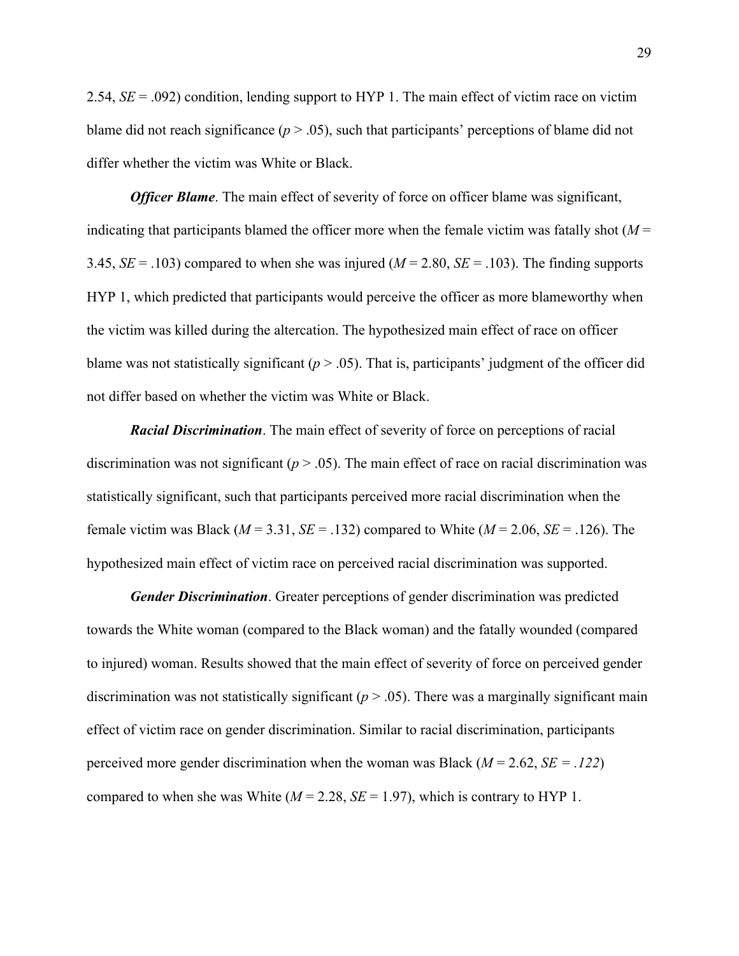2.54, *SE* = .092) condition, lending support to HYP 1. The main effect of victim race on victim blame did not reach significance ( $p > .05$ ), such that participants' perceptions of blame did not differ whether the victim was White or Black.

*Officer Blame*. The main effect of severity of force on officer blame was significant, indicating that participants blamed the officer more when the female victim was fatally shot  $(M =$ 3.45,  $SE = .103$ ) compared to when she was injured ( $M = 2.80$ ,  $SE = .103$ ). The finding supports HYP 1, which predicted that participants would perceive the officer as more blameworthy when the victim was killed during the altercation. The hypothesized main effect of race on officer blame was not statistically significant  $(p > .05)$ . That is, participants' judgment of the officer did not differ based on whether the victim was White or Black.

*Racial Discrimination*. The main effect of severity of force on perceptions of racial discrimination was not significant  $(p > .05)$ . The main effect of race on racial discrimination was statistically significant, such that participants perceived more racial discrimination when the female victim was Black ( $M = 3.31$ ,  $SE = .132$ ) compared to White ( $M = 2.06$ ,  $SE = .126$ ). The hypothesized main effect of victim race on perceived racial discrimination was supported.

*Gender Discrimination*. Greater perceptions of gender discrimination was predicted towards the White woman (compared to the Black woman) and the fatally wounded (compared to injured) woman. Results showed that the main effect of severity of force on perceived gender discrimination was not statistically significant  $(p > .05)$ . There was a marginally significant main effect of victim race on gender discrimination. Similar to racial discrimination, participants perceived more gender discrimination when the woman was Black (*M* = 2.62, *SE = .122*) compared to when she was White  $(M = 2.28, SE = 1.97)$ , which is contrary to HYP 1.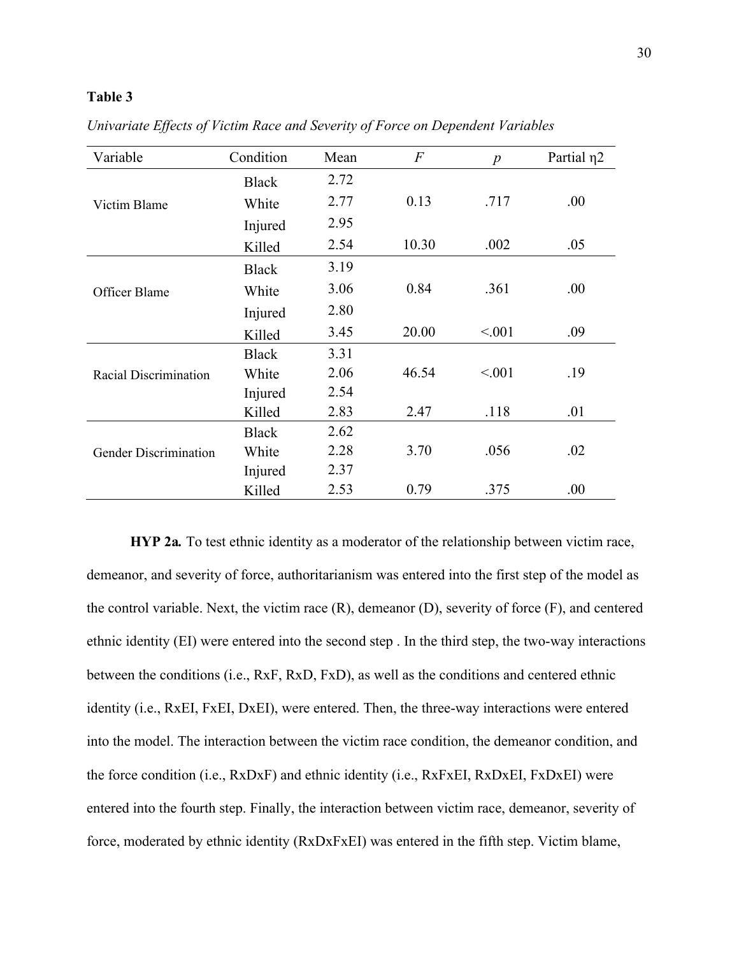# **Table 3**

| Variable                     | Condition    | Mean | $\overline{F}$ | $\boldsymbol{p}$ | Partial $\eta$ 2 |
|------------------------------|--------------|------|----------------|------------------|------------------|
| Victim Blame                 | <b>Black</b> | 2.72 |                |                  |                  |
|                              | White        | 2.77 | 0.13           | .717             | .00.             |
|                              | Injured      | 2.95 |                |                  |                  |
|                              | Killed       | 2.54 | 10.30          | .002             | .05              |
| Officer Blame                | <b>Black</b> | 3.19 |                |                  |                  |
|                              | White        | 3.06 | 0.84           | .361             | .00.             |
|                              | Injured      | 2.80 |                |                  |                  |
|                              | Killed       | 3.45 | 20.00          | < 0.01           | .09              |
| Racial Discrimination        | <b>Black</b> | 3.31 |                |                  |                  |
|                              | White        | 2.06 | 46.54          | < 0.01           | .19              |
|                              | Injured      | 2.54 |                |                  |                  |
|                              | Killed       | 2.83 | 2.47           | .118             | .01              |
| <b>Gender Discrimination</b> | <b>Black</b> | 2.62 |                |                  |                  |
|                              | White        | 2.28 | 3.70           | .056             | .02              |
|                              | Injured      | 2.37 |                |                  |                  |
|                              | Killed       | 2.53 | 0.79           | .375             | .00              |

*Univariate Effects of Victim Race and Severity of Force on Dependent Variables*

**HYP 2a***.* To test ethnic identity as a moderator of the relationship between victim race, demeanor, and severity of force, authoritarianism was entered into the first step of the model as the control variable. Next, the victim race (R), demeanor (D), severity of force (F), and centered ethnic identity (EI) were entered into the second step . In the third step, the two-way interactions between the conditions (i.e., RxF, RxD, FxD), as well as the conditions and centered ethnic identity (i.e., RxEI, FxEI, DxEI), were entered. Then, the three-way interactions were entered into the model. The interaction between the victim race condition, the demeanor condition, and the force condition (i.e., RxDxF) and ethnic identity (i.e., RxFxEI, RxDxEI, FxDxEI) were entered into the fourth step. Finally, the interaction between victim race, demeanor, severity of force, moderated by ethnic identity (RxDxFxEI) was entered in the fifth step. Victim blame,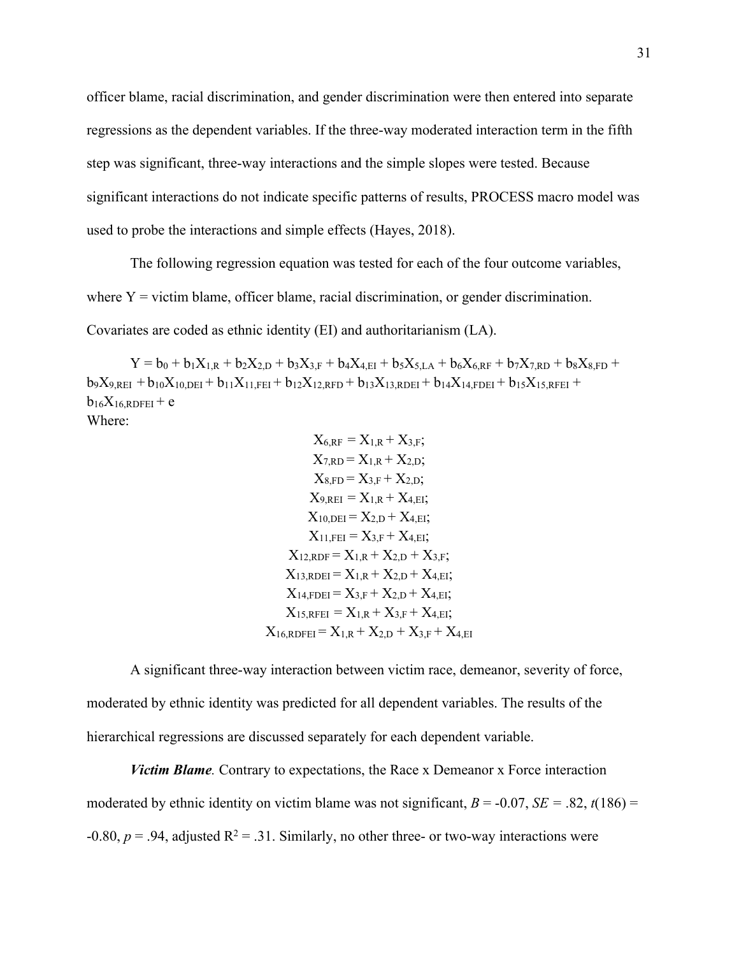officer blame, racial discrimination, and gender discrimination were then entered into separate regressions as the dependent variables. If the three-way moderated interaction term in the fifth step was significant, three-way interactions and the simple slopes were tested. Because significant interactions do not indicate specific patterns of results, PROCESS macro model was used to probe the interactions and simple effects (Hayes, 2018).

The following regression equation was tested for each of the four outcome variables, where  $Y =$  victim blame, officer blame, racial discrimination, or gender discrimination. Covariates are coded as ethnic identity (EI) and authoritarianism (LA).

 $Y = b_0 + b_1 X_{1,R} + b_2 X_{2,D} + b_3 X_{3,F} + b_4 X_{4,EI} + b_5 X_{5,LA} + b_6 X_{6,RF} + b_7 X_{7,RD} + b_8 X_{8,FD} +$  $b_9X_{9,REI} + b_{10}X_{10,DEI} + b_{11}X_{11,FEI} + b_{12}X_{12,RFD} + b_{13}X_{13,RDEI} + b_{14}X_{14,FDEI} + b_{15}X_{15,RFEI} +$  $b_{16}X_{16,RDFEI}+e$ Where:

$$
X_{6,RF} = X_{1,R} + X_{3,F};
$$
  
\n
$$
X_{7,RD} = X_{1,R} + X_{2,D};
$$
  
\n
$$
X_{8,FD} = X_{3,F} + X_{2,D};
$$
  
\n
$$
X_{9,REI} = X_{1,R} + X_{4,EI};
$$
  
\n
$$
X_{10,DEI} = X_{2,D} + X_{4,EI};
$$
  
\n
$$
X_{11,FEI} = X_{3,F} + X_{4,EI};
$$
  
\n
$$
X_{12,RDF} = X_{1,R} + X_{2,D} + X_{3,F};
$$
  
\n
$$
X_{13,RDEI} = X_{1,R} + X_{2,D} + X_{4,EI};
$$
  
\n
$$
X_{14,FDEI} = X_{3,F} + X_{2,D} + X_{4,EI};
$$
  
\n
$$
X_{15,RFEI} = X_{1,R} + X_{3,F} + X_{4,EI};
$$
  
\n
$$
X_{16,RDFEI} = X_{1,R} + X_{2,D} + X_{3,F} + X_{4,EI}
$$

A significant three-way interaction between victim race, demeanor, severity of force, moderated by ethnic identity was predicted for all dependent variables. The results of the hierarchical regressions are discussed separately for each dependent variable.

*Victim Blame.* Contrary to expectations, the Race x Demeanor x Force interaction moderated by ethnic identity on victim blame was not significant,  $B = -0.07$ ,  $SE = .82$ ,  $t(186) =$  $-0.80, p = .94$ , adjusted  $R^2 = .31$ . Similarly, no other three- or two-way interactions were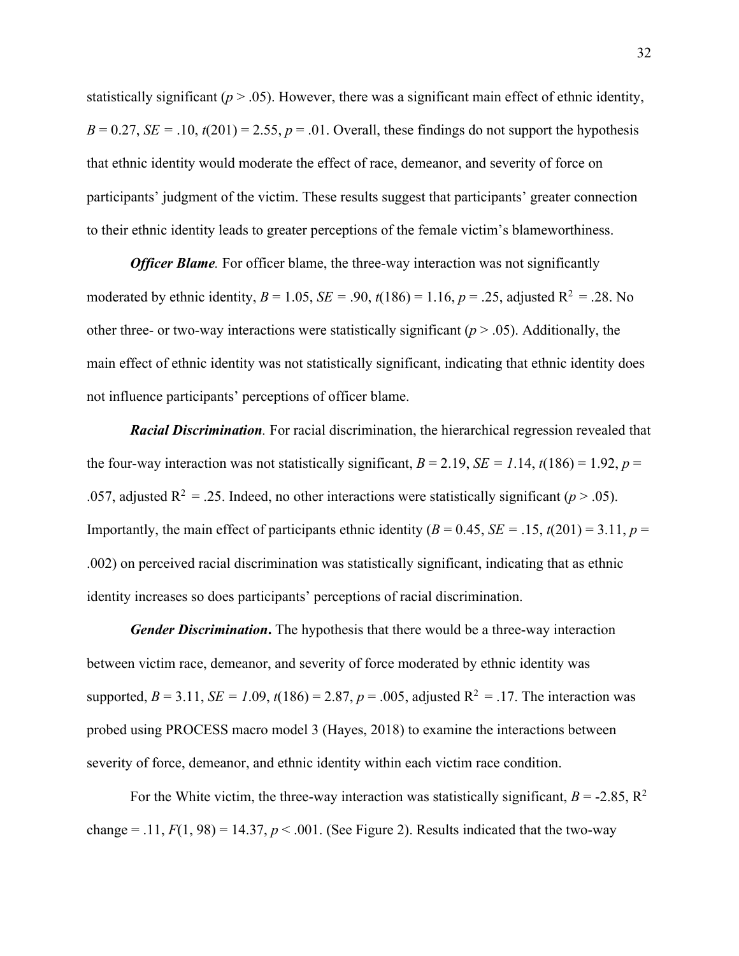statistically significant ( $p > .05$ ). However, there was a significant main effect of ethnic identity,  $B = 0.27$ ,  $SE = .10$ ,  $t(201) = 2.55$ ,  $p = .01$ . Overall, these findings do not support the hypothesis that ethnic identity would moderate the effect of race, demeanor, and severity of force on participants' judgment of the victim. These results suggest that participants' greater connection to their ethnic identity leads to greater perceptions of the female victim's blameworthiness.

*Officer Blame.* For officer blame, the three-way interaction was not significantly moderated by ethnic identity,  $B = 1.05$ ,  $SE = .90$ ,  $t(186) = 1.16$ ,  $p = .25$ , adjusted  $R^2 = .28$ . No other three- or two-way interactions were statistically significant  $(p > .05)$ . Additionally, the main effect of ethnic identity was not statistically significant, indicating that ethnic identity does not influence participants' perceptions of officer blame.

*Racial Discrimination.* For racial discrimination, the hierarchical regression revealed that the four-way interaction was not statistically significant,  $B = 2.19$ ,  $SE = 1.14$ ,  $t(186) = 1.92$ ,  $p =$ .057, adjusted  $R^2 = .25$ . Indeed, no other interactions were statistically significant ( $p > .05$ ). Importantly, the main effect of participants ethnic identity ( $B = 0.45$ ,  $SE = .15$ ,  $t(201) = 3.11$ ,  $p =$ .002) on perceived racial discrimination was statistically significant, indicating that as ethnic identity increases so does participants' perceptions of racial discrimination.

*Gender Discrimination***.** The hypothesis that there would be a three-way interaction between victim race, demeanor, and severity of force moderated by ethnic identity was supported,  $B = 3.11$ ,  $SE = 1.09$ ,  $t(186) = 2.87$ ,  $p = .005$ , adjusted  $R^2 = .17$ . The interaction was probed using PROCESS macro model 3 (Hayes, 2018) to examine the interactions between severity of force, demeanor, and ethnic identity within each victim race condition.

For the White victim, the three-way interaction was statistically significant,  $B = -2.85$ ,  $\mathbb{R}^2$ change = .11,  $F(1, 98) = 14.37$ ,  $p < .001$ . (See Figure 2). Results indicated that the two-way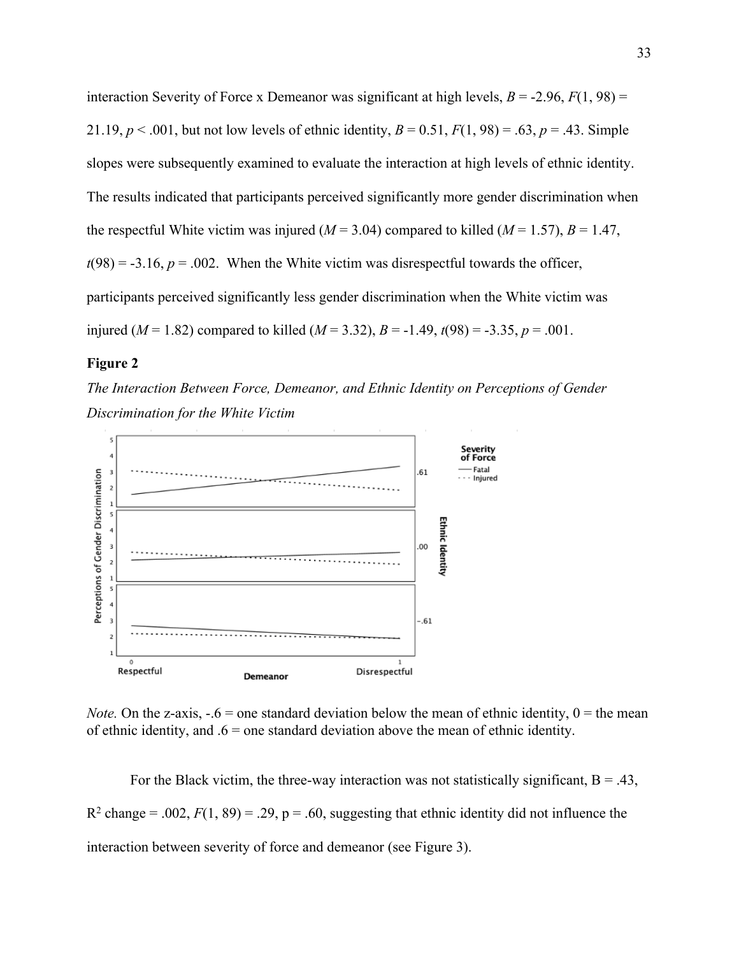interaction Severity of Force x Demeanor was significant at high levels,  $B = -2.96$ ,  $F(1, 98) =$ 21.19,  $p < .001$ , but not low levels of ethnic identity,  $B = 0.51$ ,  $F(1, 98) = .63$ ,  $p = .43$ . Simple slopes were subsequently examined to evaluate the interaction at high levels of ethnic identity. The results indicated that participants perceived significantly more gender discrimination when the respectful White victim was injured ( $M = 3.04$ ) compared to killed ( $M = 1.57$ ),  $B = 1.47$ ,  $t(98) = -3.16$ ,  $p = .002$ . When the White victim was disrespectful towards the officer, participants perceived significantly less gender discrimination when the White victim was injured ( $M = 1.82$ ) compared to killed ( $M = 3.32$ ),  $B = -1.49$ ,  $t(98) = -3.35$ ,  $p = .001$ .

### **Figure 2**

*The Interaction Between Force, Demeanor, and Ethnic Identity on Perceptions of Gender Discrimination for the White Victim*



*Note.* On the z-axis,  $-.6$  = one standard deviation below the mean of ethnic identity,  $0$  = the mean of ethnic identity, and  $.6$  = one standard deviation above the mean of ethnic identity.

For the Black victim, the three-way interaction was not statistically significant,  $B = .43$ ,  $R^2$  change = .002,  $F(1, 89) = .29$ ,  $p = .60$ , suggesting that ethnic identity did not influence the interaction between severity of force and demeanor (see Figure 3).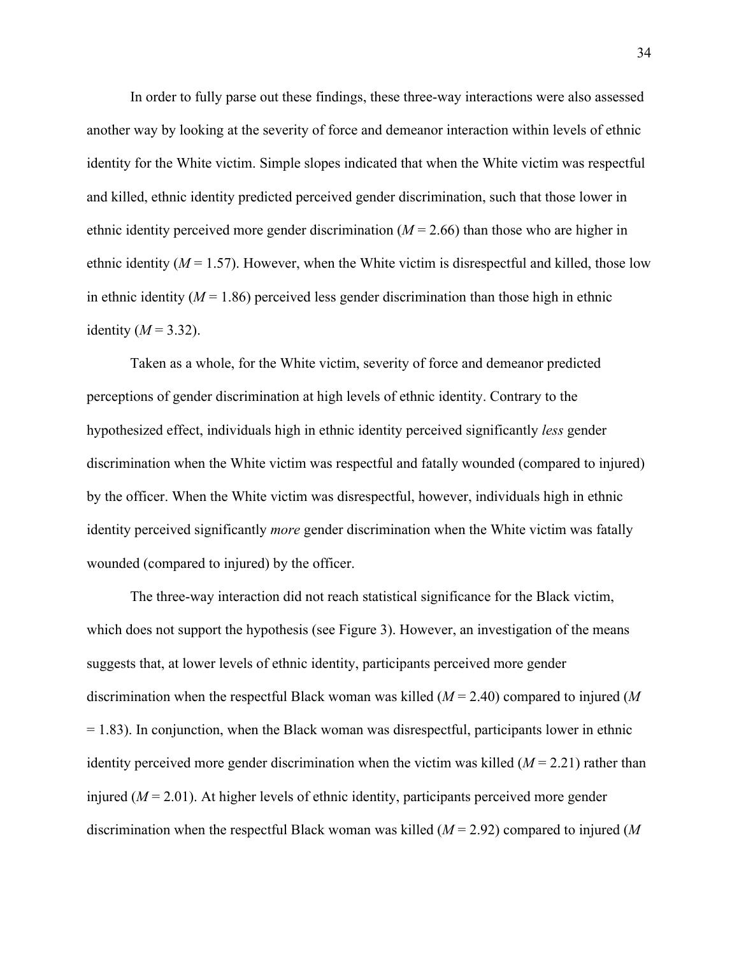In order to fully parse out these findings, these three-way interactions were also assessed another way by looking at the severity of force and demeanor interaction within levels of ethnic identity for the White victim. Simple slopes indicated that when the White victim was respectful and killed, ethnic identity predicted perceived gender discrimination, such that those lower in ethnic identity perceived more gender discrimination (*M* = 2.66) than those who are higher in ethnic identity  $(M = 1.57)$ . However, when the White victim is disrespectful and killed, those low in ethnic identity  $(M = 1.86)$  perceived less gender discrimination than those high in ethnic identity  $(M = 3.32)$ .

Taken as a whole, for the White victim, severity of force and demeanor predicted perceptions of gender discrimination at high levels of ethnic identity. Contrary to the hypothesized effect, individuals high in ethnic identity perceived significantly *less* gender discrimination when the White victim was respectful and fatally wounded (compared to injured) by the officer. When the White victim was disrespectful, however, individuals high in ethnic identity perceived significantly *more* gender discrimination when the White victim was fatally wounded (compared to injured) by the officer.

The three-way interaction did not reach statistical significance for the Black victim, which does not support the hypothesis (see Figure 3). However, an investigation of the means suggests that, at lower levels of ethnic identity, participants perceived more gender discrimination when the respectful Black woman was killed (*M* = 2.40) compared to injured (*M*  $= 1.83$ ). In conjunction, when the Black woman was disrespectful, participants lower in ethnic identity perceived more gender discrimination when the victim was killed  $(M = 2.21)$  rather than injured  $(M = 2.01)$ . At higher levels of ethnic identity, participants perceived more gender discrimination when the respectful Black woman was killed (*M* = 2.92) compared to injured (*M*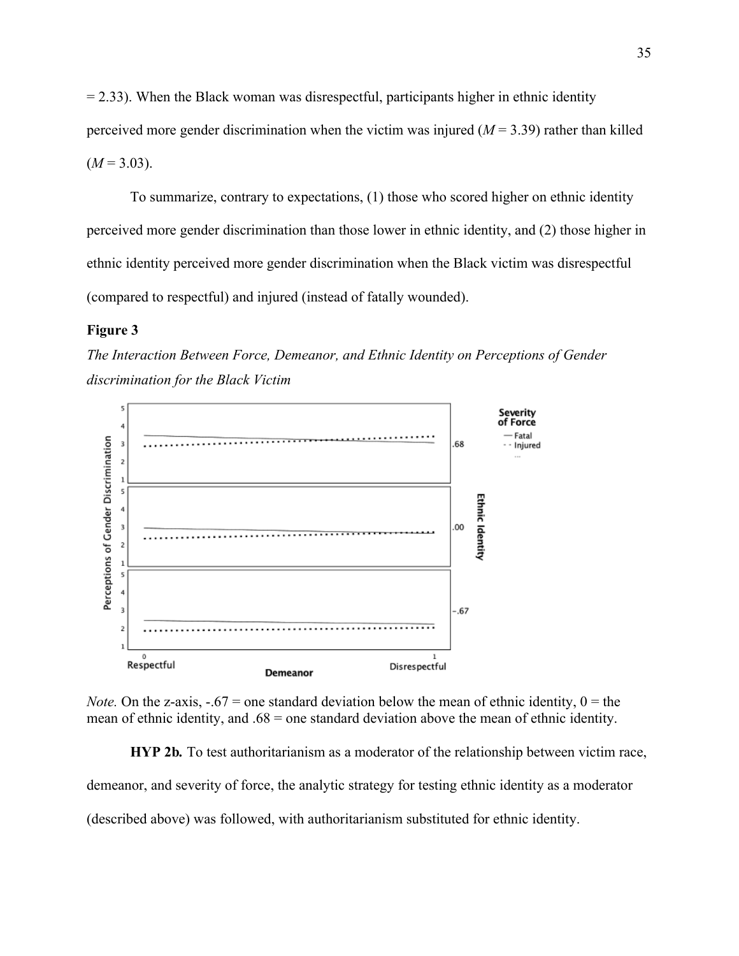$= 2.33$ ). When the Black woman was disrespectful, participants higher in ethnic identity perceived more gender discrimination when the victim was injured  $(M = 3.39)$  rather than killed  $(M = 3.03)$ .

To summarize, contrary to expectations, (1) those who scored higher on ethnic identity perceived more gender discrimination than those lower in ethnic identity, and (2) those higher in ethnic identity perceived more gender discrimination when the Black victim was disrespectful (compared to respectful) and injured (instead of fatally wounded).

#### **Figure 3**

*The Interaction Between Force, Demeanor, and Ethnic Identity on Perceptions of Gender discrimination for the Black Victim*



*Note.* On the z-axis,  $-.67$  = one standard deviation below the mean of ethnic identity,  $0 =$  the mean of ethnic identity, and  $.68$  = one standard deviation above the mean of ethnic identity.

**HYP 2b***.* To test authoritarianism as a moderator of the relationship between victim race,

demeanor, and severity of force, the analytic strategy for testing ethnic identity as a moderator

(described above) was followed, with authoritarianism substituted for ethnic identity.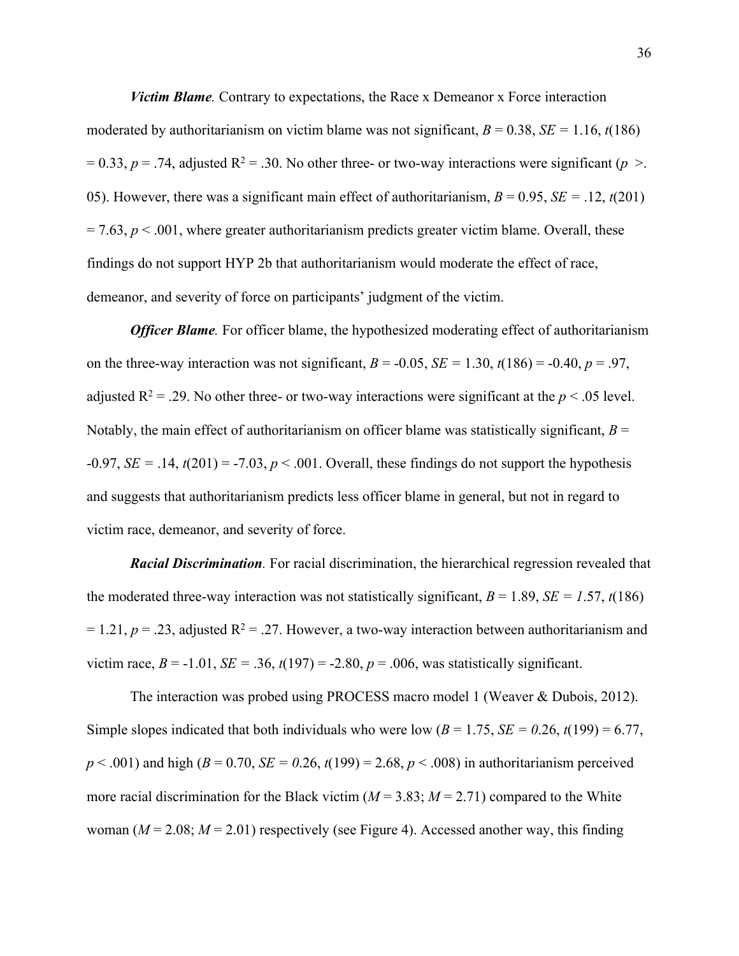*Victim Blame.* Contrary to expectations, the Race x Demeanor x Force interaction moderated by authoritarianism on victim blame was not significant,  $B = 0.38$ ,  $SE = 1.16$ ,  $t(186)$  $= 0.33$ ,  $p = .74$ , adjusted R<sup>2</sup> = .30. No other three- or two-way interactions were significant (*p* >. 05). However, there was a significant main effect of authoritarianism,  $B = 0.95$ ,  $SE = .12$ ,  $t(201)$  $= 7.63$ ,  $p < .001$ , where greater authoritarianism predicts greater victim blame. Overall, these findings do not support HYP 2b that authoritarianism would moderate the effect of race, demeanor, and severity of force on participants' judgment of the victim.

*Officer Blame.* For officer blame, the hypothesized moderating effect of authoritarianism on the three-way interaction was not significant,  $B = -0.05$ ,  $SE = 1.30$ ,  $t(186) = -0.40$ ,  $p = .97$ , adjusted  $R^2 = .29$ . No other three- or two-way interactions were significant at the  $p < .05$  level. Notably, the main effect of authoritarianism on officer blame was statistically significant,  $B =$  $-0.97$ , *SE* = .14,  $t(201)$  =  $-7.03$ ,  $p < .001$ . Overall, these findings do not support the hypothesis and suggests that authoritarianism predicts less officer blame in general, but not in regard to victim race, demeanor, and severity of force.

*Racial Discrimination.* For racial discrimination, the hierarchical regression revealed that the moderated three-way interaction was not statistically significant,  $B = 1.89$ ,  $SE = 1.57$ ,  $t(186)$  $= 1.21, p = .23$ , adjusted R<sup>2</sup> = .27. However, a two-way interaction between authoritarianism and victim race,  $B = -1.01$ ,  $SE = .36$ ,  $t(197) = -2.80$ ,  $p = .006$ , was statistically significant.

The interaction was probed using PROCESS macro model 1 (Weaver & Dubois, 2012). Simple slopes indicated that both individuals who were low  $(B = 1.75, SE = 0.26, t(199) = 6.77,$  $p < .001$ ) and high ( $B = 0.70$ ,  $SE = 0.26$ ,  $t(199) = 2.68$ ,  $p < .008$ ) in authoritarianism perceived more racial discrimination for the Black victim  $(M = 3.83; M = 2.71)$  compared to the White woman ( $M = 2.08$ ;  $M = 2.01$ ) respectively (see Figure 4). Accessed another way, this finding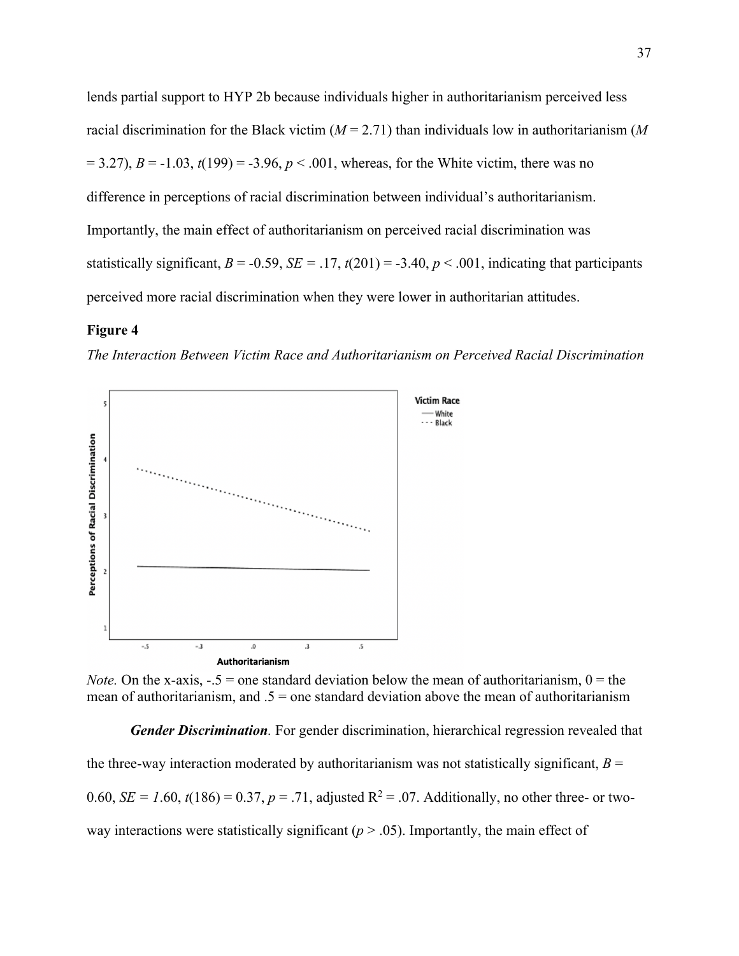lends partial support to HYP 2b because individuals higher in authoritarianism perceived less racial discrimination for the Black victim (*M* = 2.71) than individuals low in authoritarianism (*M*  $= 3.27$ ),  $B = -1.03$ ,  $t(199) = -3.96$ ,  $p < .001$ , whereas, for the White victim, there was no difference in perceptions of racial discrimination between individual's authoritarianism. Importantly, the main effect of authoritarianism on perceived racial discrimination was statistically significant,  $B = -0.59$ ,  $SE = .17$ ,  $t(201) = -3.40$ ,  $p < .001$ , indicating that participants perceived more racial discrimination when they were lower in authoritarian attitudes.

### **Figure 4**

*The Interaction Between Victim Race and Authoritarianism on Perceived Racial Discrimination*



*Note.* On the x-axis,  $-.5 =$  one standard deviation below the mean of authoritarianism,  $0 =$  the mean of authoritarianism, and  $.5 =$  one standard deviation above the mean of authoritarianism

*Gender Discrimination.* For gender discrimination, hierarchical regression revealed that the three-way interaction moderated by authoritarianism was not statistically significant,  $B =$ 0.60, *SE* = 1.60,  $t(186) = 0.37$ ,  $p = .71$ , adjusted R<sup>2</sup> = .07. Additionally, no other three- or twoway interactions were statistically significant  $(p > .05)$ . Importantly, the main effect of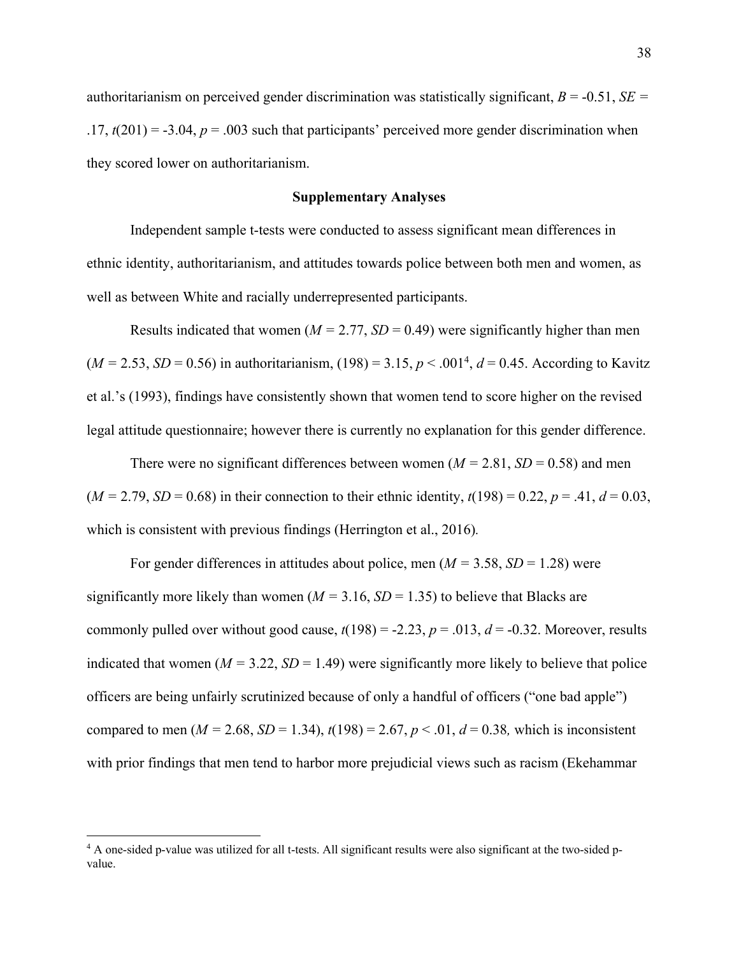authoritarianism on perceived gender discrimination was statistically significant,  $B = -0.51$ ,  $SE =$  $.17, t(201) = -3.04, p = .003$  such that participants' perceived more gender discrimination when they scored lower on authoritarianism.

# **Supplementary Analyses**

Independent sample t-tests were conducted to assess significant mean differences in ethnic identity, authoritarianism, and attitudes towards police between both men and women, as well as between White and racially underrepresented participants.

Results indicated that women ( $M = 2.77$ ,  $SD = 0.49$ ) were significantly higher than men  $(M = 2.53, SD = 0.56)$  in authoritarianism,  $(198) = 3.15, p < .001<sup>4</sup>, d = 0.45$ . According to Kavitz et al.'s (1993), findings have consistently shown that women tend to score higher on the revised legal attitude questionnaire; however there is currently no explanation for this gender difference.

There were no significant differences between women  $(M = 2.81, SD = 0.58)$  and men  $(M = 2.79, SD = 0.68)$  in their connection to their ethnic identity,  $t(198) = 0.22, p = .41, d = 0.03$ , which is consistent with previous findings (Herrington et al., 2016)*.*

For gender differences in attitudes about police, men  $(M = 3.58, SD = 1.28)$  were significantly more likely than women ( $M = 3.16$ ,  $SD = 1.35$ ) to believe that Blacks are commonly pulled over without good cause,  $t(198) = -2.23$ ,  $p = .013$ ,  $d = -0.32$ . Moreover, results indicated that women  $(M = 3.22, SD = 1.49)$  were significantly more likely to believe that police officers are being unfairly scrutinized because of only a handful of officers ("one bad apple") compared to men ( $M = 2.68$ ,  $SD = 1.34$ ),  $t(198) = 2.67$ ,  $p < .01$ ,  $d = 0.38$ , which is inconsistent with prior findings that men tend to harbor more prejudicial views such as racism (Ekehammar

<sup>&</sup>lt;sup>4</sup> A one-sided p-value was utilized for all t-tests. All significant results were also significant at the two-sided pvalue.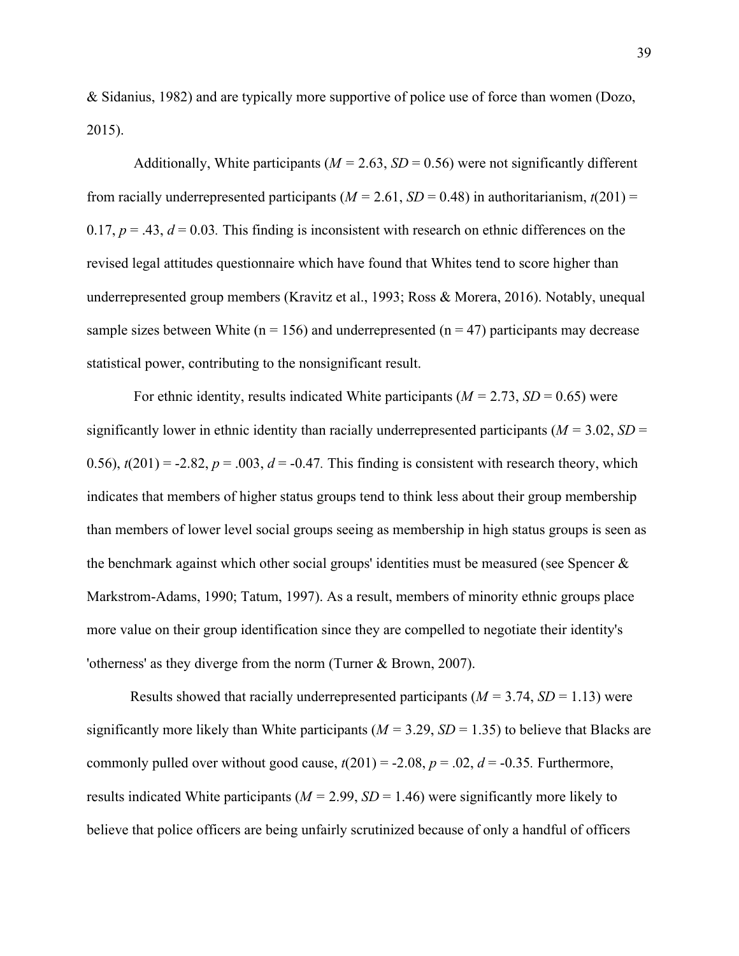& Sidanius, 1982) and are typically more supportive of police use of force than women (Dozo, 2015).

Additionally, White participants ( $M = 2.63$ ,  $SD = 0.56$ ) were not significantly different from racially underrepresented participants ( $M = 2.61$ ,  $SD = 0.48$ ) in authoritarianism,  $t(201) =$ 0.17,  $p = .43$ ,  $d = 0.03$ . This finding is inconsistent with research on ethnic differences on the revised legal attitudes questionnaire which have found that Whites tend to score higher than underrepresented group members (Kravitz et al., 1993; Ross & Morera, 2016). Notably, unequal sample sizes between White ( $n = 156$ ) and underrepresented ( $n = 47$ ) participants may decrease statistical power, contributing to the nonsignificant result.

For ethnic identity, results indicated White participants  $(M = 2.73, SD = 0.65)$  were significantly lower in ethnic identity than racially underrepresented participants (*M =* 3.02, *SD* = 0.56),  $t(201) = -2.82$ ,  $p = .003$ ,  $d = -0.47$ . This finding is consistent with research theory, which indicates that members of higher status groups tend to think less about their group membership than members of lower level social groups seeing as membership in high status groups is seen as the benchmark against which other social groups' identities must be measured (see Spencer  $\&$ Markstrom-Adams, 1990; Tatum, 1997). As a result, members of minority ethnic groups place more value on their group identification since they are compelled to negotiate their identity's 'otherness' as they diverge from the norm (Turner & Brown, 2007).

Results showed that racially underrepresented participants  $(M = 3.74, SD = 1.13)$  were significantly more likely than White participants ( $M = 3.29$ ,  $SD = 1.35$ ) to believe that Blacks are commonly pulled over without good cause,  $t(201) = -2.08$ ,  $p = .02$ ,  $d = -0.35$ . Furthermore, results indicated White participants ( $M = 2.99$ ,  $SD = 1.46$ ) were significantly more likely to believe that police officers are being unfairly scrutinized because of only a handful of officers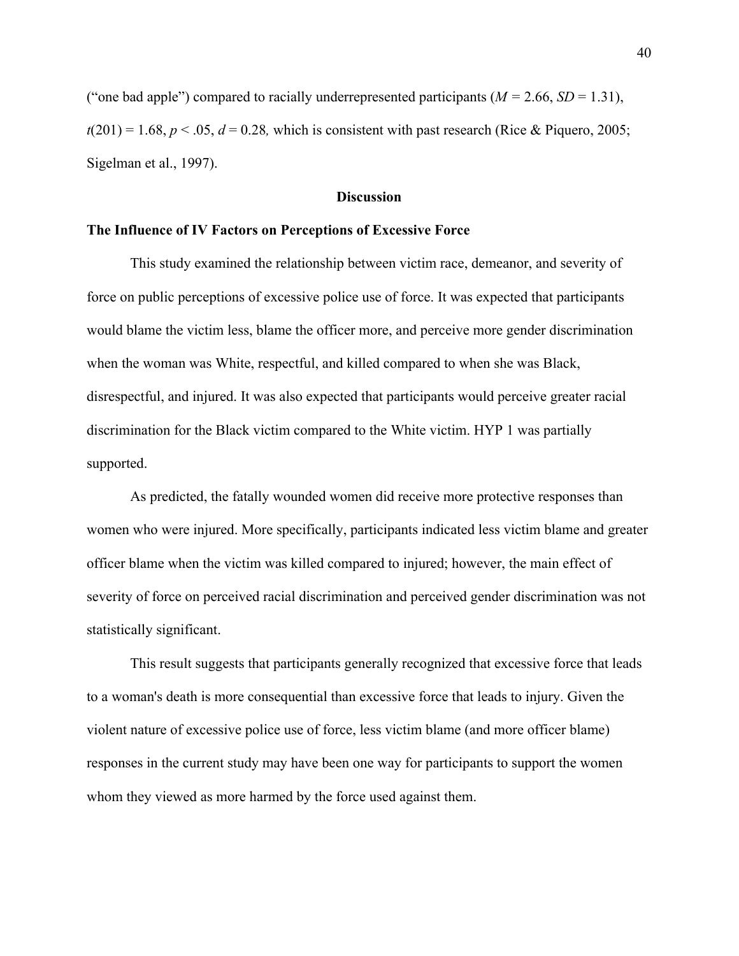("one bad apple") compared to racially underrepresented participants  $(M = 2.66, SD = 1.31)$ ,  $t(201) = 1.68$ ,  $p < .05$ ,  $d = 0.28$ , which is consistent with past research (Rice & Piquero, 2005; Sigelman et al., 1997).

### **Discussion**

#### **The Influence of IV Factors on Perceptions of Excessive Force**

This study examined the relationship between victim race, demeanor, and severity of force on public perceptions of excessive police use of force. It was expected that participants would blame the victim less, blame the officer more, and perceive more gender discrimination when the woman was White, respectful, and killed compared to when she was Black, disrespectful, and injured. It was also expected that participants would perceive greater racial discrimination for the Black victim compared to the White victim. HYP 1 was partially supported.

As predicted, the fatally wounded women did receive more protective responses than women who were injured. More specifically, participants indicated less victim blame and greater officer blame when the victim was killed compared to injured; however, the main effect of severity of force on perceived racial discrimination and perceived gender discrimination was not statistically significant.

This result suggests that participants generally recognized that excessive force that leads to a woman's death is more consequential than excessive force that leads to injury. Given the violent nature of excessive police use of force, less victim blame (and more officer blame) responses in the current study may have been one way for participants to support the women whom they viewed as more harmed by the force used against them.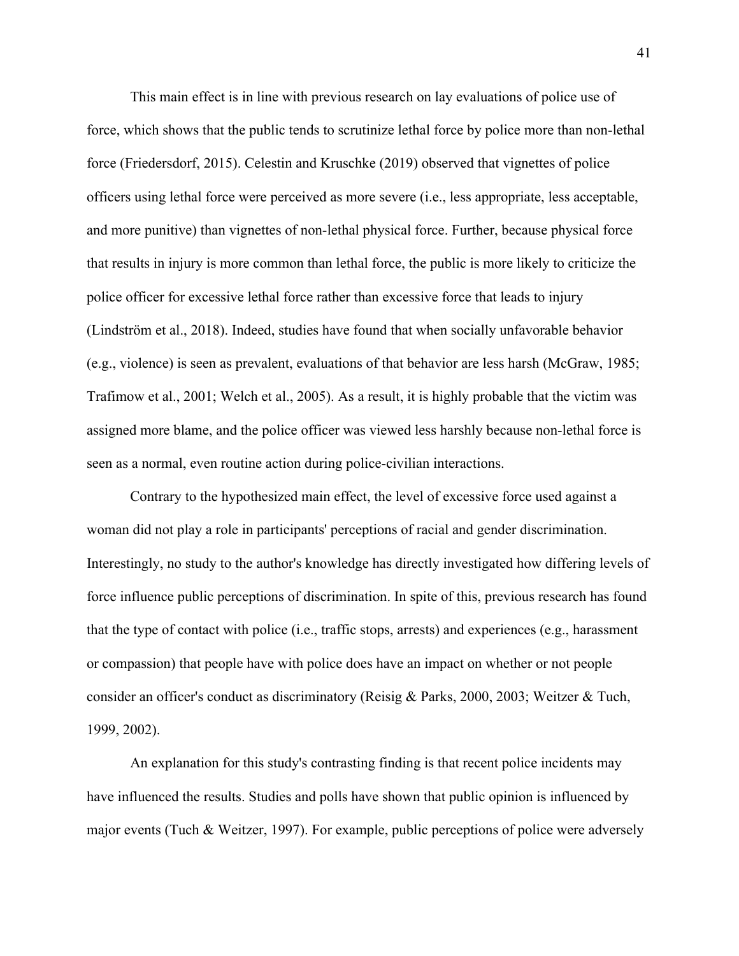This main effect is in line with previous research on lay evaluations of police use of force, which shows that the public tends to scrutinize lethal force by police more than non-lethal force (Friedersdorf, 2015). Celestin and Kruschke (2019) observed that vignettes of police officers using lethal force were perceived as more severe (i.e., less appropriate, less acceptable, and more punitive) than vignettes of non-lethal physical force. Further, because physical force that results in injury is more common than lethal force, the public is more likely to criticize the police officer for excessive lethal force rather than excessive force that leads to injury (Lindström et al., 2018). Indeed, studies have found that when socially unfavorable behavior (e.g., violence) is seen as prevalent, evaluations of that behavior are less harsh (McGraw, 1985; Trafimow et al., 2001; Welch et al., 2005). As a result, it is highly probable that the victim was assigned more blame, and the police officer was viewed less harshly because non-lethal force is seen as a normal, even routine action during police-civilian interactions.

Contrary to the hypothesized main effect, the level of excessive force used against a woman did not play a role in participants' perceptions of racial and gender discrimination. Interestingly, no study to the author's knowledge has directly investigated how differing levels of force influence public perceptions of discrimination. In spite of this, previous research has found that the type of contact with police (i.e., traffic stops, arrests) and experiences (e.g., harassment or compassion) that people have with police does have an impact on whether or not people consider an officer's conduct as discriminatory (Reisig & Parks, 2000, 2003; Weitzer & Tuch, 1999, 2002).

An explanation for this study's contrasting finding is that recent police incidents may have influenced the results. Studies and polls have shown that public opinion is influenced by major events (Tuch & Weitzer, 1997). For example, public perceptions of police were adversely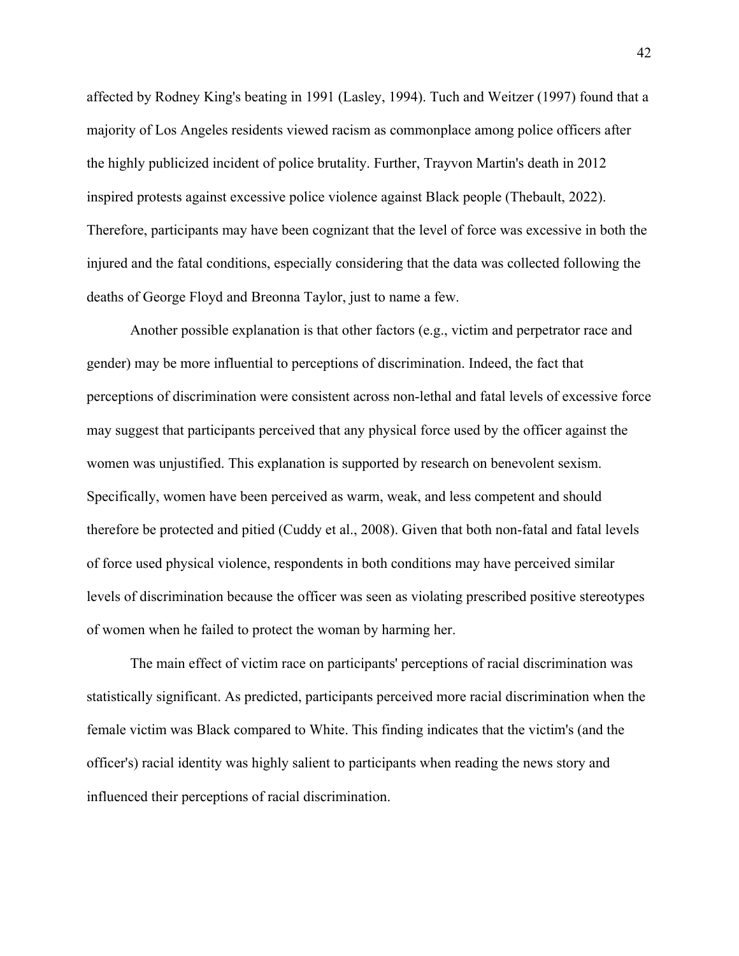affected by Rodney King's beating in 1991 (Lasley, 1994). Tuch and Weitzer (1997) found that a majority of Los Angeles residents viewed racism as commonplace among police officers after the highly publicized incident of police brutality. Further, Trayvon Martin's death in 2012 inspired protests against excessive police violence against Black people (Thebault, 2022). Therefore, participants may have been cognizant that the level of force was excessive in both the injured and the fatal conditions, especially considering that the data was collected following the deaths of George Floyd and Breonna Taylor, just to name a few.

Another possible explanation is that other factors (e.g., victim and perpetrator race and gender) may be more influential to perceptions of discrimination. Indeed, the fact that perceptions of discrimination were consistent across non-lethal and fatal levels of excessive force may suggest that participants perceived that any physical force used by the officer against the women was unjustified. This explanation is supported by research on benevolent sexism. Specifically, women have been perceived as warm, weak, and less competent and should therefore be protected and pitied (Cuddy et al., 2008). Given that both non-fatal and fatal levels of force used physical violence, respondents in both conditions may have perceived similar levels of discrimination because the officer was seen as violating prescribed positive stereotypes of women when he failed to protect the woman by harming her.

The main effect of victim race on participants' perceptions of racial discrimination was statistically significant. As predicted, participants perceived more racial discrimination when the female victim was Black compared to White. This finding indicates that the victim's (and the officer's) racial identity was highly salient to participants when reading the news story and influenced their perceptions of racial discrimination.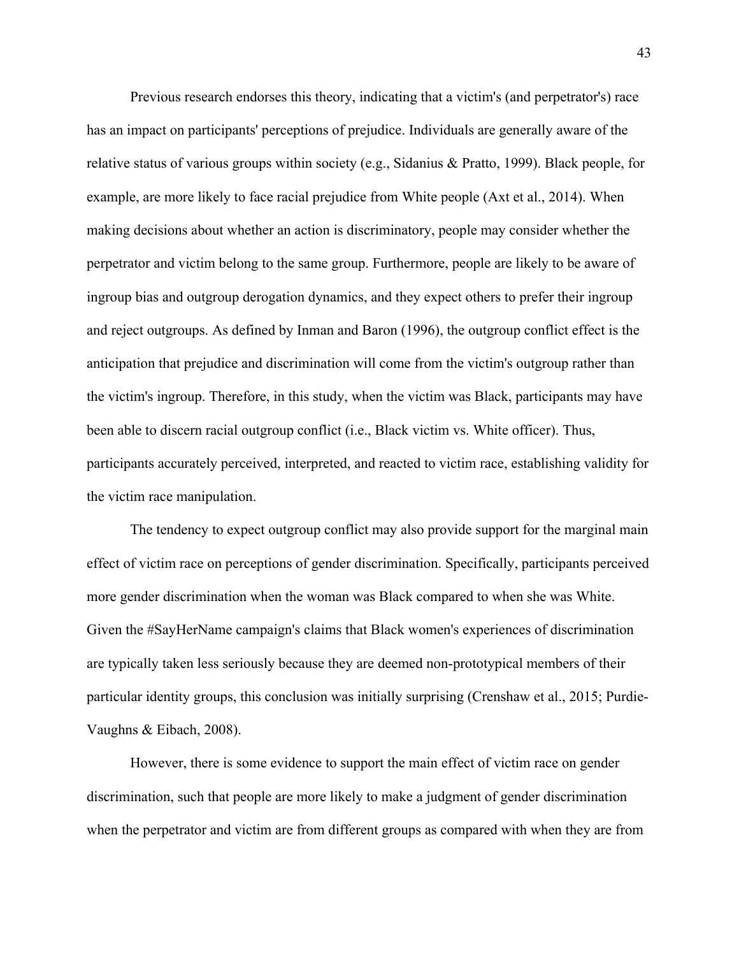Previous research endorses this theory, indicating that a victim's (and perpetrator's) race has an impact on participants' perceptions of prejudice. Individuals are generally aware of the relative status of various groups within society (e.g., Sidanius & Pratto, 1999). Black people, for example, are more likely to face racial prejudice from White people (Axt et al., 2014). When making decisions about whether an action is discriminatory, people may consider whether the perpetrator and victim belong to the same group. Furthermore, people are likely to be aware of ingroup bias and outgroup derogation dynamics, and they expect others to prefer their ingroup and reject outgroups. As defined by Inman and Baron (1996), the outgroup conflict effect is the anticipation that prejudice and discrimination will come from the victim's outgroup rather than the victim's ingroup. Therefore, in this study, when the victim was Black, participants may have been able to discern racial outgroup conflict (i.e., Black victim vs. White officer). Thus, participants accurately perceived, interpreted, and reacted to victim race, establishing validity for the victim race manipulation.

The tendency to expect outgroup conflict may also provide support for the marginal main effect of victim race on perceptions of gender discrimination. Specifically, participants perceived more gender discrimination when the woman was Black compared to when she was White. Given the #SayHerName campaign's claims that Black women's experiences of discrimination are typically taken less seriously because they are deemed non-prototypical members of their particular identity groups, this conclusion was initially surprising (Crenshaw et al., 2015; Purdie-Vaughns & Eibach, 2008).

However, there is some evidence to support the main effect of victim race on gender discrimination, such that people are more likely to make a judgment of gender discrimination when the perpetrator and victim are from different groups as compared with when they are from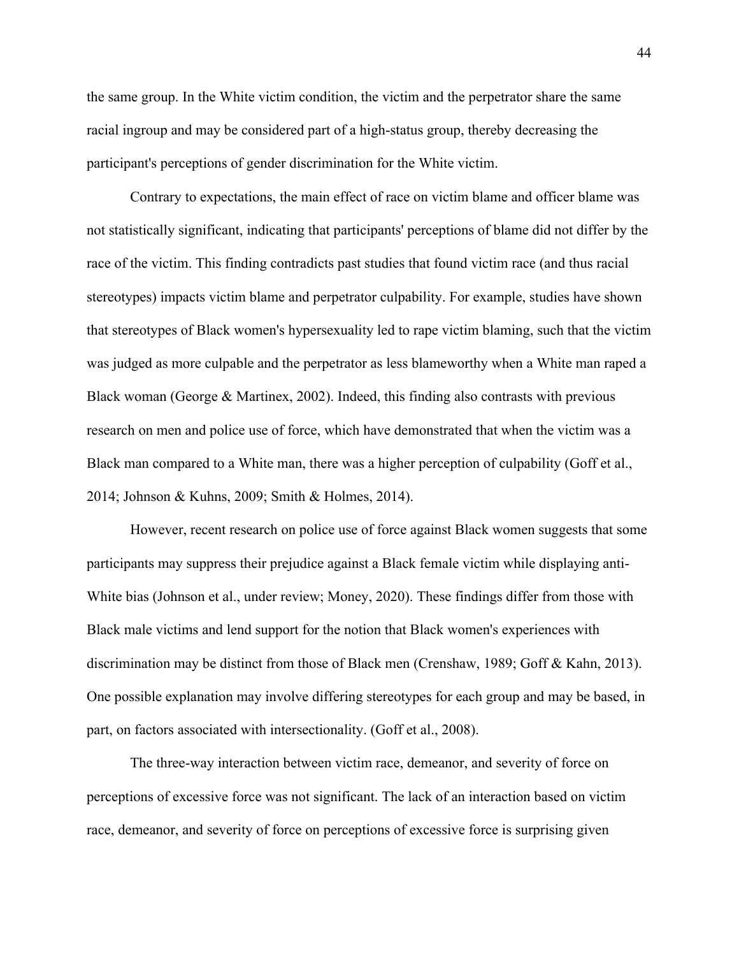the same group. In the White victim condition, the victim and the perpetrator share the same racial ingroup and may be considered part of a high-status group, thereby decreasing the participant's perceptions of gender discrimination for the White victim.

Contrary to expectations, the main effect of race on victim blame and officer blame was not statistically significant, indicating that participants' perceptions of blame did not differ by the race of the victim. This finding contradicts past studies that found victim race (and thus racial stereotypes) impacts victim blame and perpetrator culpability. For example, studies have shown that stereotypes of Black women's hypersexuality led to rape victim blaming, such that the victim was judged as more culpable and the perpetrator as less blameworthy when a White man raped a Black woman (George & Martinex, 2002). Indeed, this finding also contrasts with previous research on men and police use of force, which have demonstrated that when the victim was a Black man compared to a White man, there was a higher perception of culpability (Goff et al., 2014; Johnson & Kuhns, 2009; Smith & Holmes, 2014).

However, recent research on police use of force against Black women suggests that some participants may suppress their prejudice against a Black female victim while displaying anti-White bias (Johnson et al., under review; Money, 2020). These findings differ from those with Black male victims and lend support for the notion that Black women's experiences with discrimination may be distinct from those of Black men (Crenshaw, 1989; Goff & Kahn, 2013). One possible explanation may involve differing stereotypes for each group and may be based, in part, on factors associated with intersectionality. (Goff et al., 2008).

The three-way interaction between victim race, demeanor, and severity of force on perceptions of excessive force was not significant. The lack of an interaction based on victim race, demeanor, and severity of force on perceptions of excessive force is surprising given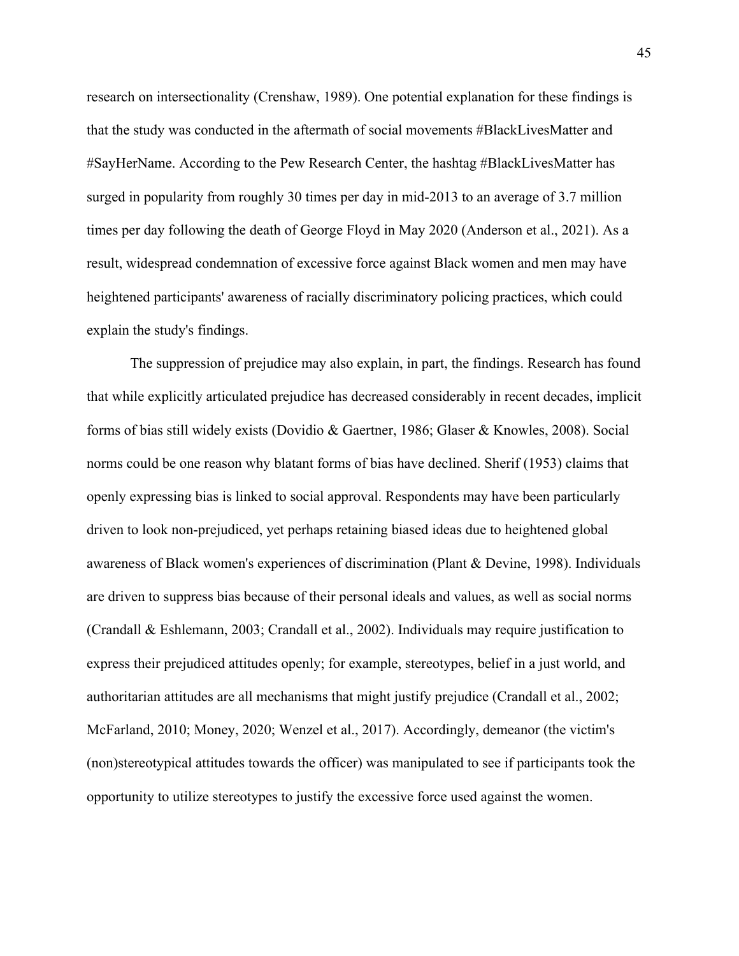research on intersectionality (Crenshaw, 1989). One potential explanation for these findings is that the study was conducted in the aftermath of social movements #BlackLivesMatter and #SayHerName. According to the Pew Research Center, the hashtag #BlackLivesMatter has surged in popularity from roughly 30 times per day in mid-2013 to an average of 3.7 million times per day following the death of George Floyd in May 2020 (Anderson et al., 2021). As a result, widespread condemnation of excessive force against Black women and men may have heightened participants' awareness of racially discriminatory policing practices, which could explain the study's findings.

The suppression of prejudice may also explain, in part, the findings. Research has found that while explicitly articulated prejudice has decreased considerably in recent decades, implicit forms of bias still widely exists (Dovidio & Gaertner, 1986; Glaser & Knowles, 2008). Social norms could be one reason why blatant forms of bias have declined. Sherif (1953) claims that openly expressing bias is linked to social approval. Respondents may have been particularly driven to look non-prejudiced, yet perhaps retaining biased ideas due to heightened global awareness of Black women's experiences of discrimination (Plant & Devine, 1998). Individuals are driven to suppress bias because of their personal ideals and values, as well as social norms (Crandall & Eshlemann, 2003; Crandall et al., 2002). Individuals may require justification to express their prejudiced attitudes openly; for example, stereotypes, belief in a just world, and authoritarian attitudes are all mechanisms that might justify prejudice (Crandall et al., 2002; McFarland, 2010; Money, 2020; Wenzel et al., 2017). Accordingly, demeanor (the victim's (non)stereotypical attitudes towards the officer) was manipulated to see if participants took the opportunity to utilize stereotypes to justify the excessive force used against the women.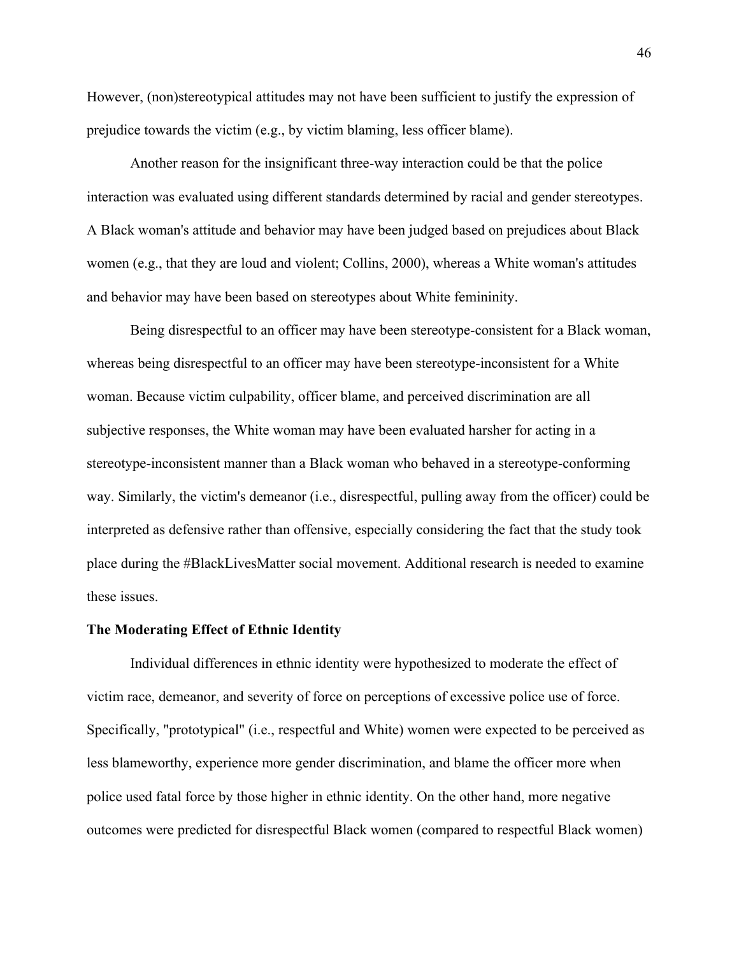However, (non)stereotypical attitudes may not have been sufficient to justify the expression of prejudice towards the victim (e.g., by victim blaming, less officer blame).

Another reason for the insignificant three-way interaction could be that the police interaction was evaluated using different standards determined by racial and gender stereotypes. A Black woman's attitude and behavior may have been judged based on prejudices about Black women (e.g., that they are loud and violent; Collins, 2000), whereas a White woman's attitudes and behavior may have been based on stereotypes about White femininity.

Being disrespectful to an officer may have been stereotype-consistent for a Black woman, whereas being disrespectful to an officer may have been stereotype-inconsistent for a White woman. Because victim culpability, officer blame, and perceived discrimination are all subjective responses, the White woman may have been evaluated harsher for acting in a stereotype-inconsistent manner than a Black woman who behaved in a stereotype-conforming way. Similarly, the victim's demeanor (i.e., disrespectful, pulling away from the officer) could be interpreted as defensive rather than offensive, especially considering the fact that the study took place during the #BlackLivesMatter social movement. Additional research is needed to examine these issues.

# **The Moderating Effect of Ethnic Identity**

Individual differences in ethnic identity were hypothesized to moderate the effect of victim race, demeanor, and severity of force on perceptions of excessive police use of force. Specifically, "prototypical" (i.e., respectful and White) women were expected to be perceived as less blameworthy, experience more gender discrimination, and blame the officer more when police used fatal force by those higher in ethnic identity. On the other hand, more negative outcomes were predicted for disrespectful Black women (compared to respectful Black women)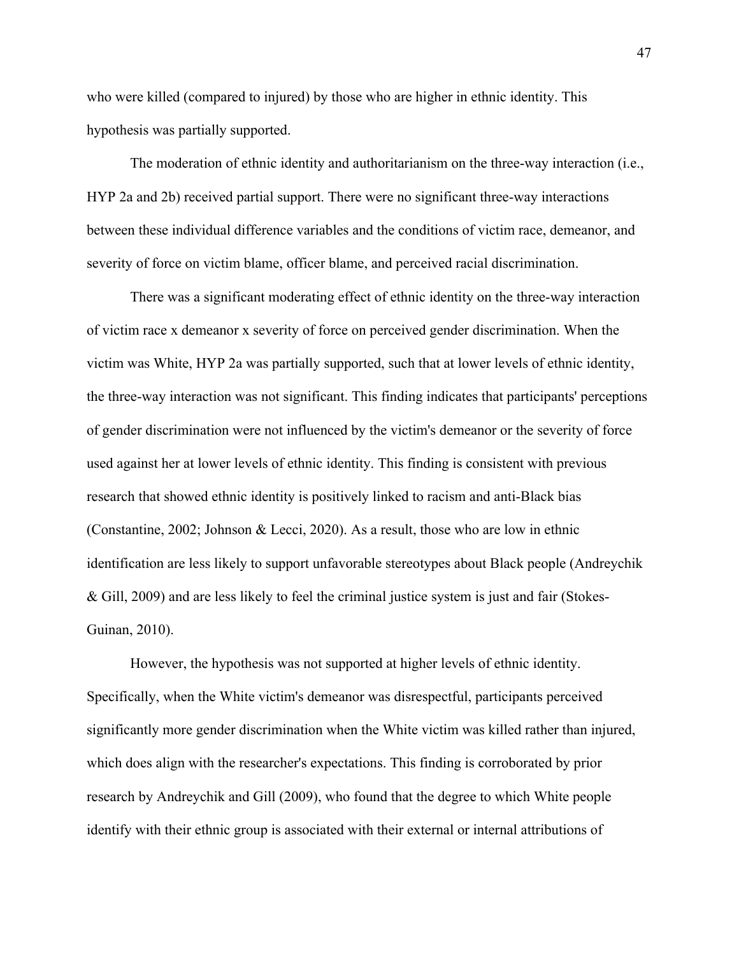who were killed (compared to injured) by those who are higher in ethnic identity. This hypothesis was partially supported.

The moderation of ethnic identity and authoritarianism on the three-way interaction (i.e., HYP 2a and 2b) received partial support. There were no significant three-way interactions between these individual difference variables and the conditions of victim race, demeanor, and severity of force on victim blame, officer blame, and perceived racial discrimination.

There was a significant moderating effect of ethnic identity on the three-way interaction of victim race x demeanor x severity of force on perceived gender discrimination. When the victim was White, HYP 2a was partially supported, such that at lower levels of ethnic identity, the three-way interaction was not significant. This finding indicates that participants' perceptions of gender discrimination were not influenced by the victim's demeanor or the severity of force used against her at lower levels of ethnic identity. This finding is consistent with previous research that showed ethnic identity is positively linked to racism and anti-Black bias (Constantine, 2002; Johnson & Lecci, 2020). As a result, those who are low in ethnic identification are less likely to support unfavorable stereotypes about Black people (Andreychik & Gill, 2009) and are less likely to feel the criminal justice system is just and fair (Stokes-Guinan, 2010).

However, the hypothesis was not supported at higher levels of ethnic identity. Specifically, when the White victim's demeanor was disrespectful, participants perceived significantly more gender discrimination when the White victim was killed rather than injured, which does align with the researcher's expectations. This finding is corroborated by prior research by Andreychik and Gill (2009), who found that the degree to which White people identify with their ethnic group is associated with their external or internal attributions of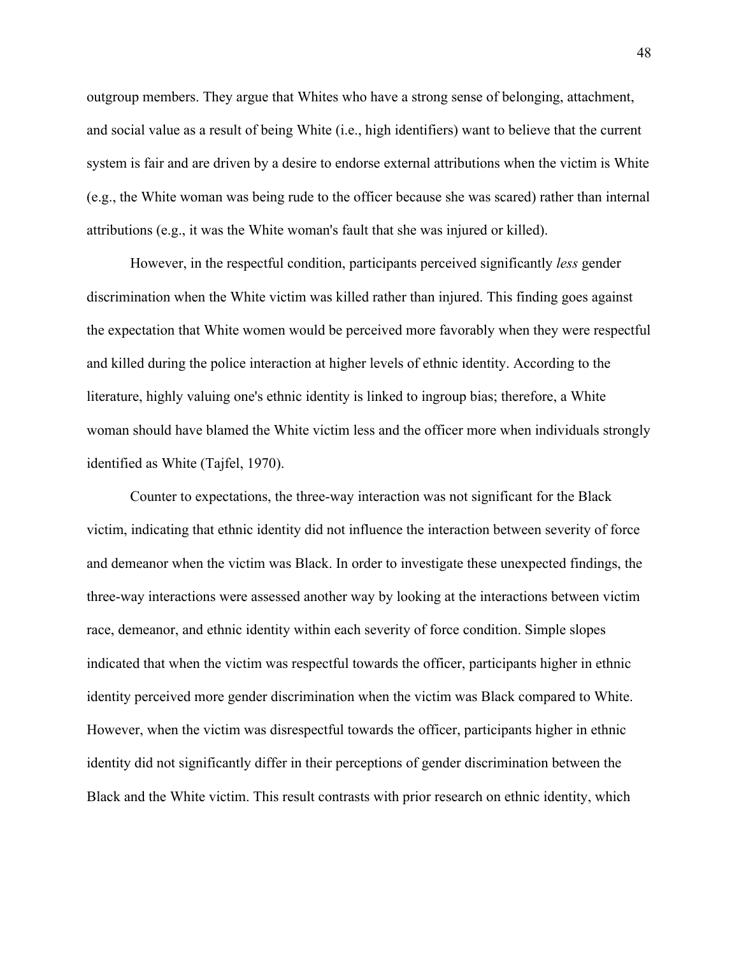outgroup members. They argue that Whites who have a strong sense of belonging, attachment, and social value as a result of being White (i.e., high identifiers) want to believe that the current system is fair and are driven by a desire to endorse external attributions when the victim is White (e.g., the White woman was being rude to the officer because she was scared) rather than internal attributions (e.g., it was the White woman's fault that she was injured or killed).

However, in the respectful condition, participants perceived significantly *less* gender discrimination when the White victim was killed rather than injured. This finding goes against the expectation that White women would be perceived more favorably when they were respectful and killed during the police interaction at higher levels of ethnic identity. According to the literature, highly valuing one's ethnic identity is linked to ingroup bias; therefore, a White woman should have blamed the White victim less and the officer more when individuals strongly identified as White (Tajfel, 1970).

Counter to expectations, the three-way interaction was not significant for the Black victim, indicating that ethnic identity did not influence the interaction between severity of force and demeanor when the victim was Black. In order to investigate these unexpected findings, the three-way interactions were assessed another way by looking at the interactions between victim race, demeanor, and ethnic identity within each severity of force condition. Simple slopes indicated that when the victim was respectful towards the officer, participants higher in ethnic identity perceived more gender discrimination when the victim was Black compared to White. However, when the victim was disrespectful towards the officer, participants higher in ethnic identity did not significantly differ in their perceptions of gender discrimination between the Black and the White victim. This result contrasts with prior research on ethnic identity, which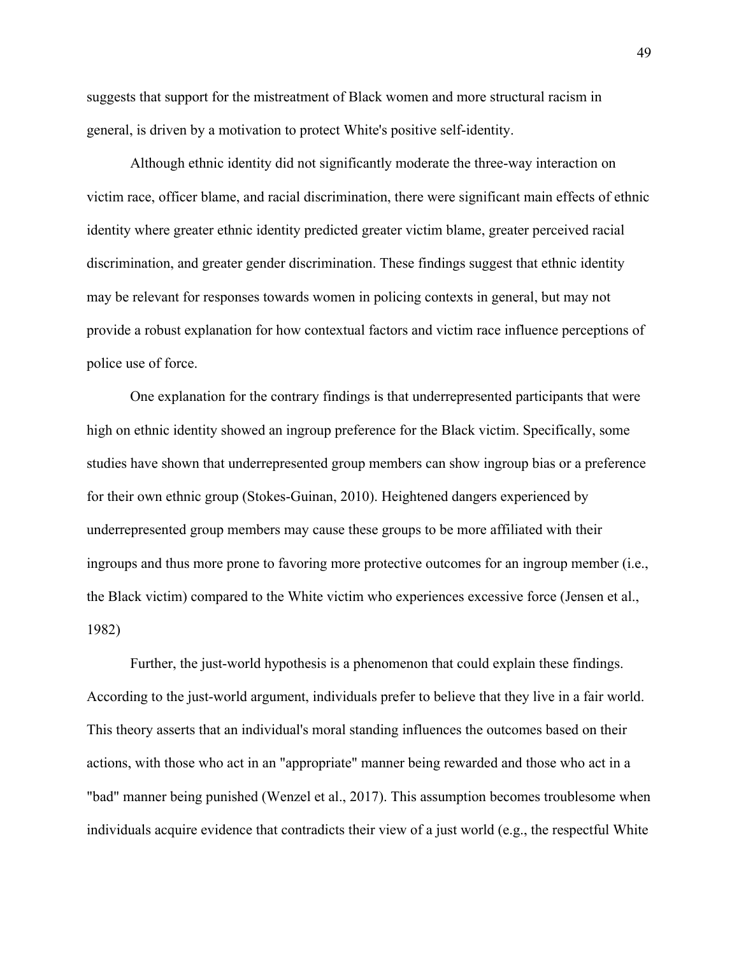suggests that support for the mistreatment of Black women and more structural racism in general, is driven by a motivation to protect White's positive self-identity.

Although ethnic identity did not significantly moderate the three-way interaction on victim race, officer blame, and racial discrimination, there were significant main effects of ethnic identity where greater ethnic identity predicted greater victim blame, greater perceived racial discrimination, and greater gender discrimination. These findings suggest that ethnic identity may be relevant for responses towards women in policing contexts in general, but may not provide a robust explanation for how contextual factors and victim race influence perceptions of police use of force.

One explanation for the contrary findings is that underrepresented participants that were high on ethnic identity showed an ingroup preference for the Black victim. Specifically, some studies have shown that underrepresented group members can show ingroup bias or a preference for their own ethnic group (Stokes-Guinan, 2010). Heightened dangers experienced by underrepresented group members may cause these groups to be more affiliated with their ingroups and thus more prone to favoring more protective outcomes for an ingroup member (i.e., the Black victim) compared to the White victim who experiences excessive force (Jensen et al., 1982)

Further, the just-world hypothesis is a phenomenon that could explain these findings. According to the just-world argument, individuals prefer to believe that they live in a fair world. This theory asserts that an individual's moral standing influences the outcomes based on their actions, with those who act in an "appropriate" manner being rewarded and those who act in a "bad" manner being punished (Wenzel et al., 2017). This assumption becomes troublesome when individuals acquire evidence that contradicts their view of a just world (e.g., the respectful White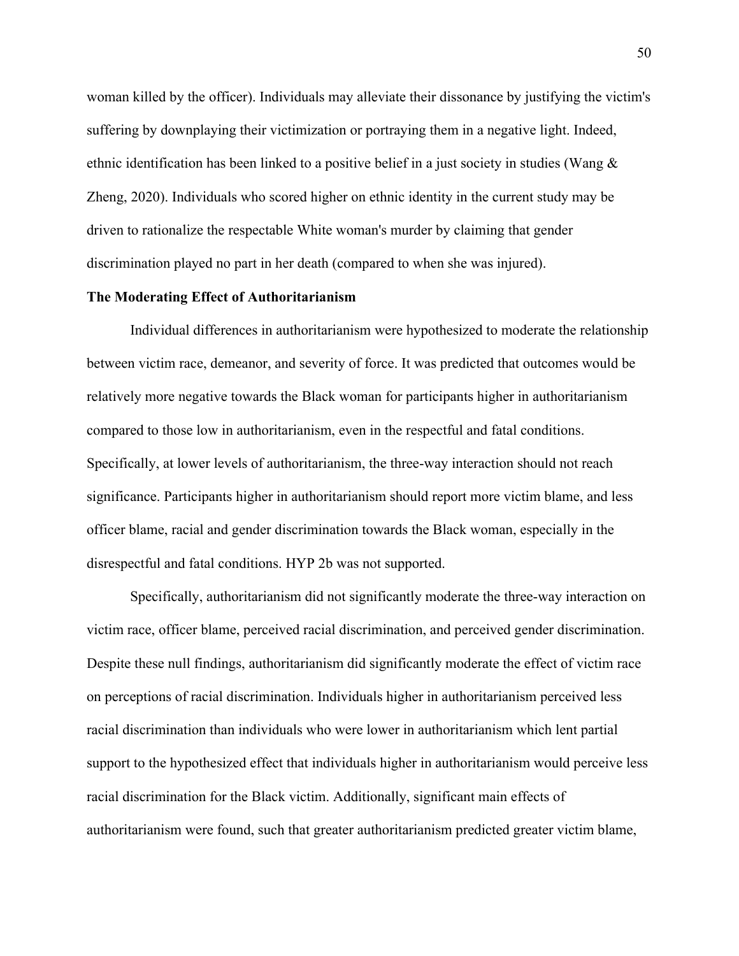woman killed by the officer). Individuals may alleviate their dissonance by justifying the victim's suffering by downplaying their victimization or portraying them in a negative light. Indeed, ethnic identification has been linked to a positive belief in a just society in studies (Wang & Zheng, 2020). Individuals who scored higher on ethnic identity in the current study may be driven to rationalize the respectable White woman's murder by claiming that gender discrimination played no part in her death (compared to when she was injured).

#### **The Moderating Effect of Authoritarianism**

Individual differences in authoritarianism were hypothesized to moderate the relationship between victim race, demeanor, and severity of force. It was predicted that outcomes would be relatively more negative towards the Black woman for participants higher in authoritarianism compared to those low in authoritarianism, even in the respectful and fatal conditions. Specifically, at lower levels of authoritarianism, the three-way interaction should not reach significance. Participants higher in authoritarianism should report more victim blame, and less officer blame, racial and gender discrimination towards the Black woman, especially in the disrespectful and fatal conditions. HYP 2b was not supported.

Specifically, authoritarianism did not significantly moderate the three-way interaction on victim race, officer blame, perceived racial discrimination, and perceived gender discrimination. Despite these null findings, authoritarianism did significantly moderate the effect of victim race on perceptions of racial discrimination. Individuals higher in authoritarianism perceived less racial discrimination than individuals who were lower in authoritarianism which lent partial support to the hypothesized effect that individuals higher in authoritarianism would perceive less racial discrimination for the Black victim. Additionally, significant main effects of authoritarianism were found, such that greater authoritarianism predicted greater victim blame,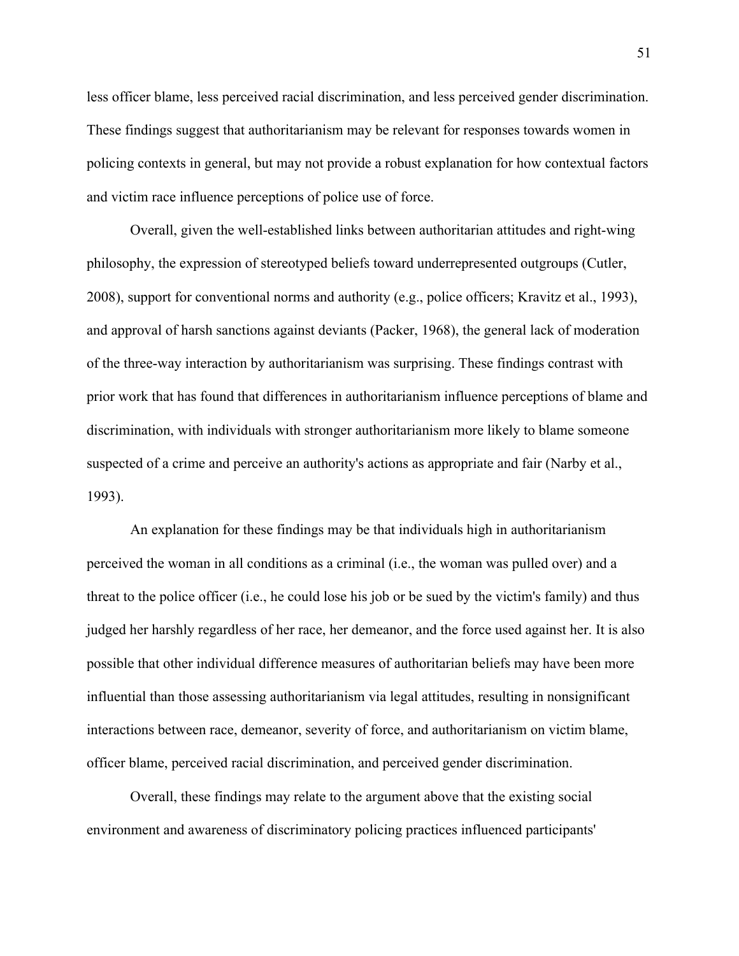less officer blame, less perceived racial discrimination, and less perceived gender discrimination. These findings suggest that authoritarianism may be relevant for responses towards women in policing contexts in general, but may not provide a robust explanation for how contextual factors and victim race influence perceptions of police use of force.

Overall, given the well-established links between authoritarian attitudes and right-wing philosophy, the expression of stereotyped beliefs toward underrepresented outgroups (Cutler, 2008), support for conventional norms and authority (e.g., police officers; Kravitz et al., 1993), and approval of harsh sanctions against deviants (Packer, 1968), the general lack of moderation of the three-way interaction by authoritarianism was surprising. These findings contrast with prior work that has found that differences in authoritarianism influence perceptions of blame and discrimination, with individuals with stronger authoritarianism more likely to blame someone suspected of a crime and perceive an authority's actions as appropriate and fair (Narby et al., 1993).

An explanation for these findings may be that individuals high in authoritarianism perceived the woman in all conditions as a criminal (i.e., the woman was pulled over) and a threat to the police officer (i.e., he could lose his job or be sued by the victim's family) and thus judged her harshly regardless of her race, her demeanor, and the force used against her. It is also possible that other individual difference measures of authoritarian beliefs may have been more influential than those assessing authoritarianism via legal attitudes, resulting in nonsignificant interactions between race, demeanor, severity of force, and authoritarianism on victim blame, officer blame, perceived racial discrimination, and perceived gender discrimination.

Overall, these findings may relate to the argument above that the existing social environment and awareness of discriminatory policing practices influenced participants'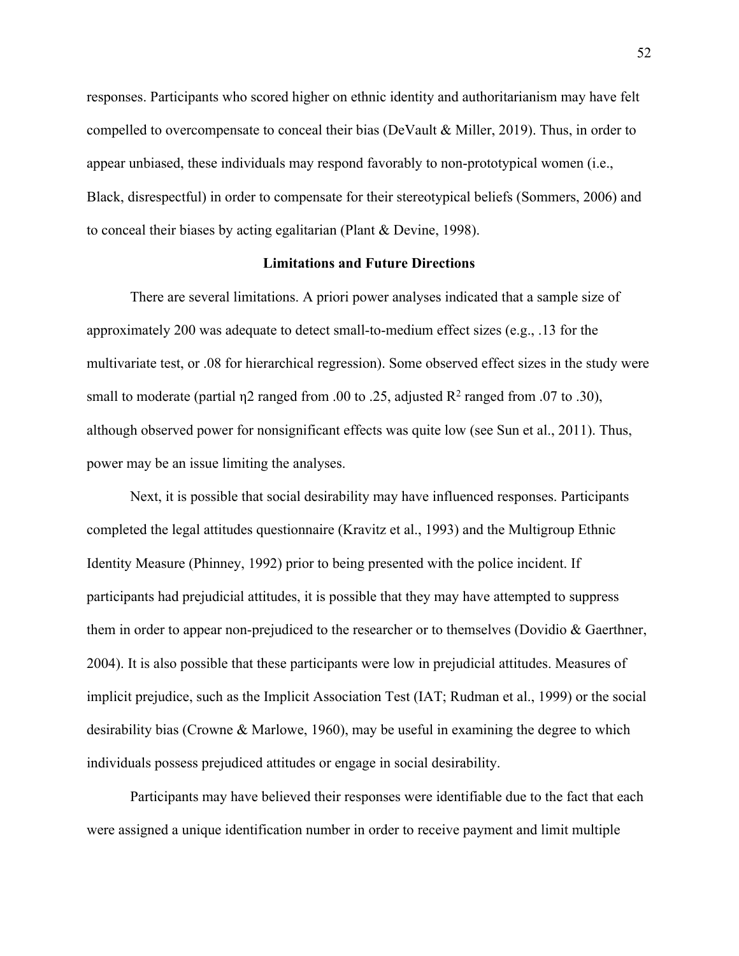responses. Participants who scored higher on ethnic identity and authoritarianism may have felt compelled to overcompensate to conceal their bias (DeVault & Miller, 2019). Thus, in order to appear unbiased, these individuals may respond favorably to non-prototypical women (i.e., Black, disrespectful) in order to compensate for their stereotypical beliefs (Sommers, 2006) and to conceal their biases by acting egalitarian (Plant & Devine, 1998).

### **Limitations and Future Directions**

There are several limitations. A priori power analyses indicated that a sample size of approximately 200 was adequate to detect small-to-medium effect sizes (e.g., .13 for the multivariate test, or .08 for hierarchical regression). Some observed effect sizes in the study were small to moderate (partial  $\eta$ 2 ranged from .00 to .25, adjusted  $\mathbb{R}^2$  ranged from .07 to .30), although observed power for nonsignificant effects was quite low (see Sun et al., 2011). Thus, power may be an issue limiting the analyses.

Next, it is possible that social desirability may have influenced responses. Participants completed the legal attitudes questionnaire (Kravitz et al., 1993) and the Multigroup Ethnic Identity Measure (Phinney, 1992) prior to being presented with the police incident. If participants had prejudicial attitudes, it is possible that they may have attempted to suppress them in order to appear non-prejudiced to the researcher or to themselves (Dovidio & Gaerthner, 2004). It is also possible that these participants were low in prejudicial attitudes. Measures of implicit prejudice, such as the Implicit Association Test (IAT; Rudman et al., 1999) or the social desirability bias (Crowne & Marlowe, 1960), may be useful in examining the degree to which individuals possess prejudiced attitudes or engage in social desirability.

Participants may have believed their responses were identifiable due to the fact that each were assigned a unique identification number in order to receive payment and limit multiple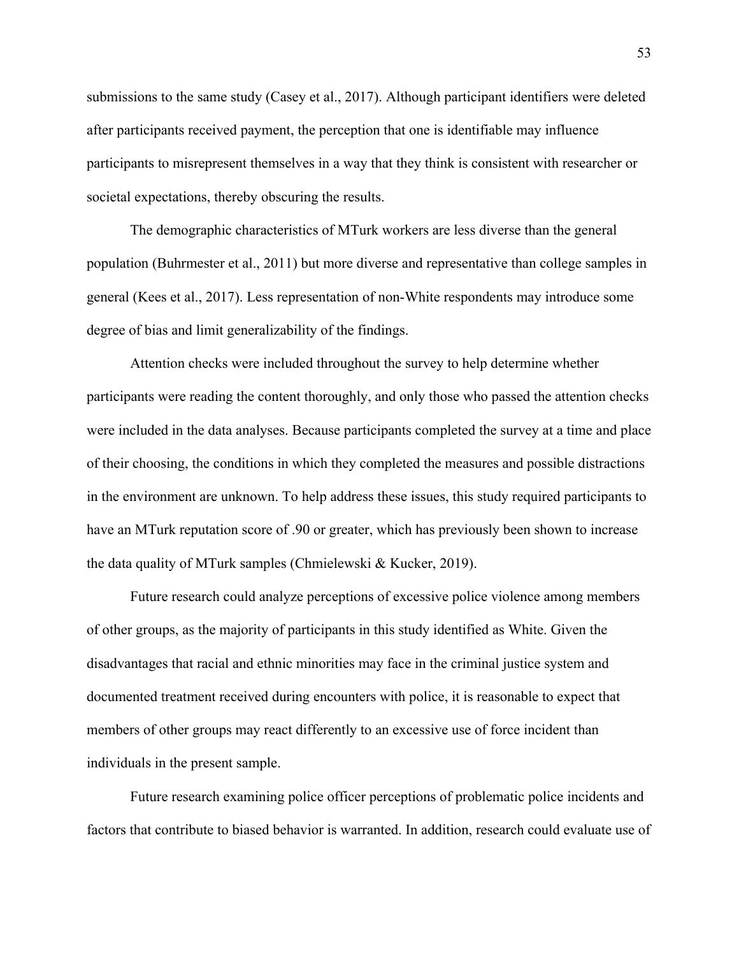submissions to the same study (Casey et al., 2017). Although participant identifiers were deleted after participants received payment, the perception that one is identifiable may influence participants to misrepresent themselves in a way that they think is consistent with researcher or societal expectations, thereby obscuring the results.

The demographic characteristics of MTurk workers are less diverse than the general population (Buhrmester et al., 2011) but more diverse and representative than college samples in general (Kees et al., 2017). Less representation of non-White respondents may introduce some degree of bias and limit generalizability of the findings.

Attention checks were included throughout the survey to help determine whether participants were reading the content thoroughly, and only those who passed the attention checks were included in the data analyses. Because participants completed the survey at a time and place of their choosing, the conditions in which they completed the measures and possible distractions in the environment are unknown. To help address these issues, this study required participants to have an MTurk reputation score of .90 or greater, which has previously been shown to increase the data quality of MTurk samples (Chmielewski & Kucker, 2019).

Future research could analyze perceptions of excessive police violence among members of other groups, as the majority of participants in this study identified as White. Given the disadvantages that racial and ethnic minorities may face in the criminal justice system and documented treatment received during encounters with police, it is reasonable to expect that members of other groups may react differently to an excessive use of force incident than individuals in the present sample.

Future research examining police officer perceptions of problematic police incidents and factors that contribute to biased behavior is warranted. In addition, research could evaluate use of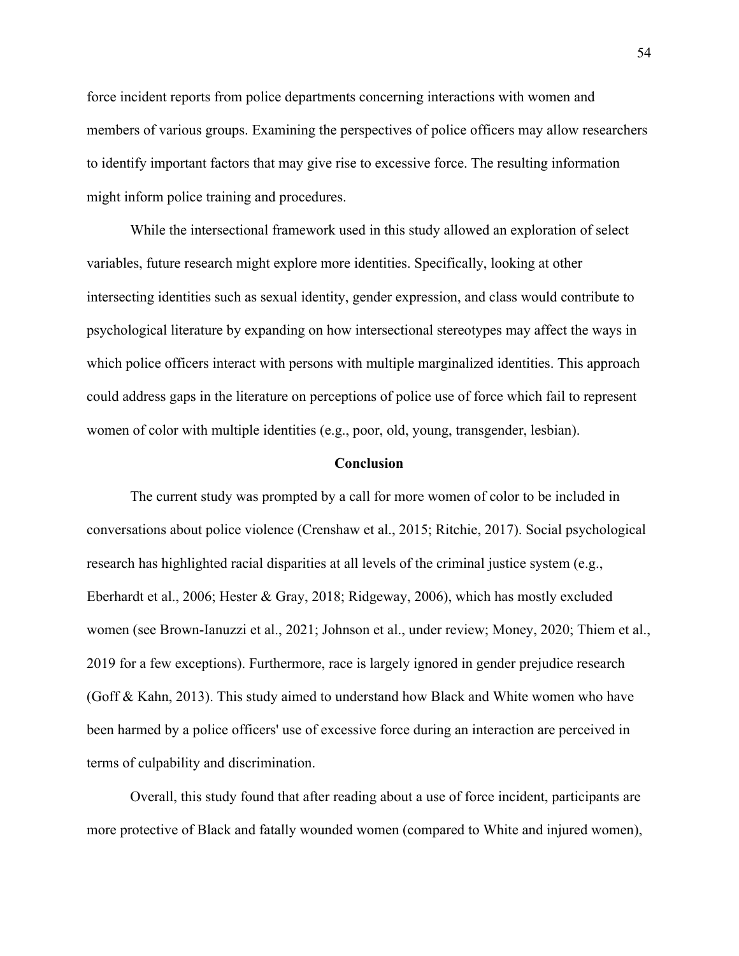force incident reports from police departments concerning interactions with women and members of various groups. Examining the perspectives of police officers may allow researchers to identify important factors that may give rise to excessive force. The resulting information might inform police training and procedures.

While the intersectional framework used in this study allowed an exploration of select variables, future research might explore more identities. Specifically, looking at other intersecting identities such as sexual identity, gender expression, and class would contribute to psychological literature by expanding on how intersectional stereotypes may affect the ways in which police officers interact with persons with multiple marginalized identities. This approach could address gaps in the literature on perceptions of police use of force which fail to represent women of color with multiple identities (e.g., poor, old, young, transgender, lesbian).

### **Conclusion**

The current study was prompted by a call for more women of color to be included in conversations about police violence (Crenshaw et al., 2015; Ritchie, 2017). Social psychological research has highlighted racial disparities at all levels of the criminal justice system (e.g., Eberhardt et al., 2006; Hester & Gray, 2018; Ridgeway, 2006), which has mostly excluded women (see Brown-Ianuzzi et al., 2021; Johnson et al., under review; Money, 2020; Thiem et al., 2019 for a few exceptions). Furthermore, race is largely ignored in gender prejudice research (Goff & Kahn, 2013). This study aimed to understand how Black and White women who have been harmed by a police officers' use of excessive force during an interaction are perceived in terms of culpability and discrimination.

Overall, this study found that after reading about a use of force incident, participants are more protective of Black and fatally wounded women (compared to White and injured women),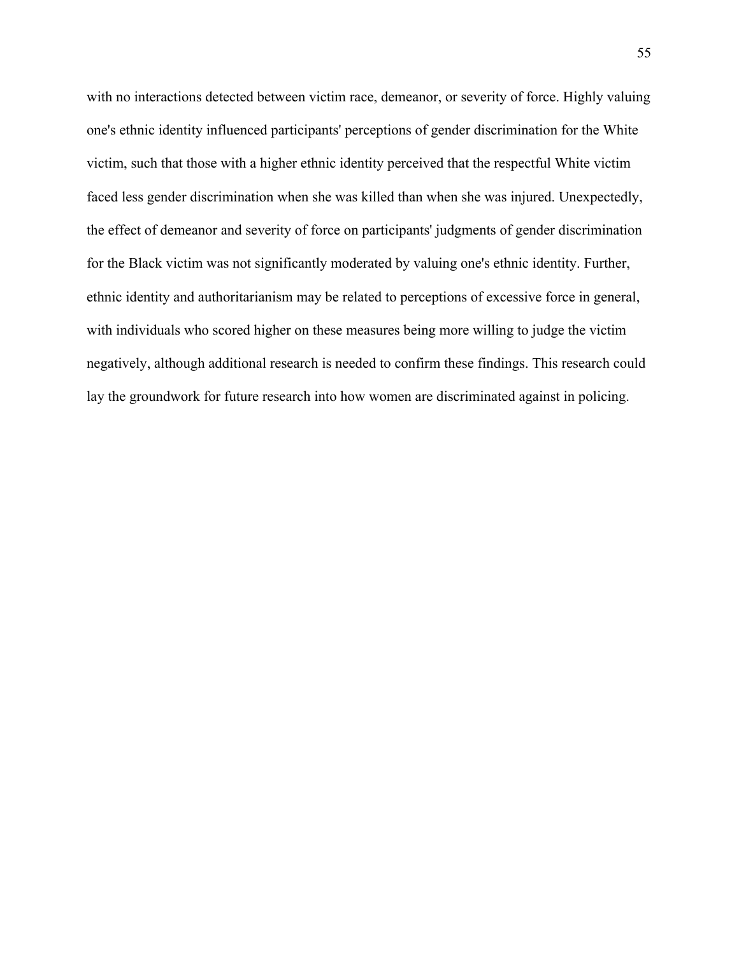with no interactions detected between victim race, demeanor, or severity of force. Highly valuing one's ethnic identity influenced participants' perceptions of gender discrimination for the White victim, such that those with a higher ethnic identity perceived that the respectful White victim faced less gender discrimination when she was killed than when she was injured. Unexpectedly, the effect of demeanor and severity of force on participants' judgments of gender discrimination for the Black victim was not significantly moderated by valuing one's ethnic identity. Further, ethnic identity and authoritarianism may be related to perceptions of excessive force in general, with individuals who scored higher on these measures being more willing to judge the victim negatively, although additional research is needed to confirm these findings. This research could lay the groundwork for future research into how women are discriminated against in policing.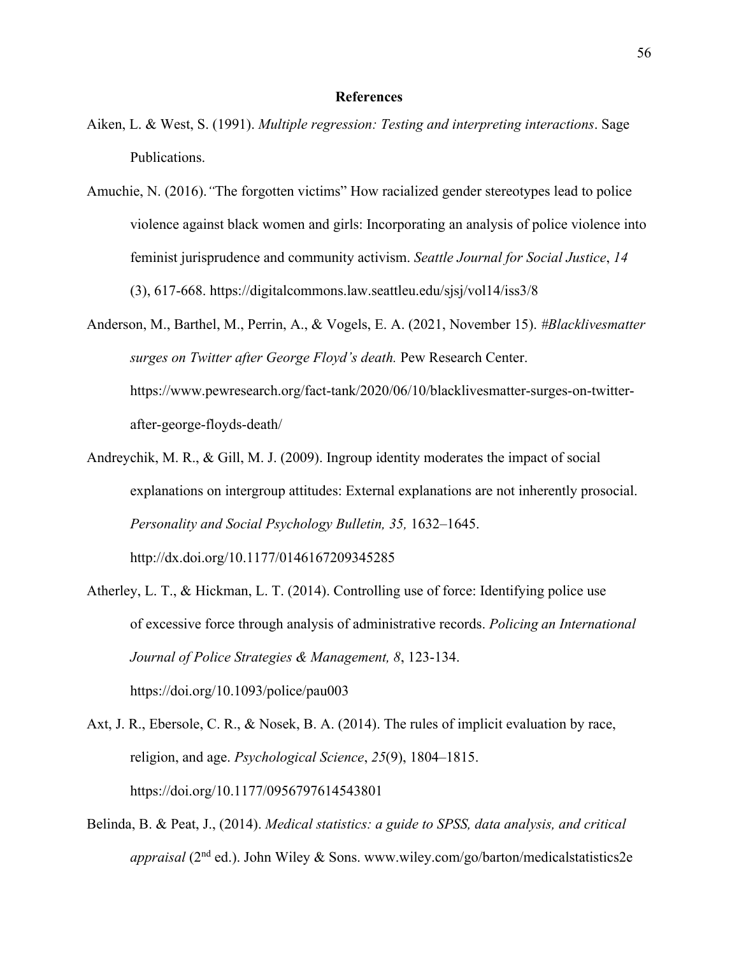### **References**

- Aiken, L. & West, S. (1991). *Multiple regression: Testing and interpreting interactions*. Sage Publications.
- Amuchie, N. (2016).*"*The forgotten victims" How racialized gender stereotypes lead to police violence against black women and girls: Incorporating an analysis of police violence into feminist jurisprudence and community activism. *Seattle Journal for Social Justice*, *14* (3), 617-668. https://digitalcommons.law.seattleu.edu/sjsj/vol14/iss3/8
- Anderson, M., Barthel, M., Perrin, A., & Vogels, E. A. (2021, November 15). *#Blacklivesmatter surges on Twitter after George Floyd's death.* Pew Research Center. https://www.pewresearch.org/fact-tank/2020/06/10/blacklivesmatter-surges-on-twitterafter-george-floyds-death/
- Andreychik, M. R., & Gill, M. J. (2009). Ingroup identity moderates the impact of social explanations on intergroup attitudes: External explanations are not inherently prosocial. *Personality and Social Psychology Bulletin, 35,* 1632–1645. http://dx.doi.org/10.1177/0146167209345285
- Atherley, L. T., & Hickman, L. T. (2014). Controlling use of force: Identifying police use of excessive force through analysis of administrative records. *Policing an International Journal of Police Strategies & Management, 8*, 123-134. https://doi.org/10.1093/police/pau003
- Axt, J. R., Ebersole, C. R., & Nosek, B. A. (2014). The rules of implicit evaluation by race, religion, and age. *Psychological Science*, *25*(9), 1804–1815. https://doi.org/10.1177/0956797614543801
- Belinda, B. & Peat, J., (2014). *Medical statistics: a guide to SPSS, data analysis, and critical appraisal* (2nd ed.). John Wiley & Sons. www.wiley.com/go/barton/medicalstatistics2e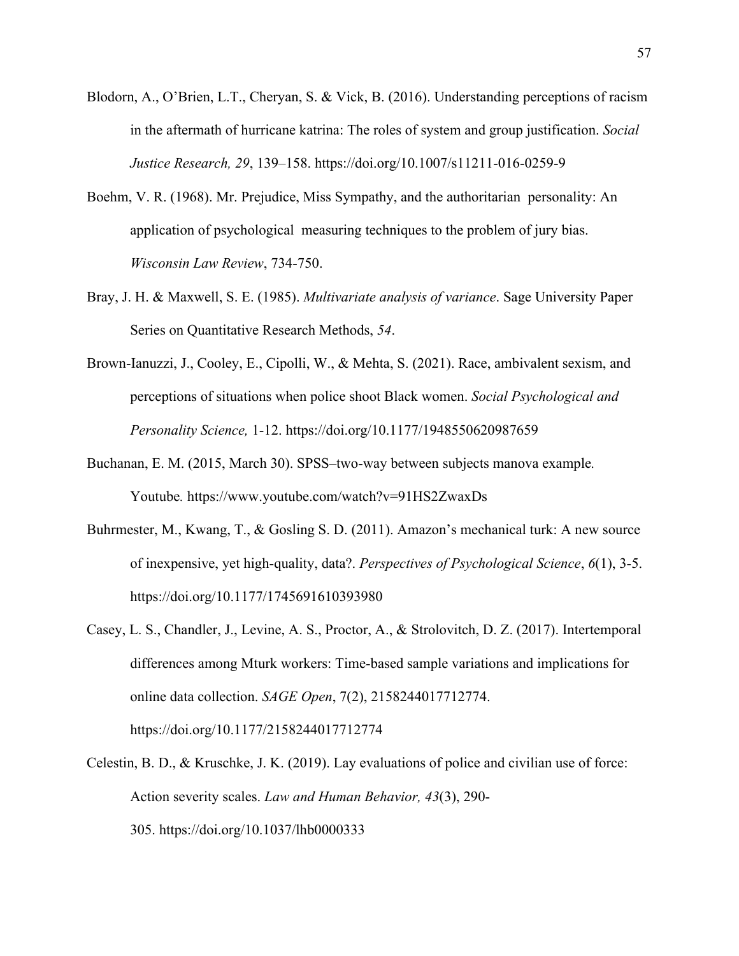- Blodorn, A., O'Brien, L.T., Cheryan, S. & Vick, B. (2016). Understanding perceptions of racism in the aftermath of hurricane katrina: The roles of system and group justification. *Social Justice Research, 29*, 139–158. https://doi.org/10.1007/s11211-016-0259-9
- Boehm, V. R. (1968). Mr. Prejudice, Miss Sympathy, and the authoritarian personality: An application of psychological measuring techniques to the problem of jury bias. *Wisconsin Law Review*, 734-750.
- Bray, J. H. & Maxwell, S. E. (1985). *Multivariate analysis of variance*. Sage University Paper Series on Quantitative Research Methods, *54*.
- Brown-Ianuzzi, J., Cooley, E., Cipolli, W., & Mehta, S. (2021). Race, ambivalent sexism, and perceptions of situations when police shoot Black women. *Social Psychological and Personality Science,* 1-12. https://doi.org/10.1177/1948550620987659
- Buchanan, E. M. (2015, March 30). SPSS–two-way between subjects manova example*.*  Youtube*.* https://www.youtube.com/watch?v=91HS2ZwaxDs
- Buhrmester, M., Kwang, T., & Gosling S. D. (2011). Amazon's mechanical turk: A new source of inexpensive, yet high-quality, data?. *Perspectives of Psychological Science*, *6*(1), 3-5. https://doi.org/10.1177/1745691610393980
- Casey, L. S., Chandler, J., Levine, A. S., Proctor, A., & Strolovitch, D. Z. (2017). Intertemporal differences among Mturk workers: Time-based sample variations and implications for online data collection. *SAGE Open*, 7(2), 2158244017712774. https://doi.org/10.1177/2158244017712774
- Celestin, B. D., & Kruschke, J. K. (2019). Lay evaluations of police and civilian use of force: Action severity scales. *Law and Human Behavior, 43*(3), 290- 305. https://doi.org/10.1037/lhb0000333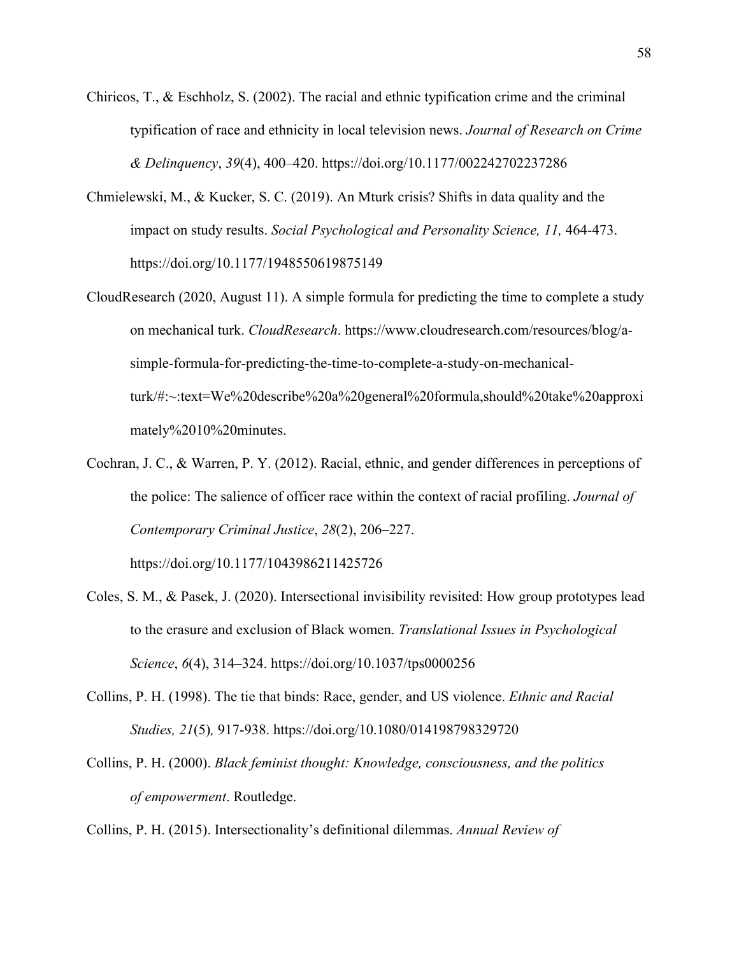- Chiricos, T., & Eschholz, S. (2002). The racial and ethnic typification crime and the criminal typification of race and ethnicity in local television news. *Journal of Research on Crime & Delinquency*, *39*(4), 400–420. https://doi.org/10.1177/002242702237286
- Chmielewski, M., & Kucker, S. C. (2019). An Mturk crisis? Shifts in data quality and the impact on study results. *Social Psychological and Personality Science, 11,* 464-473. https://doi.org/10.1177/1948550619875149
- CloudResearch (2020, August 11). A simple formula for predicting the time to complete a study on mechanical turk. *CloudResearch*. https://www.cloudresearch.com/resources/blog/asimple-formula-for-predicting-the-time-to-complete-a-study-on-mechanicalturk/#:~:text=We%20describe%20a%20general%20formula,should%20take%20approxi mately%2010%20minutes.
- Cochran, J. C., & Warren, P. Y. (2012). Racial, ethnic, and gender differences in perceptions of the police: The salience of officer race within the context of racial profiling. *Journal of Contemporary Criminal Justice*, *28*(2), 206–227.

https://doi.org/10.1177/1043986211425726

- Coles, S. M., & Pasek, J. (2020). Intersectional invisibility revisited: How group prototypes lead to the erasure and exclusion of Black women. *Translational Issues in Psychological Science*, *6*(4), 314–324. https://doi.org/10.1037/tps0000256
- Collins, P. H. (1998). The tie that binds: Race, gender, and US violence. *Ethnic and Racial Studies, 21*(5)*,* 917-938. https://doi.org/10.1080/014198798329720
- Collins, P. H. (2000). *Black feminist thought: Knowledge, consciousness, and the politics of empowerment*. Routledge.

Collins, P. H. (2015). Intersectionality's definitional dilemmas. *Annual Review of*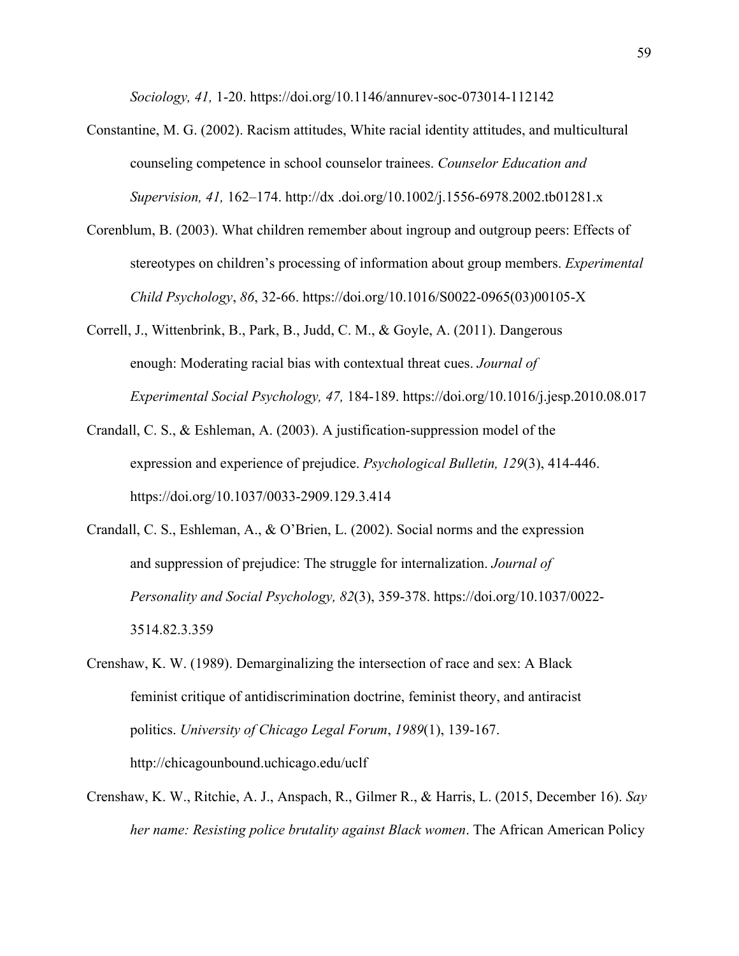*Sociology, 41,* 1-20. https://doi.org/10.1146/annurev-soc-073014-112142

- Constantine, M. G. (2002). Racism attitudes, White racial identity attitudes, and multicultural counseling competence in school counselor trainees. *Counselor Education and Supervision, 41,* 162–174. http://dx .doi.org/10.1002/j.1556-6978.2002.tb01281.x
- Corenblum, B. (2003). What children remember about ingroup and outgroup peers: Effects of stereotypes on children's processing of information about group members. *Experimental Child Psychology*, *86*, 32-66. https://doi.org/10.1016/S0022-0965(03)00105-X
- Correll, J., Wittenbrink, B., Park, B., Judd, C. M., & Goyle, A. (2011). Dangerous enough: Moderating racial bias with contextual threat cues. *Journal of Experimental Social Psychology, 47,* 184-189. https://doi.org/10.1016/j.jesp.2010.08.017
- Crandall, C. S., & Eshleman, A. (2003). A justification-suppression model of the expression and experience of prejudice. *Psychological Bulletin, 129*(3), 414-446. https://doi.org/10.1037/0033-2909.129.3.414
- Crandall, C. S., Eshleman, A., & O'Brien, L. (2002). Social norms and the expression and suppression of prejudice: The struggle for internalization. *Journal of Personality and Social Psychology, 82*(3), 359-378. https://doi.org/10.1037/0022- 3514.82.3.359
- Crenshaw, K. W. (1989). Demarginalizing the intersection of race and sex: A Black feminist critique of antidiscrimination doctrine, feminist theory, and antiracist politics. *University of Chicago Legal Forum*, *1989*(1), 139-167. http://chicagounbound.uchicago.edu/uclf
- Crenshaw, K. W., Ritchie, A. J., Anspach, R., Gilmer R., & Harris, L. (2015, December 16). *Say her name: Resisting police brutality against Black women*. The African American Policy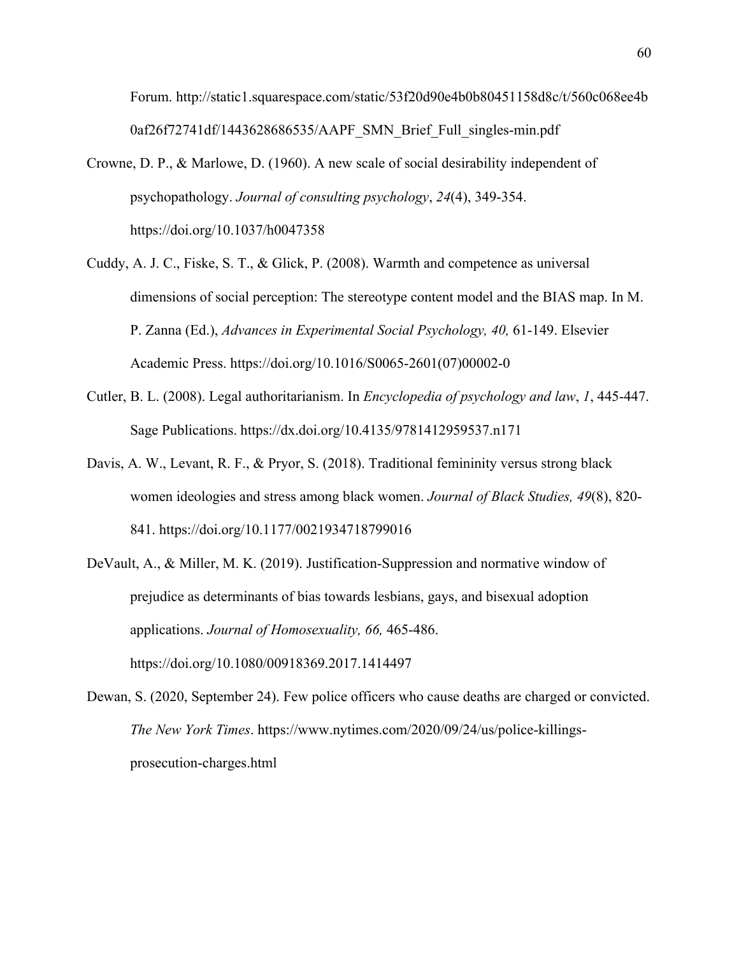Forum. http://static1.squarespace.com/static/53f20d90e4b0b80451158d8c/t/560c068ee4b 0af26f72741df/1443628686535/AAPF\_SMN\_Brief\_Full\_singles-min.pdf

- Crowne, D. P., & Marlowe, D. (1960). A new scale of social desirability independent of psychopathology. *Journal of consulting psychology*, *24*(4), 349-354. https://doi.org/10.1037/h0047358
- Cuddy, A. J. C., Fiske, S. T., & Glick, P. (2008). Warmth and competence as universal dimensions of social perception: The stereotype content model and the BIAS map. In M. P. Zanna (Ed.), *Advances in Experimental Social Psychology, 40,* 61-149. Elsevier Academic Press. https://doi.org/10.1016/S0065-2601(07)00002-0
- Cutler, B. L. (2008). Legal authoritarianism. In *Encyclopedia of psychology and law*, *1*, 445-447. Sage Publications. https://dx.doi.org/10.4135/9781412959537.n171
- Davis, A. W., Levant, R. F., & Pryor, S. (2018). Traditional femininity versus strong black women ideologies and stress among black women. *Journal of Black Studies, 49*(8), 820- 841. https://doi.org/10.1177/0021934718799016
- DeVault, A., & Miller, M. K. (2019). Justification-Suppression and normative window of prejudice as determinants of bias towards lesbians, gays, and bisexual adoption applications. *Journal of Homosexuality, 66,* 465-486. https://doi.org/10.1080/00918369.2017.1414497
- Dewan, S. (2020, September 24). Few police officers who cause deaths are charged or convicted. *The New York Times*. https://www.nytimes.com/2020/09/24/us/police-killingsprosecution-charges.html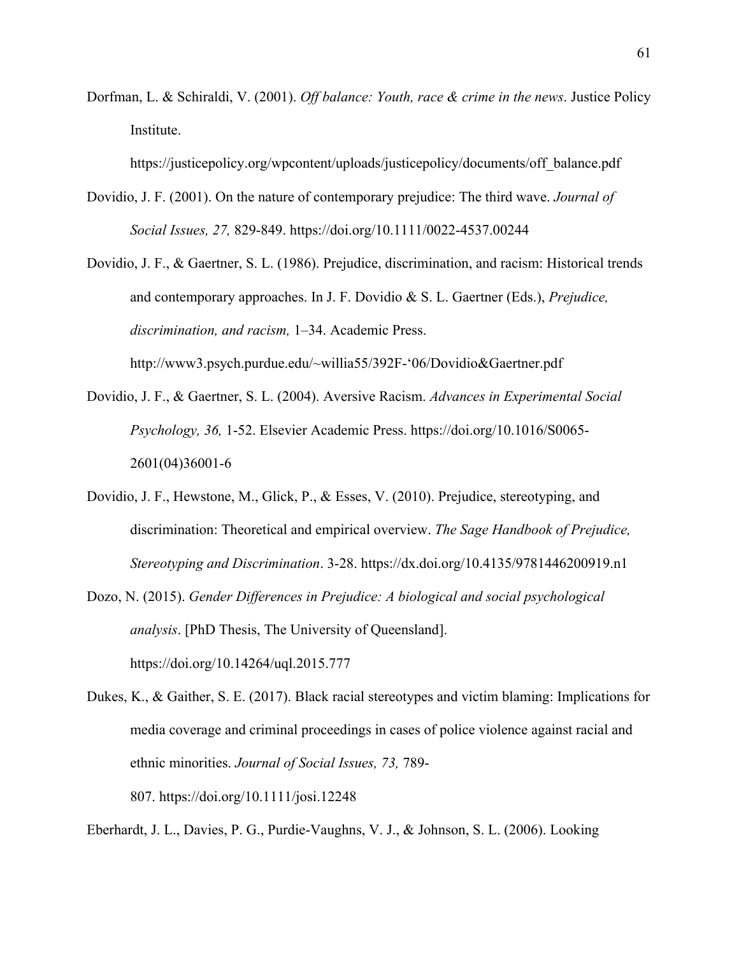Dorfman, L. & Schiraldi, V. (2001). *Off balance: Youth, race & crime in the news*. Justice Policy Institute.

https://justicepolicy.org/wpcontent/uploads/justicepolicy/documents/off\_balance.pdf

- Dovidio, J. F. (2001). On the nature of contemporary prejudice: The third wave. *Journal of Social Issues, 27,* 829-849. https://doi.org/10.1111/0022-4537.00244
- Dovidio, J. F., & Gaertner, S. L. (1986). Prejudice, discrimination, and racism: Historical trends and contemporary approaches. In J. F. Dovidio & S. L. Gaertner (Eds.), *Prejudice, discrimination, and racism,* 1–34. Academic Press. http://www3.psych.purdue.edu/~willia55/392F-'06/Dovidio&Gaertner.pdf
- Dovidio, J. F., & Gaertner, S. L. (2004). Aversive Racism. *Advances in Experimental Social Psychology, 36,* 1-52. Elsevier Academic Press. https://doi.org/10.1016/S0065- 2601(04)36001-6
- Dovidio, J. F., Hewstone, M., Glick, P., & Esses, V. (2010). Prejudice, stereotyping, and discrimination: Theoretical and empirical overview. *The Sage Handbook of Prejudice, Stereotyping and Discrimination*. 3-28. https://dx.doi.org/10.4135/9781446200919.n1
- Dozo, N. (2015). *Gender Differences in Prejudice: A biological and social psychological analysis*. [PhD Thesis, The University of Queensland]. https://doi.org/10.14264/uql.2015.777
- Dukes, K., & Gaither, S. E. (2017). Black racial stereotypes and victim blaming: Implications for media coverage and criminal proceedings in cases of police violence against racial and ethnic minorities. *Journal of Social Issues, 73,* 789- 807. https://doi.org/10.1111/josi.12248

Eberhardt, J. L., Davies, P. G., Purdie-Vaughns, V. J., & Johnson, S. L. (2006). Looking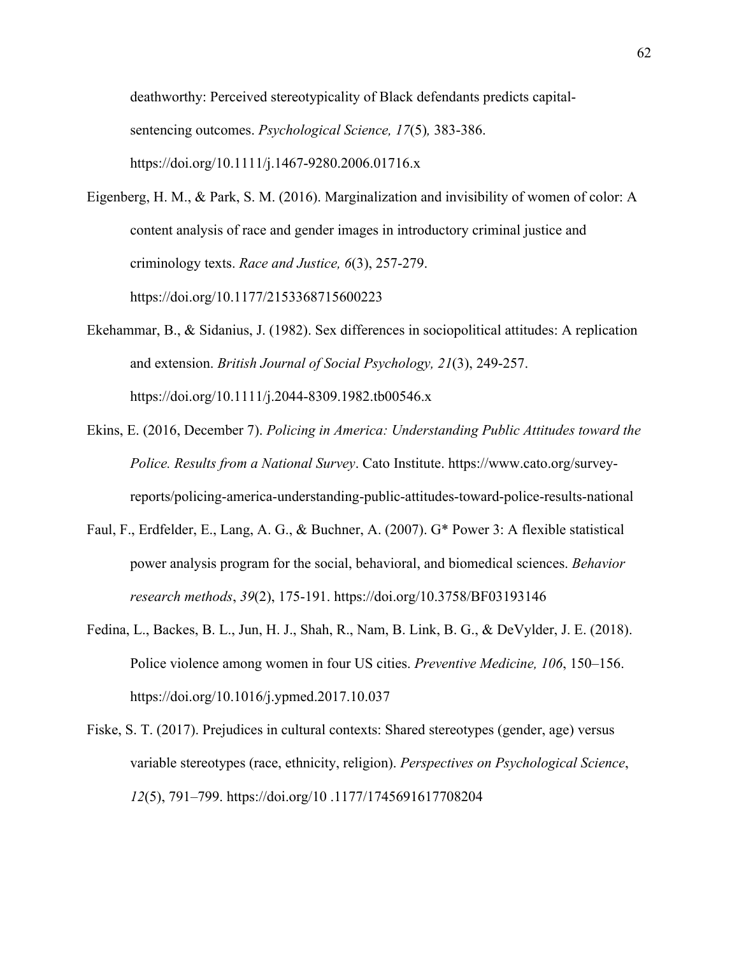deathworthy: Perceived stereotypicality of Black defendants predicts capitalsentencing outcomes. *Psychological Science, 17*(5)*,* 383-386. https://doi.org/10.1111/j.1467-9280.2006.01716.x

- Eigenberg, H. M., & Park, S. M. (2016). Marginalization and invisibility of women of color: A content analysis of race and gender images in introductory criminal justice and criminology texts. *Race and Justice, 6*(3), 257-279. https://doi.org/10.1177/2153368715600223
- Ekehammar, B., & Sidanius, J. (1982). Sex differences in sociopolitical attitudes: A replication and extension. *British Journal of Social Psychology, 21*(3), 249-257. https://doi.org/10.1111/j.2044-8309.1982.tb00546.x
- Ekins, E. (2016, December 7). *Policing in America: Understanding Public Attitudes toward the Police. Results from a National Survey*. Cato Institute. https://www.cato.org/surveyreports/policing-america-understanding-public-attitudes-toward-police-results-national
- Faul, F., Erdfelder, E., Lang, A. G., & Buchner, A. (2007). G\* Power 3: A flexible statistical power analysis program for the social, behavioral, and biomedical sciences. *Behavior research methods*, *39*(2), 175-191. https://doi.org/10.3758/BF03193146
- Fedina, L., Backes, B. L., Jun, H. J., Shah, R., Nam, B. Link, B. G., & DeVylder, J. E. (2018). Police violence among women in four US cities. *Preventive Medicine, 106*, 150–156. https://doi.org/10.1016/j.ypmed.2017.10.037
- Fiske, S. T. (2017). Prejudices in cultural contexts: Shared stereotypes (gender, age) versus variable stereotypes (race, ethnicity, religion). *Perspectives on Psychological Science*, *12*(5), 791–799. https://doi.org/10 .1177/1745691617708204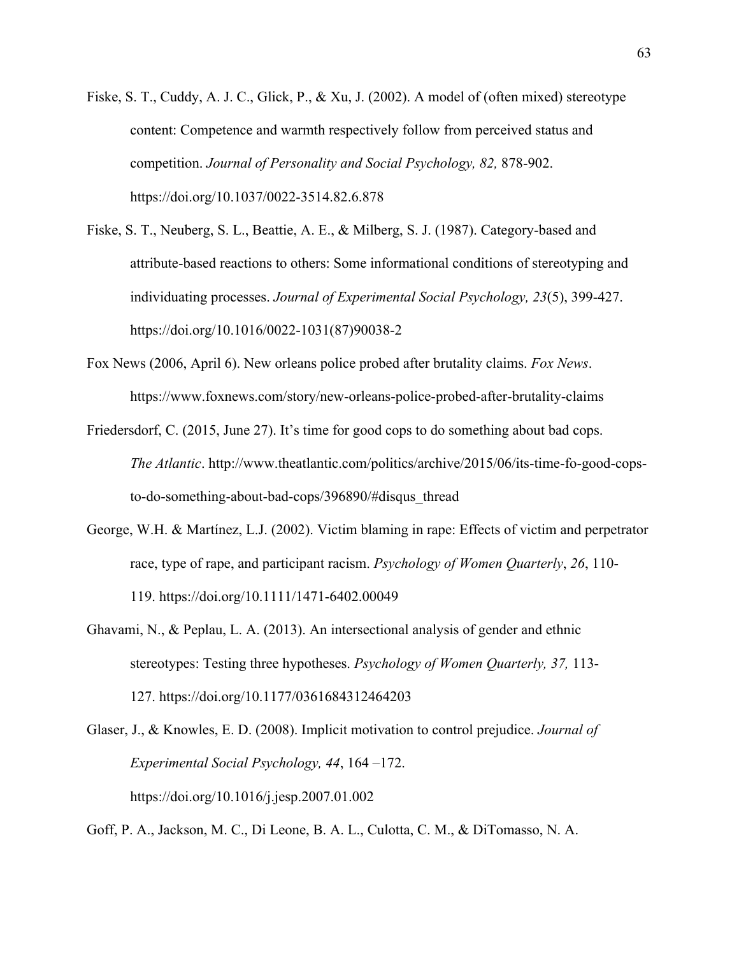- Fiske, S. T., Cuddy, A. J. C., Glick, P., & Xu, J. (2002). A model of (often mixed) stereotype content: Competence and warmth respectively follow from perceived status and competition. *Journal of Personality and Social Psychology, 82,* 878-902. https://doi.org/10.1037/0022-3514.82.6.878
- Fiske, S. T., Neuberg, S. L., Beattie, A. E., & Milberg, S. J. (1987). Category-based and attribute-based reactions to others: Some informational conditions of stereotyping and individuating processes. *Journal of Experimental Social Psychology, 23*(5), 399-427. https://doi.org/10.1016/0022-1031(87)90038-2
- Fox News (2006, April 6). New orleans police probed after brutality claims. *Fox News*. https://www.foxnews.com/story/new-orleans-police-probed-after-brutality-claims
- Friedersdorf, C. (2015, June 27). It's time for good cops to do something about bad cops. *The Atlantic*. http://www.theatlantic.com/politics/archive/2015/06/its-time-fo-good-copsto-do-something-about-bad-cops/396890/#disqus\_thread
- George, W.H. & Martínez, L.J. (2002). Victim blaming in rape: Effects of victim and perpetrator race, type of rape, and participant racism. *Psychology of Women Quarterly*, *26*, 110- 119. https://doi.org/10.1111/1471-6402.00049
- Ghavami, N., & Peplau, L. A. (2013). An intersectional analysis of gender and ethnic stereotypes: Testing three hypotheses. *Psychology of Women Quarterly, 37,* 113- 127. https://doi.org/10.1177/0361684312464203
- Glaser, J., & Knowles, E. D. (2008). Implicit motivation to control prejudice. *Journal of Experimental Social Psychology, 44*, 164 –172. https://doi.org/10.1016/j.jesp.2007.01.002

Goff, P. A., Jackson, M. C., Di Leone, B. A. L., Culotta, C. M., & DiTomasso, N. A.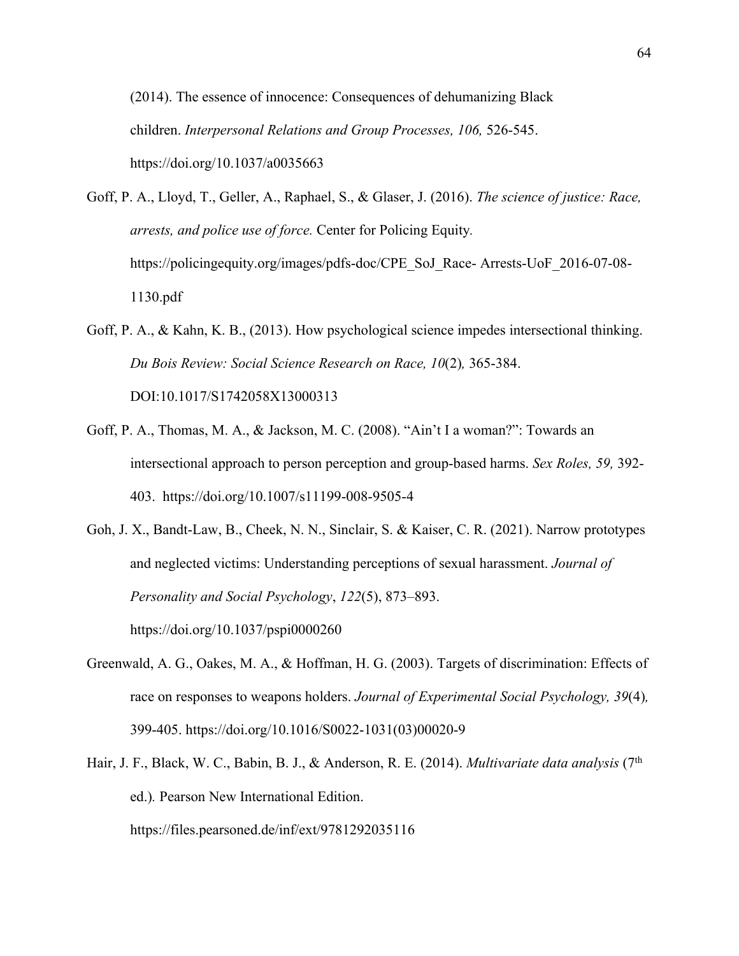(2014). The essence of innocence: Consequences of dehumanizing Black children. *Interpersonal Relations and Group Processes, 106,* 526-545. https://doi.org/10.1037/a0035663

Goff, P. A., Lloyd, T., Geller, A., Raphael, S., & Glaser, J. (2016). *The science of justice: Race, arrests, and police use of force.* Center for Policing Equity*.*  https://policingequity.org/images/pdfs-doc/CPE\_SoJ\_Race- Arrests-UoF\_2016-07-08-1130.pdf

- Goff, P. A., & Kahn, K. B., (2013). How psychological science impedes intersectional thinking. *Du Bois Review: Social Science Research on Race, 10*(2)*,* 365-384. DOI:10.1017/S1742058X13000313
- Goff, P. A., Thomas, M. A., & Jackson, M. C. (2008). "Ain't I a woman?": Towards an intersectional approach to person perception and group-based harms. *Sex Roles, 59,* 392- 403. https://doi.org/10.1007/s11199-008-9505-4

Goh, J. X., Bandt-Law, B., Cheek, N. N., Sinclair, S. & Kaiser, C. R. (2021). Narrow prototypes and neglected victims: Understanding perceptions of sexual harassment. *Journal of Personality and Social Psychology*, *122*(5), 873–893. https://doi.org/10.1037/pspi0000260

- Greenwald, A. G., Oakes, M. A., & Hoffman, H. G. (2003). Targets of discrimination: Effects of race on responses to weapons holders. *Journal of Experimental Social Psychology, 39*(4)*,*  399-405. https://doi.org/10.1016/S0022-1031(03)00020-9
- Hair, J. F., Black, W. C., Babin, B. J., & Anderson, R. E. (2014). *Multivariate data analysis* (7th ed.)*.* Pearson New International Edition.

https://files.pearsoned.de/inf/ext/9781292035116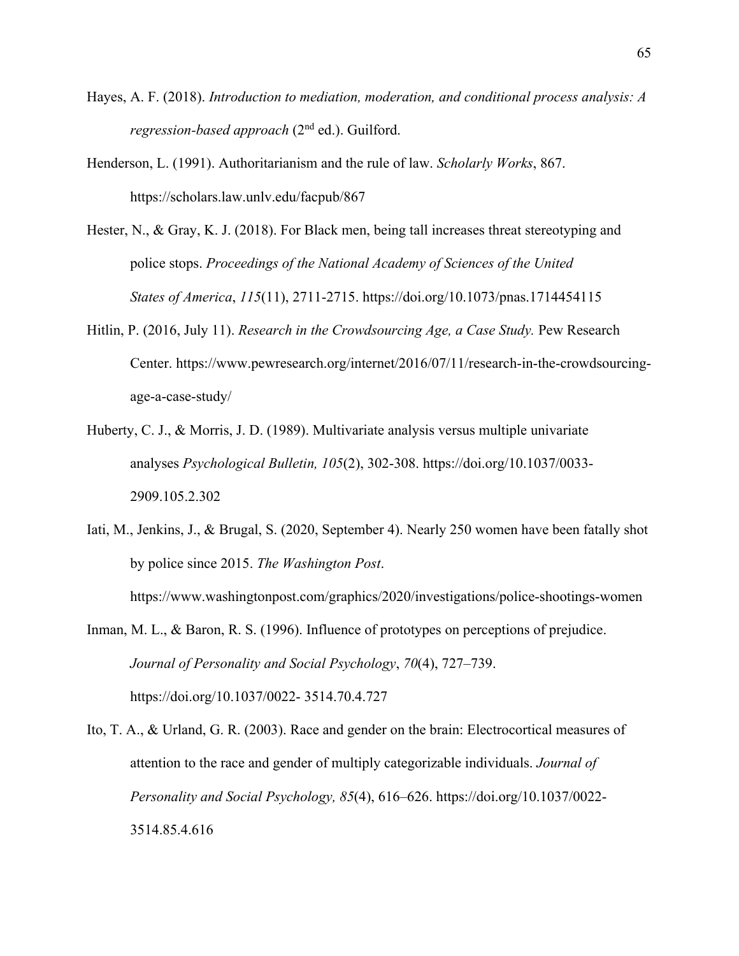- Hayes, A. F. (2018). *Introduction to mediation, moderation, and conditional process analysis: A regression-based approach* (2nd ed.). Guilford.
- Henderson, L. (1991). Authoritarianism and the rule of law. *Scholarly Works*, 867. https://scholars.law.unlv.edu/facpub/867
- Hester, N., & Gray, K. J. (2018). For Black men, being tall increases threat stereotyping and police stops. *Proceedings of the National Academy of Sciences of the United States of America*, *115*(11), 2711-2715. https://doi.org/10.1073/pnas.1714454115
- Hitlin, P. (2016, July 11). *Research in the Crowdsourcing Age, a Case Study.* Pew Research Center. https://www.pewresearch.org/internet/2016/07/11/research-in-the-crowdsourcingage-a-case-study/
- Huberty, C. J., & Morris, J. D. (1989). Multivariate analysis versus multiple univariate analyses *Psychological Bulletin, 105*(2), 302-308. https://doi.org/10.1037/0033- 2909.105.2.302
- Iati, M., Jenkins, J., & Brugal, S. (2020, September 4). Nearly 250 women have been fatally shot by police since 2015. *The Washington Post*.

https://www.washingtonpost.com/graphics/2020/investigations/police-shootings-women

Inman, M. L., & Baron, R. S. (1996). Influence of prototypes on perceptions of prejudice. *Journal of Personality and Social Psychology*, *70*(4), 727–739. https://doi.org/10.1037/0022- 3514.70.4.727

Ito, T. A., & Urland, G. R. (2003). Race and gender on the brain: Electrocortical measures of attention to the race and gender of multiply categorizable individuals. *Journal of Personality and Social Psychology, 85*(4), 616–626. https://doi.org/10.1037/0022- 3514.85.4.616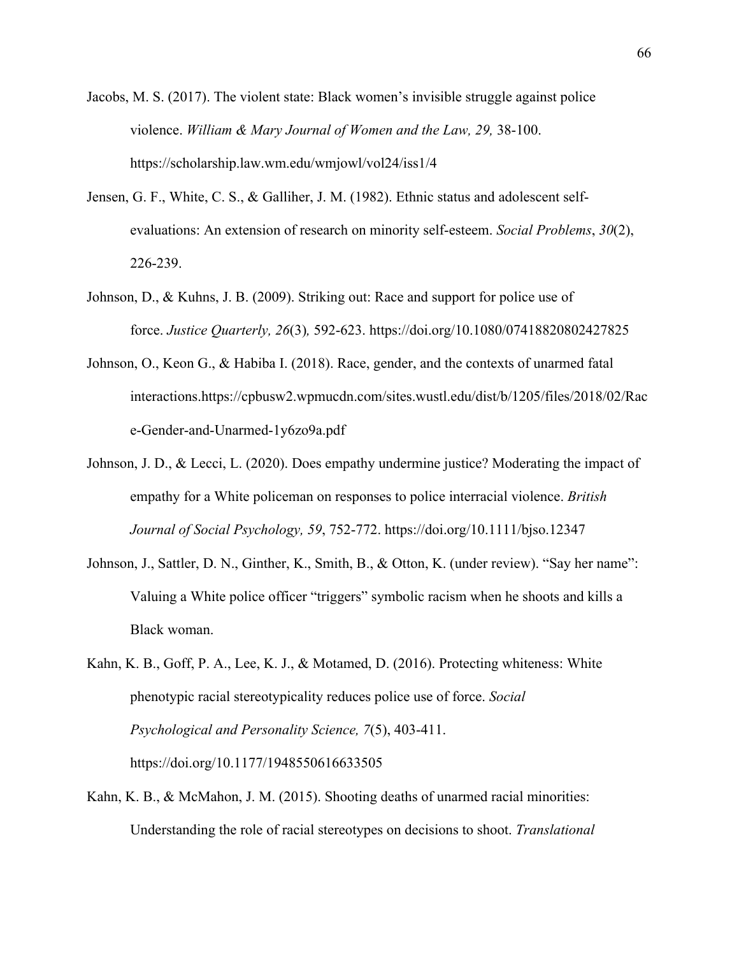Jacobs, M. S. (2017). The violent state: Black women's invisible struggle against police violence. *William & Mary Journal of Women and the Law, 29,* 38-100. https://scholarship.law.wm.edu/wmjowl/vol24/iss1/4

- Jensen, G. F., White, C. S., & Galliher, J. M. (1982). Ethnic status and adolescent selfevaluations: An extension of research on minority self-esteem. *Social Problems*, *30*(2), 226-239.
- Johnson, D., & Kuhns, J. B. (2009). Striking out: Race and support for police use of force. *Justice Quarterly, 26*(3)*,* 592-623. https://doi.org/10.1080/07418820802427825
- Johnson, O., Keon G., & Habiba I. (2018). Race, gender, and the contexts of unarmed fatal interactions.https://cpbusw2.wpmucdn.com/sites.wustl.edu/dist/b/1205/files/2018/02/Rac e-Gender-and-Unarmed-1y6zo9a.pdf
- Johnson, J. D., & Lecci, L. (2020). Does empathy undermine justice? Moderating the impact of empathy for a White policeman on responses to police interracial violence. *British Journal of Social Psychology, 59*, 752-772. https://doi.org/10.1111/bjso.12347
- Johnson, J., Sattler, D. N., Ginther, K., Smith, B., & Otton, K. (under review). "Say her name": Valuing a White police officer "triggers" symbolic racism when he shoots and kills a Black woman.
- Kahn, K. B., Goff, P. A., Lee, K. J., & Motamed, D. (2016). Protecting whiteness: White phenotypic racial stereotypicality reduces police use of force. *Social Psychological and Personality Science, 7*(5), 403-411. https://doi.org/10.1177/1948550616633505
- Kahn, K. B., & McMahon, J. M. (2015). Shooting deaths of unarmed racial minorities: Understanding the role of racial stereotypes on decisions to shoot. *Translational*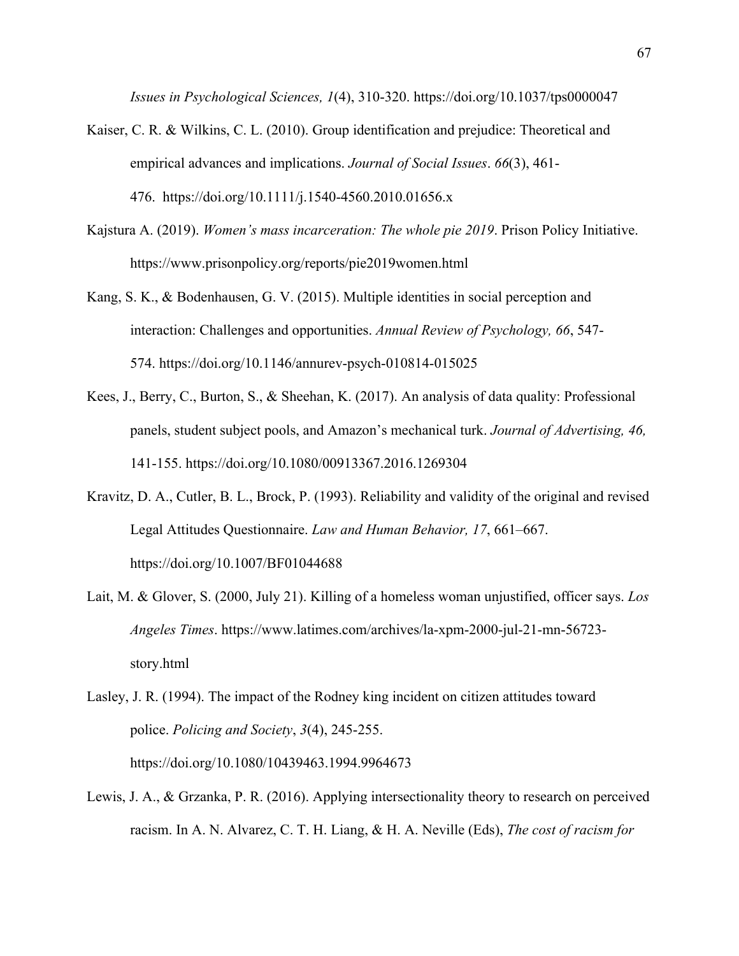*Issues in Psychological Sciences, 1*(4), 310-320. https://doi.org/10.1037/tps0000047

- Kaiser, C. R. & Wilkins, C. L. (2010). Group identification and prejudice: Theoretical and empirical advances and implications. *Journal of Social Issues*. *66*(3), 461- 476. https://doi.org/10.1111/j.1540-4560.2010.01656.x
- Kajstura A. (2019). *Women's mass incarceration: The whole pie 2019*. Prison Policy Initiative. https://www.prisonpolicy.org/reports/pie2019women.html
- Kang, S. K., & Bodenhausen, G. V. (2015). Multiple identities in social perception and interaction: Challenges and opportunities. *Annual Review of Psychology, 66*, 547- 574. https://doi.org/10.1146/annurev-psych-010814-015025
- Kees, J., Berry, C., Burton, S., & Sheehan, K. (2017). An analysis of data quality: Professional panels, student subject pools, and Amazon's mechanical turk. *Journal of Advertising, 46,*  141-155. https://doi.org/10.1080/00913367.2016.1269304
- Kravitz, D. A., Cutler, B. L., Brock, P. (1993). Reliability and validity of the original and revised Legal Attitudes Questionnaire. *Law and Human Behavior, 17*, 661–667. https://doi.org/10.1007/BF01044688
- Lait, M. & Glover, S. (2000, July 21). Killing of a homeless woman unjustified, officer says. *Los Angeles Times*. https://www.latimes.com/archives/la-xpm-2000-jul-21-mn-56723 story.html

Lewis, J. A., & Grzanka, P. R. (2016). Applying intersectionality theory to research on perceived racism. In A. N. Alvarez, C. T. H. Liang, & H. A. Neville (Eds), *The cost of racism for* 

Lasley, J. R. (1994). The impact of the Rodney king incident on citizen attitudes toward police. *Policing and Society*, *3*(4), 245-255. https://doi.org/10.1080/10439463.1994.9964673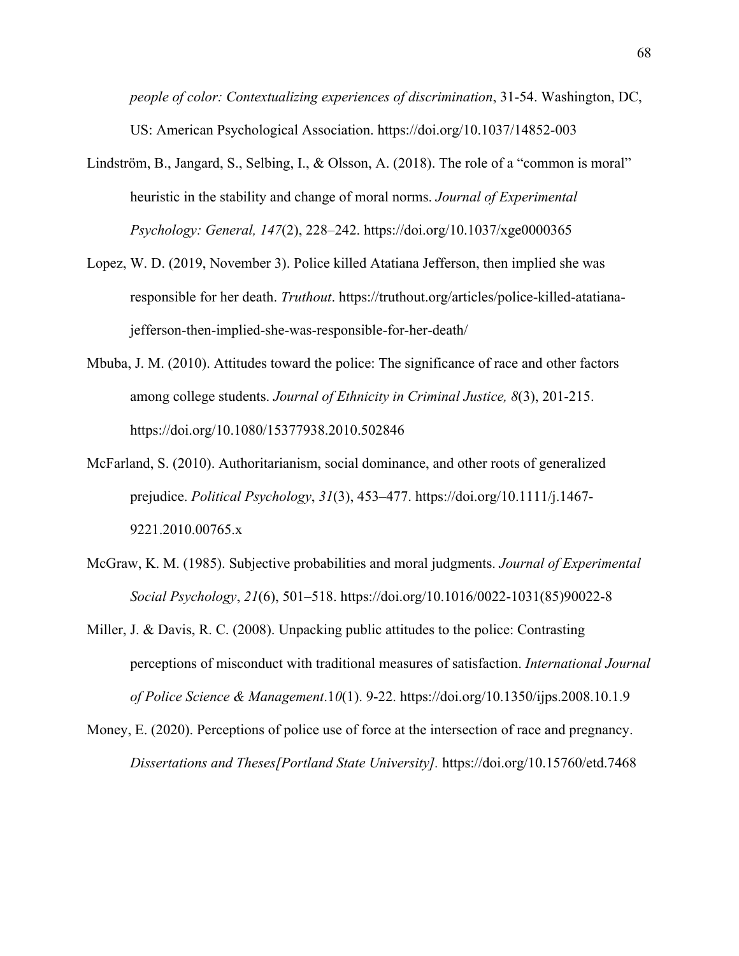*people of color: Contextualizing experiences of discrimination*, 31-54. Washington, DC, US: American Psychological Association. https://doi.org/10.1037/14852-003

- Lindström, B., Jangard, S., Selbing, I., & Olsson, A. (2018). The role of a "common is moral" heuristic in the stability and change of moral norms. *Journal of Experimental Psychology: General, 147*(2), 228–242. https://doi.org/10.1037/xge0000365
- Lopez, W. D. (2019, November 3). Police killed Atatiana Jefferson, then implied she was responsible for her death. *Truthout*. https://truthout.org/articles/police-killed-atatianajefferson-then-implied-she-was-responsible-for-her-death/
- Mbuba, J. M. (2010). Attitudes toward the police: The significance of race and other factors among college students. *Journal of Ethnicity in Criminal Justice, 8*(3), 201-215. https://doi.org/10.1080/15377938.2010.502846
- McFarland, S. (2010). Authoritarianism, social dominance, and other roots of generalized prejudice. *Political Psychology*, *31*(3), 453–477. https://doi.org/10.1111/j.1467- 9221.2010.00765.x
- McGraw, K. M. (1985). Subjective probabilities and moral judgments. *Journal of Experimental Social Psychology*, *21*(6), 501–518. https://doi.org/10.1016/0022-1031(85)90022-8
- Miller, J. & Davis, R. C. (2008). Unpacking public attitudes to the police: Contrasting perceptions of misconduct with traditional measures of satisfaction. *International Journal of Police Science & Management*.1*0*(1). 9-22. https://doi.org/10.1350/ijps.2008.10.1.9
- Money, E. (2020). Perceptions of police use of force at the intersection of race and pregnancy. *Dissertations and Theses[Portland State University].* https://doi.org/10.15760/etd.7468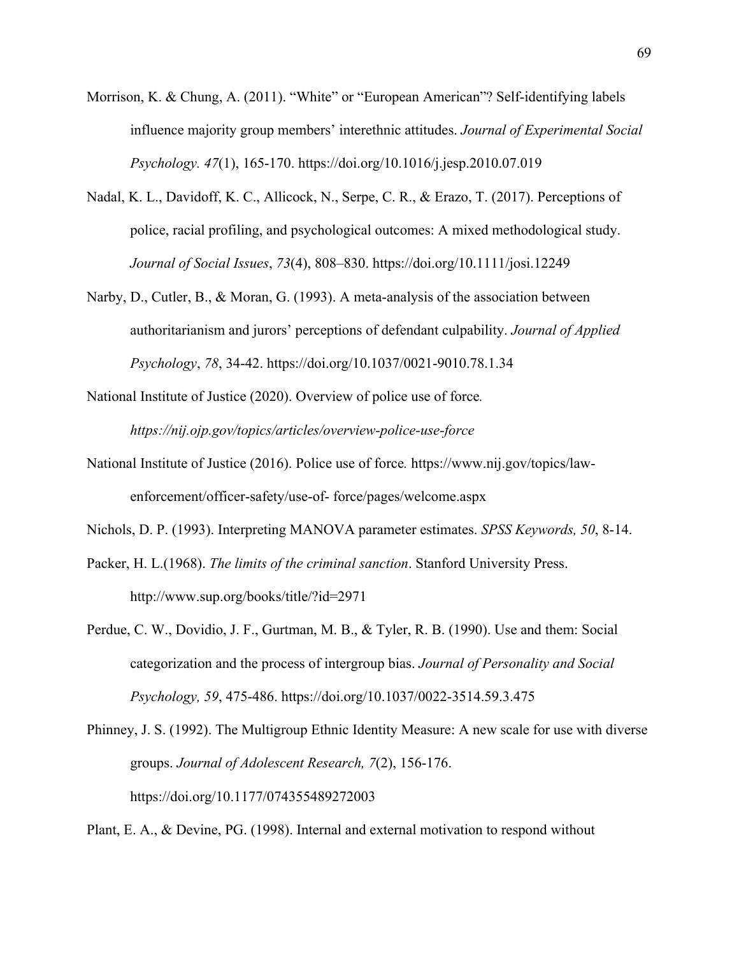- Morrison, K. & Chung, A. (2011). "White" or "European American"? Self-identifying labels influence majority group members' interethnic attitudes. *Journal of Experimental Social Psychology. 47*(1), 165-170. https://doi.org/10.1016/j.jesp.2010.07.019
- Nadal, K. L., Davidoff, K. C., Allicock, N., Serpe, C. R., & Erazo, T. (2017). Perceptions of police, racial profiling, and psychological outcomes: A mixed methodological study. *Journal of Social Issues*, *73*(4), 808–830. https://doi.org/10.1111/josi.12249
- Narby, D., Cutler, B., & Moran, G. (1993). A meta-analysis of the association between authoritarianism and jurors' perceptions of defendant culpability. *Journal of Applied Psychology*, *78*, 34-42. https://doi.org/10.1037/0021-9010.78.1.34
- National Institute of Justice (2020). Overview of police use of force*. https://nij.ojp.gov/topics/articles/overview-police-use-force*
- National Institute of Justice (2016). Police use of force*.* https://www.nij.gov/topics/lawenforcement/officer-safety/use-of- force/pages/welcome.aspx
- Nichols, D. P. (1993). Interpreting MANOVA parameter estimates. *SPSS Keywords, 50*, 8-14.
- Packer, H. L.(1968). *The limits of the criminal sanction*. Stanford University Press. http://www.sup.org/books/title/?id=2971
- Perdue, C. W., Dovidio, J. F., Gurtman, M. B., & Tyler, R. B. (1990). Use and them: Social categorization and the process of intergroup bias. *Journal of Personality and Social Psychology, 59*, 475-486. https://doi.org/10.1037/0022-3514.59.3.475
- Phinney, J. S. (1992). The Multigroup Ethnic Identity Measure: A new scale for use with diverse groups. *Journal of Adolescent Research, 7*(2), 156-176. https://doi.org/10.1177/074355489272003

Plant, E. A., & Devine, PG. (1998). Internal and external motivation to respond without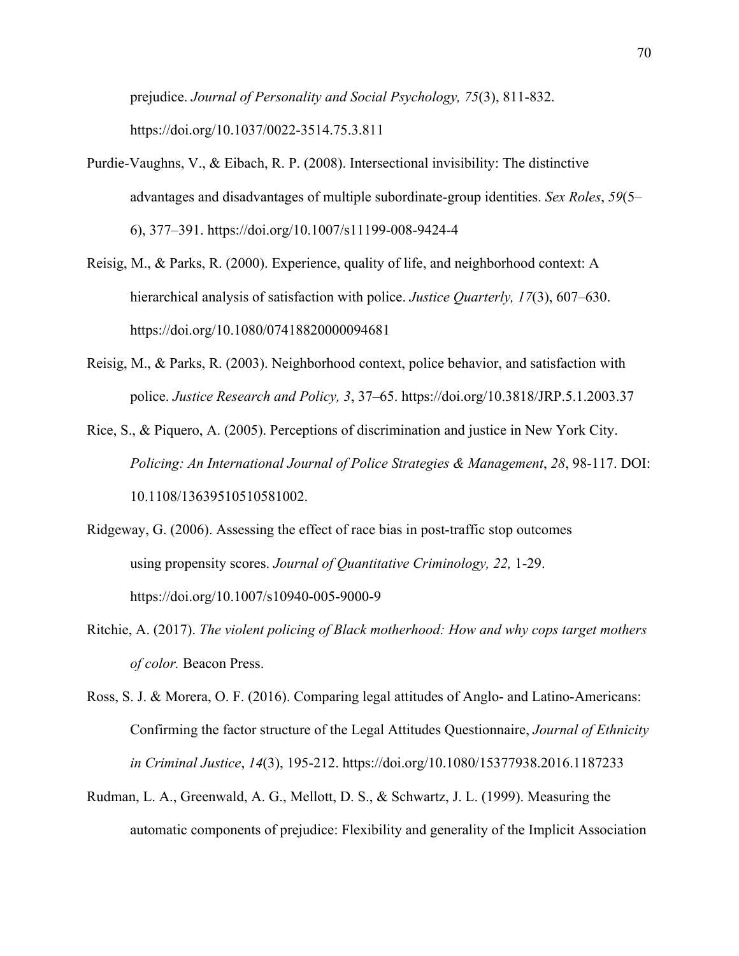prejudice. *Journal of Personality and Social Psychology, 75*(3), 811-832. https://doi.org/10.1037/0022-3514.75.3.811

- Purdie-Vaughns, V., & Eibach, R. P. (2008). Intersectional invisibility: The distinctive advantages and disadvantages of multiple subordinate-group identities. *Sex Roles*, *59*(5– 6), 377–391. https://doi.org/10.1007/s11199-008-9424-4
- Reisig, M., & Parks, R. (2000). Experience, quality of life, and neighborhood context: A hierarchical analysis of satisfaction with police. *Justice Quarterly, 17*(3), 607–630. https://doi.org/10.1080/07418820000094681
- Reisig, M., & Parks, R. (2003). Neighborhood context, police behavior, and satisfaction with police. *Justice Research and Policy, 3*, 37–65. https://doi.org/10.3818/JRP.5.1.2003.37
- Rice, S., & Piquero, A. (2005). Perceptions of discrimination and justice in New York City. *Policing: An International Journal of Police Strategies & Management*, *28*, 98-117. DOI: 10.1108/13639510510581002.
- Ridgeway, G. (2006). Assessing the effect of race bias in post-traffic stop outcomes using propensity scores. *Journal of Quantitative Criminology, 22,* 1-29. https://doi.org/10.1007/s10940-005-9000-9
- Ritchie, A. (2017). *The violent policing of Black motherhood: How and why cops target mothers of color.* Beacon Press.
- Ross, S. J. & Morera, O. F. (2016). Comparing legal attitudes of Anglo- and Latino-Americans: Confirming the factor structure of the Legal Attitudes Questionnaire, *Journal of Ethnicity in Criminal Justice*, *14*(3), 195-212. https://doi.org/10.1080/15377938.2016.1187233
- Rudman, L. A., Greenwald, A. G., Mellott, D. S., & Schwartz, J. L. (1999). Measuring the automatic components of prejudice: Flexibility and generality of the Implicit Association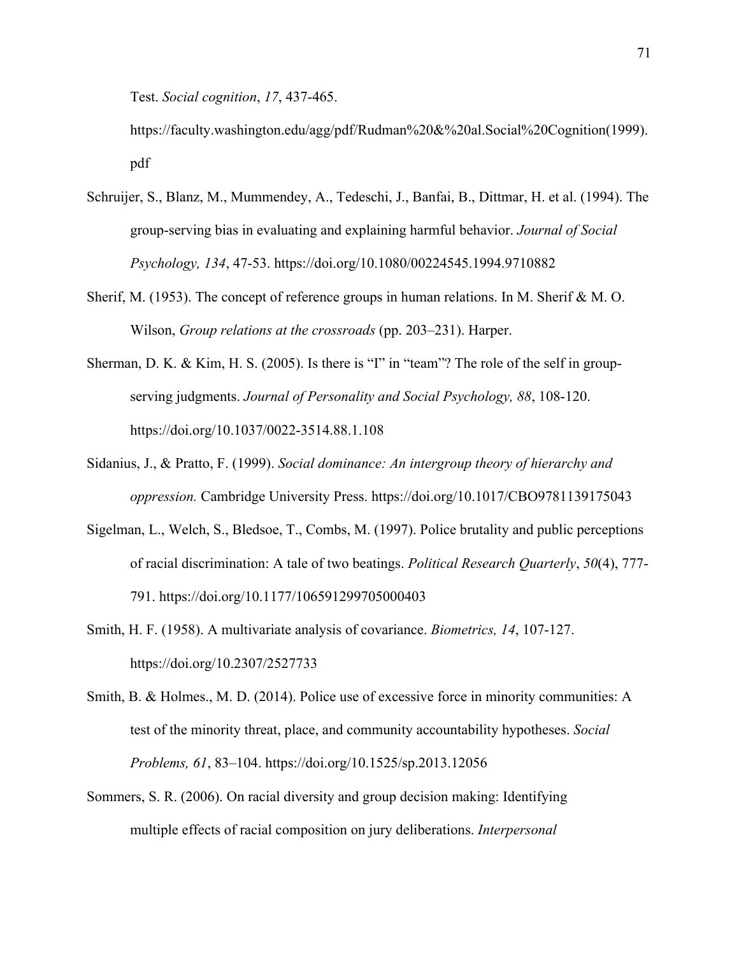Test. *Social cognition*, *17*, 437-465.

https://faculty.washington.edu/agg/pdf/Rudman%20&%20al.Social%20Cognition(1999). pdf

- Schruijer, S., Blanz, M., Mummendey, A., Tedeschi, J., Banfai, B., Dittmar, H. et al. (1994). The group-serving bias in evaluating and explaining harmful behavior. *Journal of Social Psychology, 134*, 47-53. https://doi.org/10.1080/00224545.1994.9710882
- Sherif, M. (1953). The concept of reference groups in human relations. In M. Sherif & M. O. Wilson, *Group relations at the crossroads* (pp. 203–231). Harper.
- Sherman, D. K. & Kim, H. S. (2005). Is there is "I" in "team"? The role of the self in groupserving judgments. *Journal of Personality and Social Psychology, 88*, 108-120. https://doi.org/10.1037/0022-3514.88.1.108
- Sidanius, J., & Pratto, F. (1999). *Social dominance: An intergroup theory of hierarchy and oppression.* Cambridge University Press. https://doi.org/10.1017/CBO9781139175043
- Sigelman, L., Welch, S., Bledsoe, T., Combs, M. (1997). Police brutality and public perceptions of racial discrimination: A tale of two beatings. *Political Research Quarterly*, *50*(4), 777- 791. https://doi.org/10.1177/106591299705000403
- Smith, H. F. (1958). A multivariate analysis of covariance. *Biometrics, 14*, 107-127. https://doi.org/10.2307/2527733
- Smith, B. & Holmes., M. D. (2014). Police use of excessive force in minority communities: A test of the minority threat, place, and community accountability hypotheses. *Social Problems, 61*, 83–104. https://doi.org/10.1525/sp.2013.12056
- Sommers, S. R. (2006). On racial diversity and group decision making: Identifying multiple effects of racial composition on jury deliberations. *Interpersonal*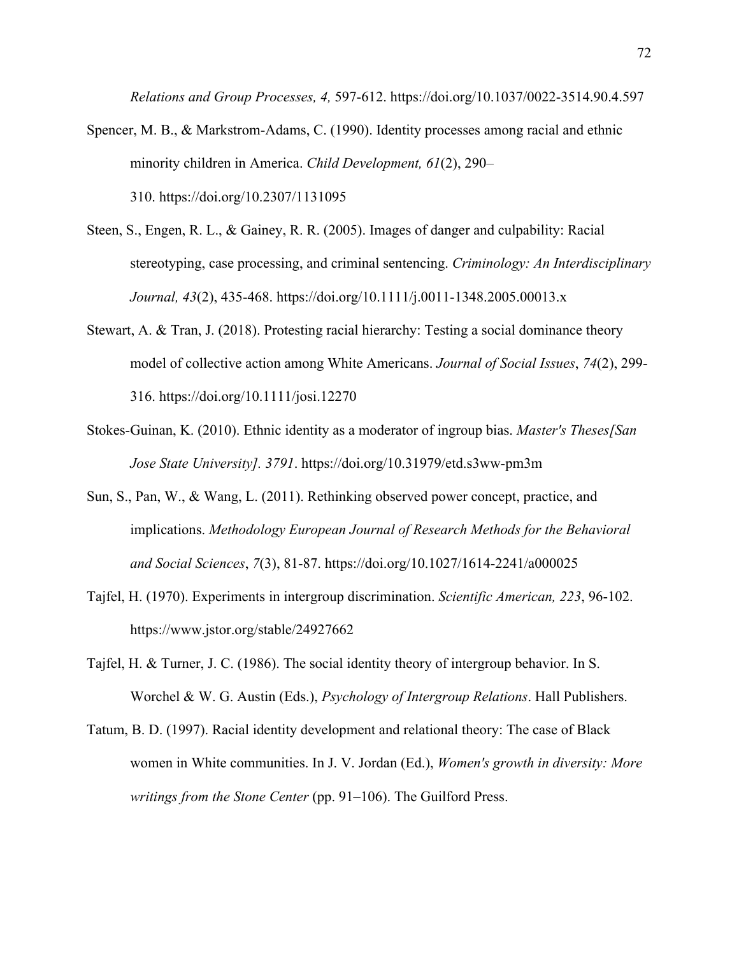*Relations and Group Processes, 4,* 597-612. https://doi.org/10.1037/0022-3514.90.4.597

- Spencer, M. B., & Markstrom-Adams, C. (1990). Identity processes among racial and ethnic minority children in America. *Child Development, 61*(2), 290– 310. https://doi.org/10.2307/1131095
- Steen, S., Engen, R. L., & Gainey, R. R. (2005). Images of danger and culpability: Racial stereotyping, case processing, and criminal sentencing. *Criminology: An Interdisciplinary Journal, 43*(2), 435-468. https://doi.org/10.1111/j.0011-1348.2005.00013.x
- Stewart, A. & Tran, J. (2018). Protesting racial hierarchy: Testing a social dominance theory model of collective action among White Americans. *Journal of Social Issues*, *74*(2), 299- 316. https://doi.org/10.1111/josi.12270
- Stokes-Guinan, K. (2010). Ethnic identity as a moderator of ingroup bias. *Master's Theses[San Jose State University]. 3791*. https://doi.org/10.31979/etd.s3ww-pm3m
- Sun, S., Pan, W., & Wang, L. (2011). Rethinking observed power concept, practice, and implications. *Methodology European Journal of Research Methods for the Behavioral and Social Sciences*, *7*(3), 81-87. https://doi.org/10.1027/1614-2241/a000025
- Tajfel, H. (1970). Experiments in intergroup discrimination. *Scientific American, 223*, 96-102. https://www.jstor.org/stable/24927662
- Tajfel, H. & Turner, J. C. (1986). The social identity theory of intergroup behavior. In S. Worchel & W. G. Austin (Eds.), *Psychology of Intergroup Relations*. Hall Publishers.
- Tatum, B. D. (1997). Racial identity development and relational theory: The case of Black women in White communities. In J. V. Jordan (Ed.), *Women's growth in diversity: More writings from the Stone Center* (pp. 91–106). The Guilford Press.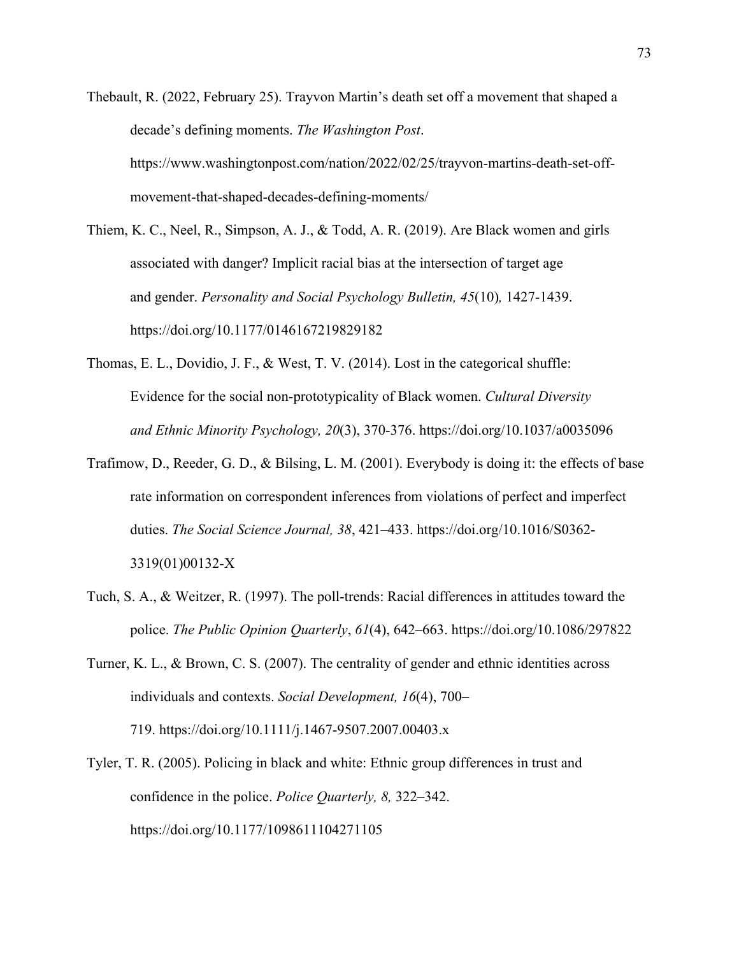- Thebault, R. (2022, February 25). Trayvon Martin's death set off a movement that shaped a decade's defining moments. *The Washington Post*. https://www.washingtonpost.com/nation/2022/02/25/trayvon-martins-death-set-offmovement-that-shaped-decades-defining-moments/
- Thiem, K. C., Neel, R., Simpson, A. J., & Todd, A. R. (2019). Are Black women and girls associated with danger? Implicit racial bias at the intersection of target age and gender. *Personality and Social Psychology Bulletin, 45*(10)*,* 1427-1439. https://doi.org/10.1177/0146167219829182
- Thomas, E. L., Dovidio, J. F., & West, T. V. (2014). Lost in the categorical shuffle: Evidence for the social non-prototypicality of Black women. *Cultural Diversity and Ethnic Minority Psychology, 20*(3), 370-376. https://doi.org/10.1037/a0035096
- Trafimow, D., Reeder, G. D., & Bilsing, L. M. (2001). Everybody is doing it: the effects of base rate information on correspondent inferences from violations of perfect and imperfect duties. *The Social Science Journal, 38*, 421–433. https://doi.org/10.1016/S0362- 3319(01)00132-X
- Tuch, S. A., & Weitzer, R. (1997). The poll-trends: Racial differences in attitudes toward the police. *The Public Opinion Quarterly*, *61*(4), 642–663. https://doi.org/10.1086/297822
- Turner, K. L., & Brown, C. S. (2007). The centrality of gender and ethnic identities across individuals and contexts. *Social Development, 16*(4), 700– 719. https://doi.org/10.1111/j.1467-9507.2007.00403.x
- Tyler, T. R. (2005). Policing in black and white: Ethnic group differences in trust and confidence in the police. *Police Quarterly, 8,* 322–342. https://doi.org/10.1177/1098611104271105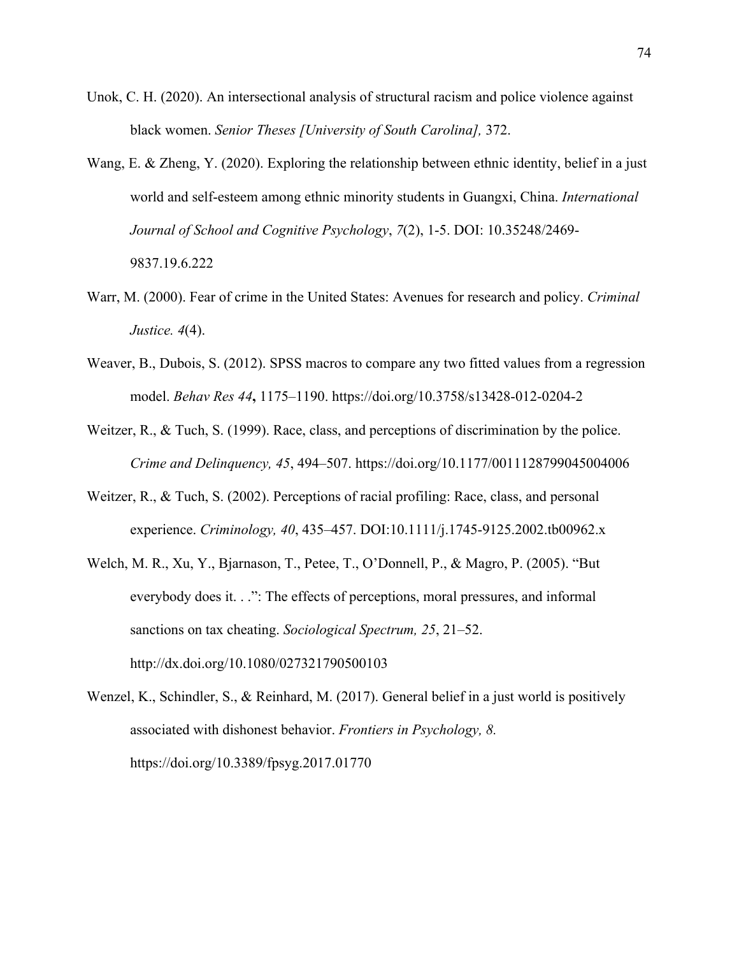- Unok, C. H. (2020). An intersectional analysis of structural racism and police violence against black women. *Senior Theses [University of South Carolina],* 372.
- Wang, E. & Zheng, Y. (2020). Exploring the relationship between ethnic identity, belief in a just world and self-esteem among ethnic minority students in Guangxi, China. *International Journal of School and Cognitive Psychology*, *7*(2), 1-5. DOI: 10.35248/2469- 9837.19.6.222
- Warr, M. (2000). Fear of crime in the United States: Avenues for research and policy. *Criminal Justice. 4*(4).
- Weaver, B., Dubois, S. (2012). SPSS macros to compare any two fitted values from a regression model. *Behav Res 44***,** 1175–1190. https://doi.org/10.3758/s13428-012-0204-2
- Weitzer, R., & Tuch, S. (1999). Race, class, and perceptions of discrimination by the police. *Crime and Delinquency, 45*, 494–507. https://doi.org/10.1177/0011128799045004006
- Weitzer, R., & Tuch, S. (2002). Perceptions of racial profiling: Race, class, and personal experience. *Criminology, 40*, 435–457. DOI:10.1111/j.1745-9125.2002.tb00962.x
- Welch, M. R., Xu, Y., Bjarnason, T., Petee, T., O'Donnell, P., & Magro, P. (2005). "But everybody does it. . .": The effects of perceptions, moral pressures, and informal sanctions on tax cheating. *Sociological Spectrum, 25*, 21–52. http://dx.doi.org/10.1080/027321790500103
- Wenzel, K., Schindler, S., & Reinhard, M. (2017). General belief in a just world is positively associated with dishonest behavior. *Frontiers in Psychology, 8.* https://doi.org/10.3389/fpsyg.2017.01770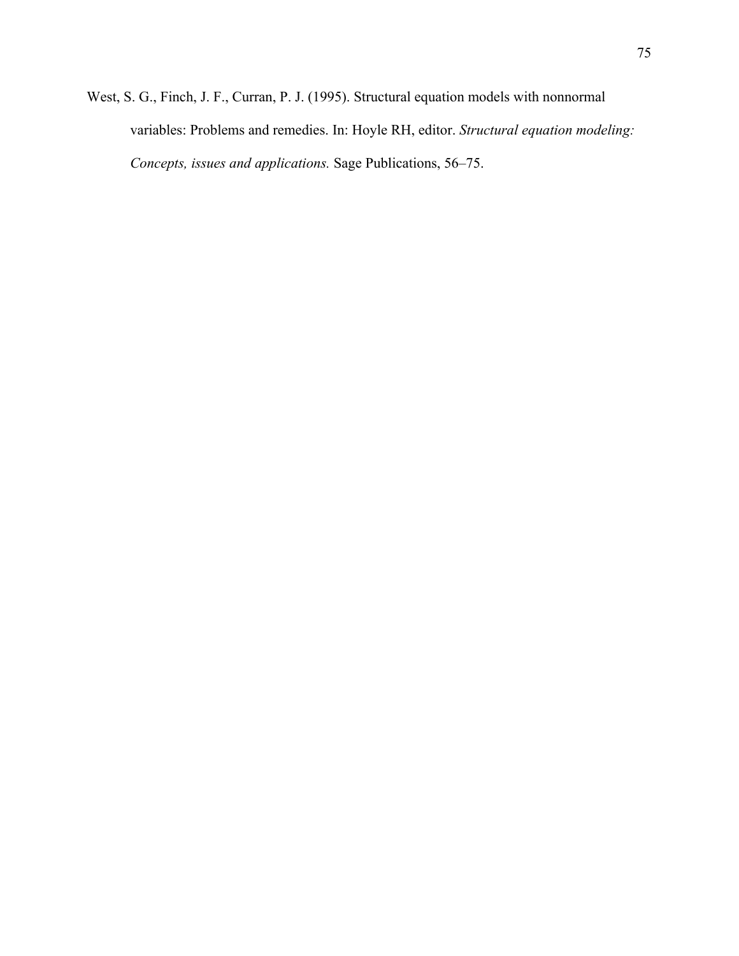West, S. G., Finch, J. F., Curran, P. J. (1995). Structural equation models with nonnormal variables: Problems and remedies. In: Hoyle RH, editor. *Structural equation modeling: Concepts, issues and applications.* Sage Publications, 56–75.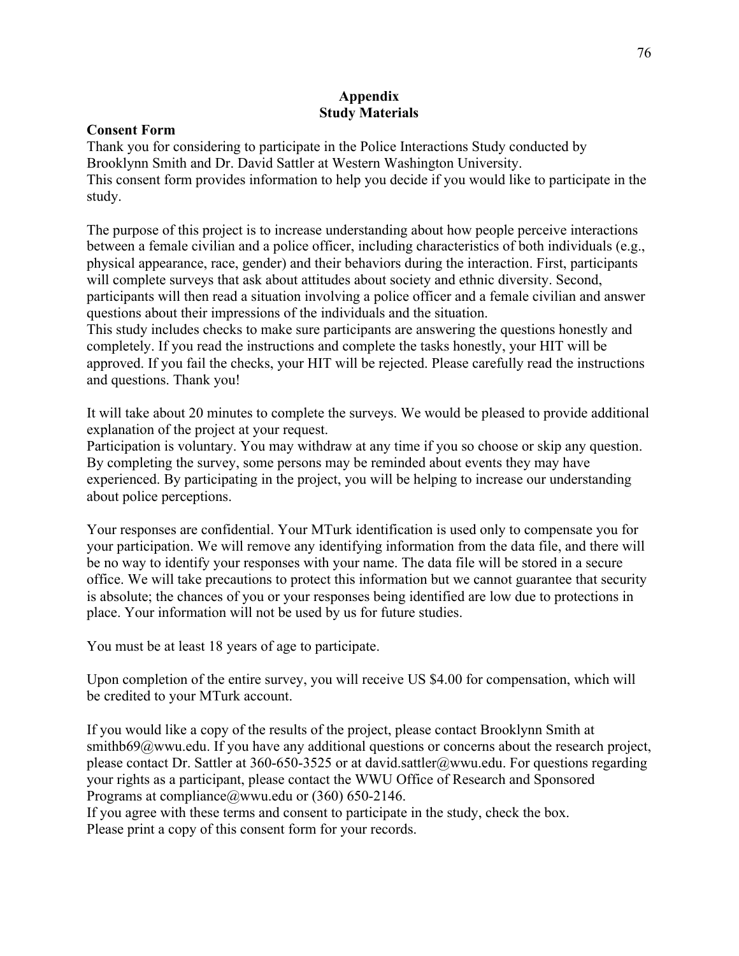# **Appendix Study Materials**

### **Consent Form**

Thank you for considering to participate in the Police Interactions Study conducted by Brooklynn Smith and Dr. David Sattler at Western Washington University. This consent form provides information to help you decide if you would like to participate in the study.

The purpose of this project is to increase understanding about how people perceive interactions between a female civilian and a police officer, including characteristics of both individuals (e.g., physical appearance, race, gender) and their behaviors during the interaction. First, participants will complete surveys that ask about attitudes about society and ethnic diversity. Second, participants will then read a situation involving a police officer and a female civilian and answer questions about their impressions of the individuals and the situation.

This study includes checks to make sure participants are answering the questions honestly and completely. If you read the instructions and complete the tasks honestly, your HIT will be approved. If you fail the checks, your HIT will be rejected. Please carefully read the instructions and questions. Thank you!

It will take about 20 minutes to complete the surveys. We would be pleased to provide additional explanation of the project at your request.

Participation is voluntary. You may withdraw at any time if you so choose or skip any question. By completing the survey, some persons may be reminded about events they may have experienced. By participating in the project, you will be helping to increase our understanding about police perceptions.

Your responses are confidential. Your MTurk identification is used only to compensate you for your participation. We will remove any identifying information from the data file, and there will be no way to identify your responses with your name. The data file will be stored in a secure office. We will take precautions to protect this information but we cannot guarantee that security is absolute; the chances of you or your responses being identified are low due to protections in place. Your information will not be used by us for future studies.

You must be at least 18 years of age to participate.

Upon completion of the entire survey, you will receive US \$4.00 for compensation, which will be credited to your MTurk account.

If you would like a copy of the results of the project, please contact Brooklynn Smith at smithb69@wwu.edu. If you have any additional questions or concerns about the research project, please contact Dr. Sattler at 360-650-3525 or at david.sattler@wwu.edu. For questions regarding your rights as a participant, please contact the WWU Office of Research and Sponsored Programs at compliance@wwu.edu or (360) 650-2146.

If you agree with these terms and consent to participate in the study, check the box. Please print a copy of this consent form for your records.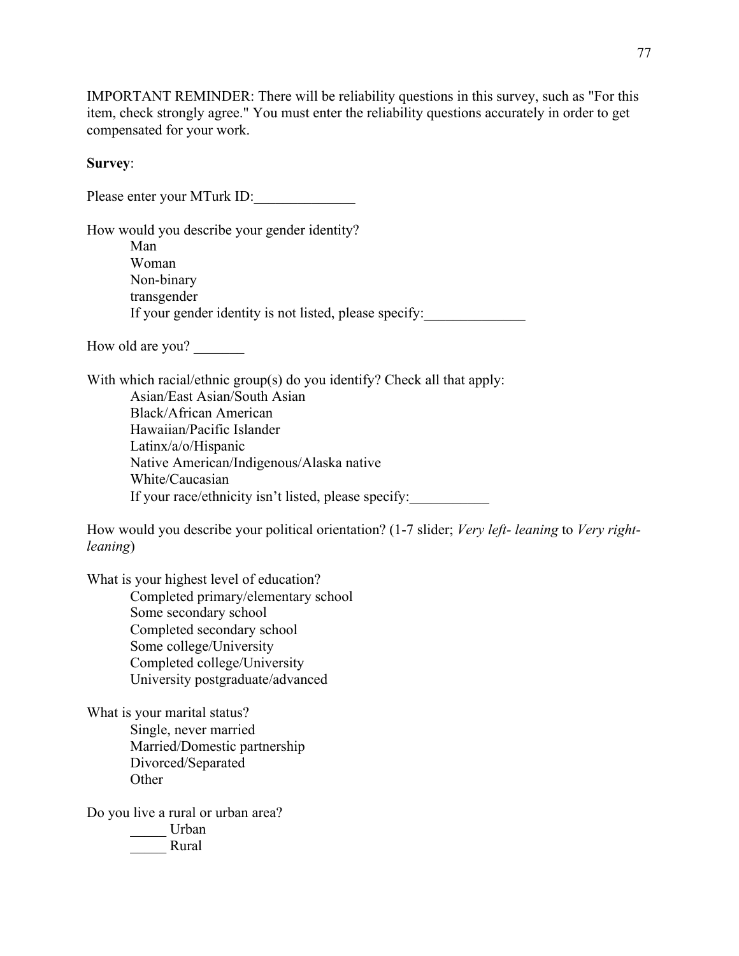IMPORTANT REMINDER: There will be reliability questions in this survey, such as "For this item, check strongly agree." You must enter the reliability questions accurately in order to get compensated for your work.

#### **Survey**:

Please enter your MTurk ID: How would you describe your gender identity? Man

Woman Non-binary transgender If your gender identity is not listed, please specify:

How old are you?

With which racial/ethnic group(s) do you identify? Check all that apply: Asian/East Asian/South Asian Black/African American Hawaiian/Pacific Islander Latinx/a/o/Hispanic Native American/Indigenous/Alaska native White/Caucasian If your race/ethnicity isn't listed, please specify:

How would you describe your political orientation? (1-7 slider; *Very left- leaning* to *Very rightleaning*)

What is your highest level of education? Completed primary/elementary school Some secondary school Completed secondary school Some college/University Completed college/University University postgraduate/advanced

What is your marital status? Single, never married Married/Domestic partnership Divorced/Separated **Other** 

Do you live a rural or urban area?

\_\_\_\_\_ Urban \_\_\_\_\_ Rural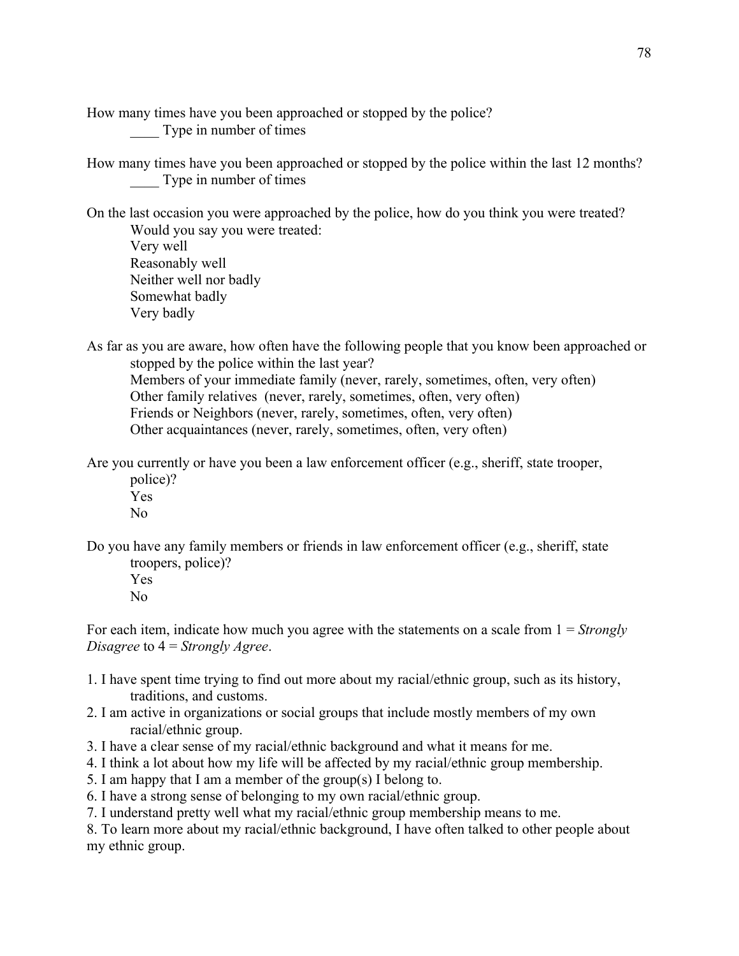How many times have you been approached or stopped by the police? Type in number of times

How many times have you been approached or stopped by the police within the last 12 months? Type in number of times

On the last occasion you were approached by the police, how do you think you were treated? Would you say you were treated: Very well Reasonably well

Neither well nor badly Somewhat badly Very badly

As far as you are aware, how often have the following people that you know been approached or stopped by the police within the last year?

Members of your immediate family (never, rarely, sometimes, often, very often) Other family relatives (never, rarely, sometimes, often, very often) Friends or Neighbors (never, rarely, sometimes, often, very often) Other acquaintances (never, rarely, sometimes, often, very often)

Are you currently or have you been a law enforcement officer (e.g., sheriff, state trooper, police)?

Yes No

Do you have any family members or friends in law enforcement officer (e.g., sheriff, state troopers, police)?

Yes

No

For each item, indicate how much you agree with the statements on a scale from 1 = *Strongly Disagree* to 4 = *Strongly Agree*.

- 1. I have spent time trying to find out more about my racial/ethnic group, such as its history, traditions, and customs.
- 2. I am active in organizations or social groups that include mostly members of my own racial/ethnic group.
- 3. I have a clear sense of my racial/ethnic background and what it means for me.
- 4. I think a lot about how my life will be affected by my racial/ethnic group membership.
- 5. I am happy that I am a member of the group(s) I belong to.
- 6. I have a strong sense of belonging to my own racial/ethnic group.
- 7. I understand pretty well what my racial/ethnic group membership means to me.

8. To learn more about my racial/ethnic background, I have often talked to other people about my ethnic group.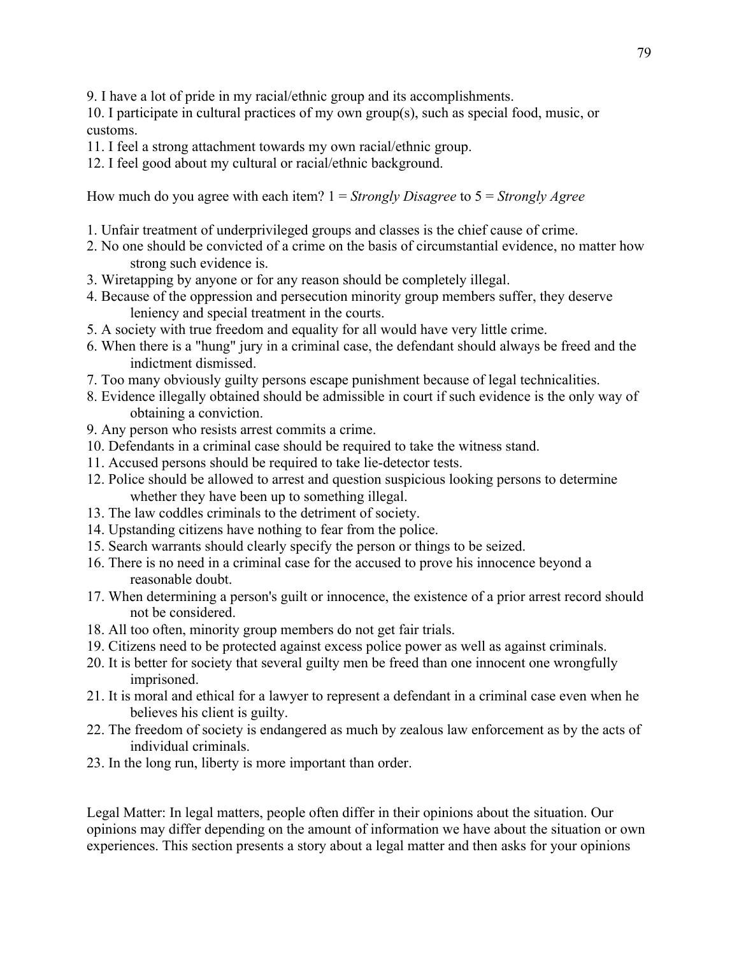9. I have a lot of pride in my racial/ethnic group and its accomplishments.

10. I participate in cultural practices of my own group(s), such as special food, music, or customs.

- 11. I feel a strong attachment towards my own racial/ethnic group.
- 12. I feel good about my cultural or racial/ethnic background.

How much do you agree with each item? 1 = *Strongly Disagree* to 5 = *Strongly Agree*

- 1. Unfair treatment of underprivileged groups and classes is the chief cause of crime.
- 2. No one should be convicted of a crime on the basis of circumstantial evidence, no matter how strong such evidence is.
- 3. Wiretapping by anyone or for any reason should be completely illegal.
- 4. Because of the oppression and persecution minority group members suffer, they deserve leniency and special treatment in the courts.
- 5. A society with true freedom and equality for all would have very little crime.
- 6. When there is a "hung" jury in a criminal case, the defendant should always be freed and the indictment dismissed.
- 7. Too many obviously guilty persons escape punishment because of legal technicalities.
- 8. Evidence illegally obtained should be admissible in court if such evidence is the only way of obtaining a conviction.
- 9. Any person who resists arrest commits a crime.
- 10. Defendants in a criminal case should be required to take the witness stand.
- 11. Accused persons should be required to take lie-detector tests.
- 12. Police should be allowed to arrest and question suspicious looking persons to determine whether they have been up to something illegal.
- 13. The law coddles criminals to the detriment of society.
- 14. Upstanding citizens have nothing to fear from the police.
- 15. Search warrants should clearly specify the person or things to be seized.
- 16. There is no need in a criminal case for the accused to prove his innocence beyond a reasonable doubt.
- 17. When determining a person's guilt or innocence, the existence of a prior arrest record should not be considered.
- 18. All too often, minority group members do not get fair trials.
- 19. Citizens need to be protected against excess police power as well as against criminals.
- 20. It is better for society that several guilty men be freed than one innocent one wrongfully imprisoned.
- 21. It is moral and ethical for a lawyer to represent a defendant in a criminal case even when he believes his client is guilty.
- 22. The freedom of society is endangered as much by zealous law enforcement as by the acts of individual criminals.
- 23. In the long run, liberty is more important than order.

Legal Matter: In legal matters, people often differ in their opinions about the situation. Our opinions may differ depending on the amount of information we have about the situation or own experiences. This section presents a story about a legal matter and then asks for your opinions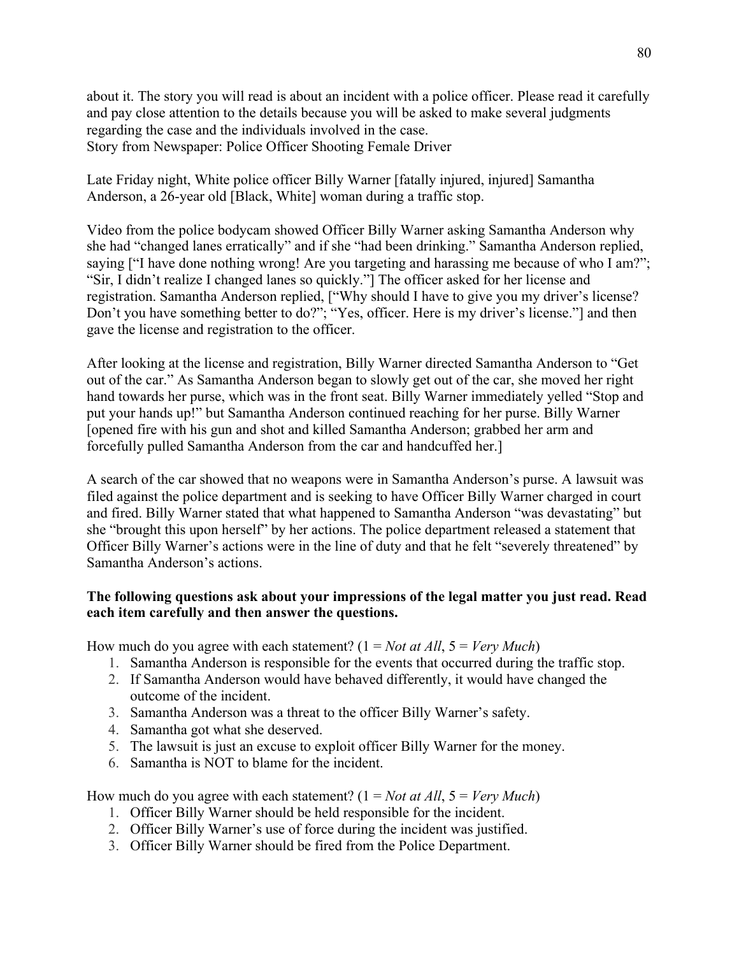about it. The story you will read is about an incident with a police officer. Please read it carefully and pay close attention to the details because you will be asked to make several judgments regarding the case and the individuals involved in the case. Story from Newspaper: Police Officer Shooting Female Driver

Late Friday night, White police officer Billy Warner [fatally injured, injured] Samantha Anderson, a 26-year old [Black, White] woman during a traffic stop.

Video from the police bodycam showed Officer Billy Warner asking Samantha Anderson why she had "changed lanes erratically" and if she "had been drinking." Samantha Anderson replied, saying ["I have done nothing wrong! Are you targeting and harassing me because of who I am?"; "Sir, I didn't realize I changed lanes so quickly."] The officer asked for her license and registration. Samantha Anderson replied, ["Why should I have to give you my driver's license? Don't you have something better to do?"; "Yes, officer. Here is my driver's license."] and then gave the license and registration to the officer.

After looking at the license and registration, Billy Warner directed Samantha Anderson to "Get out of the car." As Samantha Anderson began to slowly get out of the car, she moved her right hand towards her purse, which was in the front seat. Billy Warner immediately yelled "Stop and put your hands up!" but Samantha Anderson continued reaching for her purse. Billy Warner [opened fire with his gun and shot and killed Samantha Anderson; grabbed her arm and forcefully pulled Samantha Anderson from the car and handcuffed her.]

A search of the car showed that no weapons were in Samantha Anderson's purse. A lawsuit was filed against the police department and is seeking to have Officer Billy Warner charged in court and fired. Billy Warner stated that what happened to Samantha Anderson "was devastating" but she "brought this upon herself" by her actions. The police department released a statement that Officer Billy Warner's actions were in the line of duty and that he felt "severely threatened" by Samantha Anderson's actions.

## **The following questions ask about your impressions of the legal matter you just read. Read each item carefully and then answer the questions.**

How much do you agree with each statement? (1 = *Not at All*, 5 = *Very Much*)

- 1. Samantha Anderson is responsible for the events that occurred during the traffic stop.
- 2. If Samantha Anderson would have behaved differently, it would have changed the outcome of the incident.
- 3. Samantha Anderson was a threat to the officer Billy Warner's safety.
- 4. Samantha got what she deserved.
- 5. The lawsuit is just an excuse to exploit officer Billy Warner for the money.
- 6. Samantha is NOT to blame for the incident.

How much do you agree with each statement? (1 = *Not at All*, 5 = *Very Much*)

- 1. Officer Billy Warner should be held responsible for the incident.
- 2. Officer Billy Warner's use of force during the incident was justified.
- 3. Officer Billy Warner should be fired from the Police Department.